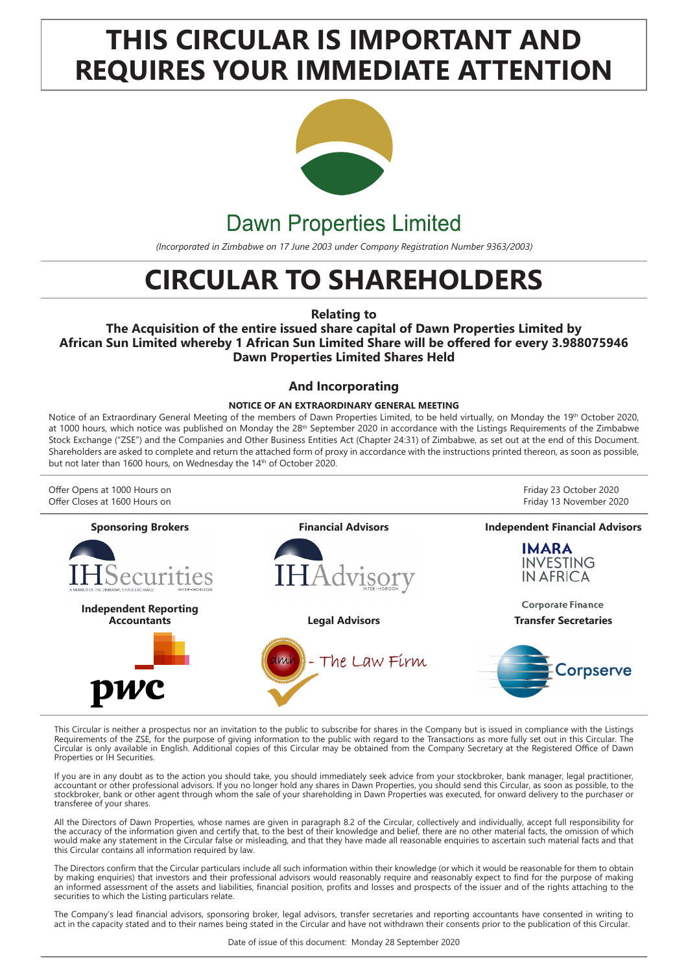# **THIS CIRCULAR IS IMPORTANT AND REQUIRES YOUR IMMEDIATE ATTENTION**



# **Dawn Properties Limited**

*(Incorporated in Zimbabwe on 17 June 2003 under Company Registration Number 9363/2003)*

# **CIRCULAR TO SHAREHOLDERS**

**Relating to** 

**The Acquisition of the entire issued share capital of Dawn Properties Limited by African Sun Limited whereby 1 African Sun Limited Share will be offered for every 3.988075946 Dawn Properties Limited Shares Held**

### **And Incorporating**

#### **NOTICE OF AN EXTRAORDINARY GENERAL MEETING**

Notice of an Extraordinary General Meeting of the members of Dawn Properties Limited, to be held virtually, on Monday the 19<sup>th</sup> October 2020, at 1000 hours, which notice was published on Monday the 28<sup>th</sup> September 2020 in accordance with the Listings Requirements of the Zimbabwe Stock Exchange ("ZSE") and the Companies and Other Business Entities Act (Chapter 24:31) of Zimbabwe, as set out at the end of this Document. Shareholders are asked to complete and return the attached form of proxy in accordance with the instructions printed thereon, as soon as possible, but not later than 1600 hours, on Wednesday the 14<sup>th</sup> of October 2020.



This Circular is neither a prospectus nor an invitation to the public to subscribe for shares in the Company but is issued in compliance with the Listings Requirements of the ZSE, for the purpose of giving information to the public with regard to the Transactions as more fully set out in this Circular. The Circular is only available in English. Additional copies of this Circular may be obtained from the Company Secretary at the Registered Office of Dawn Properties or IH Securities.

If you are in any doubt as to the action you should take, you should immediately seek advice from your stockbroker, bank manager, legal practitioner, accountant or other professional advisors. If you no longer hold any shares in Dawn Properties, you should send this Circular, as soon as possible, to the stockbroker, bank or other agent through whom the sale of your shareholding in Dawn Properties was executed, for onward delivery to the purchaser or transferee of your shares.

All the Directors of Dawn Properties, whose names are given in paragraph 8.2 of the Circular, collectively and individually, accept full responsibility for the accuracy of the information given and certify that, to the best of their knowledge and belief, there are no other material facts, the omission of which would make any statement in the Circular false or misleading, and that they have made all reasonable enquiries to ascertain such material facts and that this Circular contains all information required by law.

The Directors confirm that the Circular particulars include all such information within their knowledge (or which it would be reasonable for them to obtain by making enquiries) that investors and their professional advisors would reasonably require and reasonably expect to find for the purpose of making an informed assessment of the assets and liabilities, financial position, profits and losses and prospects of the issuer and of the rights attaching to the securities to which the Listing particulars relate.

The Company's lead financial advisors, sponsoring broker, legal advisors, transfer secretaries and reporting accountants have consented in writing to act in the capacity stated and to their names being stated in the Circular and have not withdrawn their consents prior to the publication of this Circular.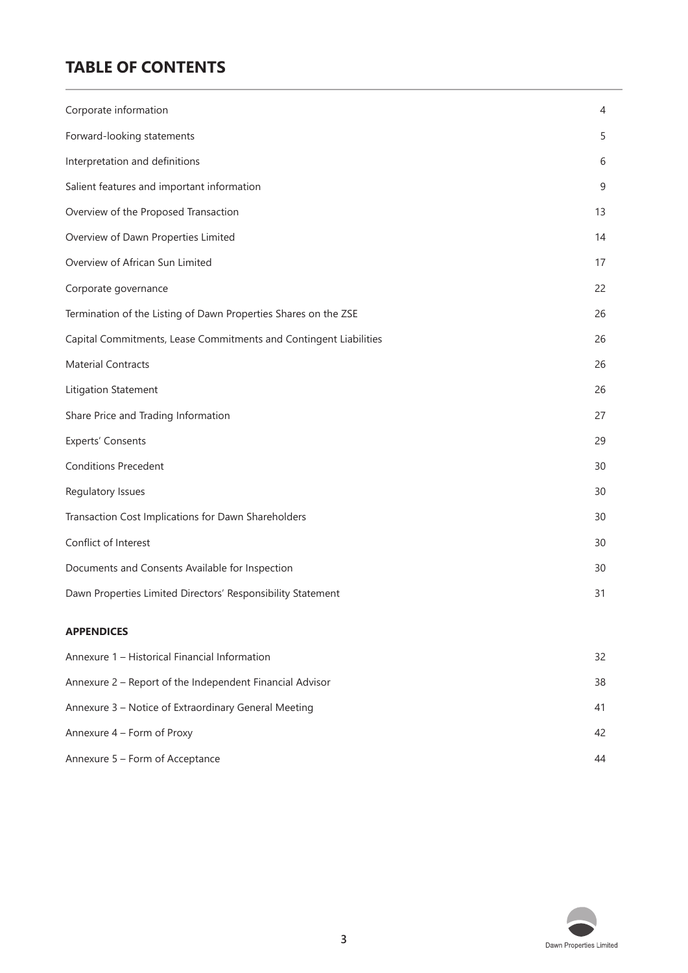# **TABLE OF CONTENTS**

| Corporate information                                             | 4      |
|-------------------------------------------------------------------|--------|
| Forward-looking statements                                        | 5      |
|                                                                   |        |
| Interpretation and definitions                                    | 6      |
| Salient features and important information                        | 9      |
| Overview of the Proposed Transaction                              | 13     |
| Overview of Dawn Properties Limited                               | 14     |
| Overview of African Sun Limited                                   | 17     |
| Corporate governance                                              | 22     |
| Termination of the Listing of Dawn Properties Shares on the ZSE   | 26     |
| Capital Commitments, Lease Commitments and Contingent Liabilities | 26     |
| <b>Material Contracts</b>                                         | 26     |
| Litigation Statement                                              | 26     |
| Share Price and Trading Information                               | 27     |
| <b>Experts' Consents</b>                                          | 29     |
| <b>Conditions Precedent</b>                                       | 30     |
| Regulatory Issues                                                 | 30     |
| Transaction Cost Implications for Dawn Shareholders               | 30     |
| Conflict of Interest                                              | 30     |
| Documents and Consents Available for Inspection                   | 30     |
| Dawn Properties Limited Directors' Responsibility Statement       | 31     |
| <b>APPENDICES</b>                                                 |        |
| Approximated the Historical Financial Information                 | $\cap$ |
|                                                                   |        |

| Annexure 1 – Historical Financial Information            | 32 |
|----------------------------------------------------------|----|
| Annexure 2 – Report of the Independent Financial Advisor | 38 |
| Annexure 3 – Notice of Extraordinary General Meeting     | 41 |
| Annexure 4 – Form of Proxy                               | 42 |
| Annexure 5 – Form of Acceptance                          | 44 |

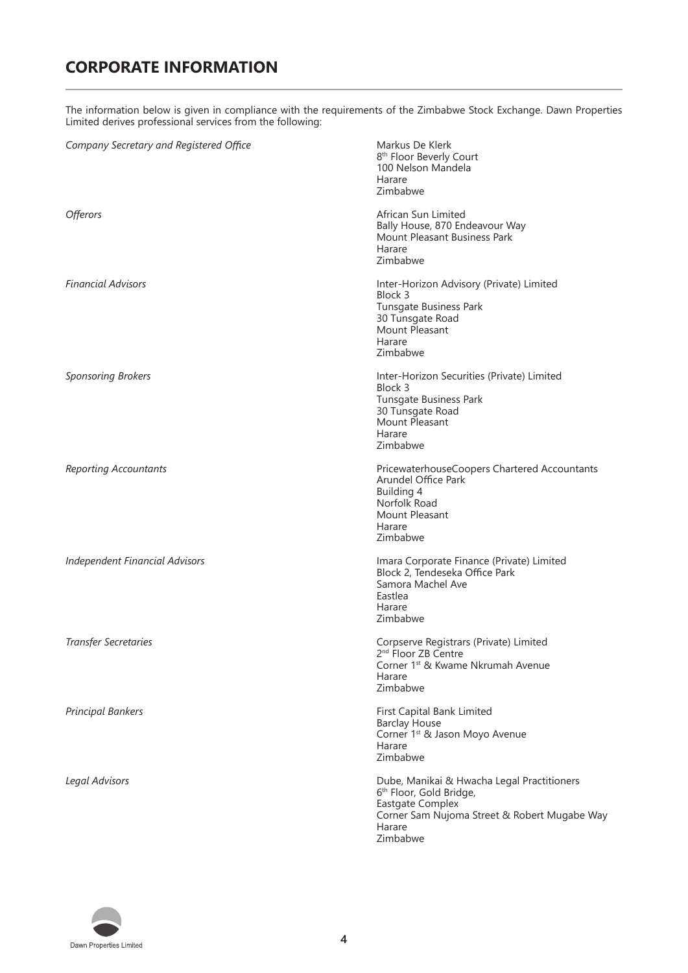# **CORPORATE INFORMATION**

The information below is given in compliance with the requirements of the Zimbabwe Stock Exchange. Dawn Properties Limited derives professional services from the following:

| Company Secretary and Registered Office | Markus De Klerk<br>8 <sup>th</sup> Floor Beverly Court<br>100 Nelson Mandela<br>Harare<br>Zimbabwe                                                                     |
|-----------------------------------------|------------------------------------------------------------------------------------------------------------------------------------------------------------------------|
| <i><b>Offerors</b></i>                  | African Sun Limited<br>Bally House, 870 Endeavour Way<br>Mount Pleasant Business Park<br>Harare<br>Zimbabwe                                                            |
| <b>Financial Advisors</b>               | Inter-Horizon Advisory (Private) Limited<br>Block 3<br>Tunsgate Business Park<br>30 Tunsgate Road<br>Mount Pleasant<br>Harare<br>Zimbabwe                              |
| <b>Sponsoring Brokers</b>               | Inter-Horizon Securities (Private) Limited<br>Block 3<br>Tunsgate Business Park<br>30 Tunsgate Road<br>Mount Pleasant<br>Harare<br>Zimbabwe                            |
| <b>Reporting Accountants</b>            | PricewaterhouseCoopers Chartered Accountants<br>Arundel Office Park<br>Building 4<br>Norfolk Road<br>Mount Pleasant<br>Harare<br>Zimbabwe                              |
| <b>Independent Financial Advisors</b>   | Imara Corporate Finance (Private) Limited<br>Block 2, Tendeseka Office Park<br>Samora Machel Ave<br>Eastlea<br>Harare<br>Zimbabwe                                      |
| <b>Transfer Secretaries</b>             | Corpserve Registrars (Private) Limited<br>2 <sup>nd</sup> Floor ZB Centre<br>Corner 1 <sup>st</sup> & Kwame Nkrumah Avenue<br>Harare<br>Zimbabwe                       |
| <b>Principal Bankers</b>                | First Capital Bank Limited<br><b>Barclay House</b><br>Corner 1 <sup>st</sup> & Jason Moyo Avenue<br>Harare<br>Zimbabwe                                                 |
| Legal Advisors                          | Dube, Manikai & Hwacha Legal Practitioners<br>6th Floor, Gold Bridge,<br><b>Eastgate Complex</b><br>Corner Sam Nujoma Street & Robert Mugabe Way<br>Harare<br>Zimbabwe |

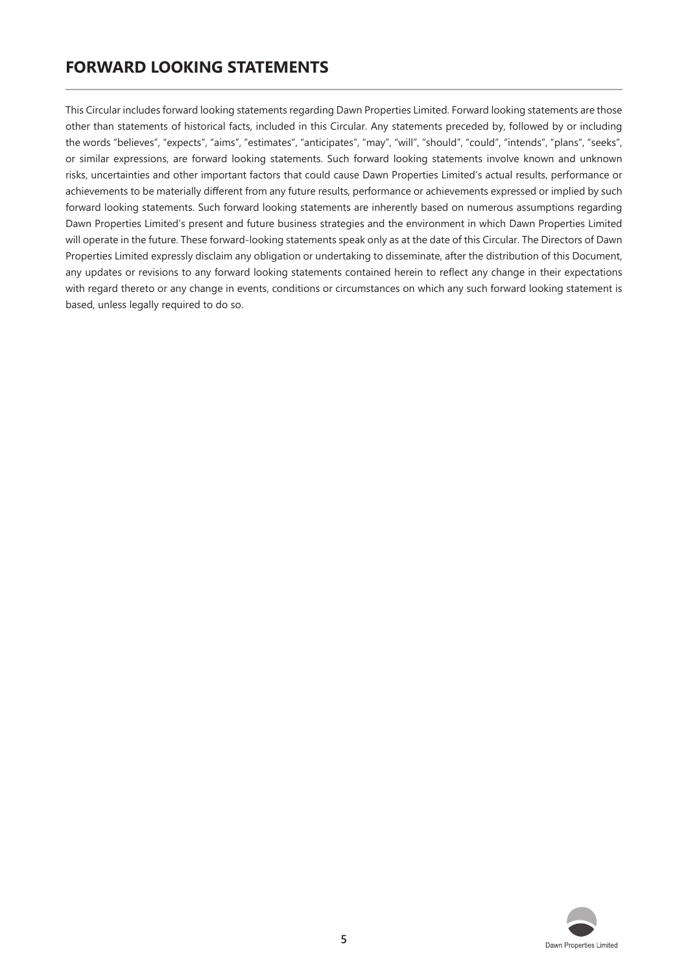# **FORWARD LOOKING STATEMENTS**

This Circular includes forward looking statements regarding Dawn Properties Limited. Forward looking statements are those other than statements of historical facts, included in this Circular. Any statements preceded by, followed by or including the words "believes", "expects", "aims", "estimates", "anticipates", "may", "will", "should", "could", "intends", "plans", "seeks", or similar expressions, are forward looking statements. Such forward looking statements involve known and unknown risks, uncertainties and other important factors that could cause Dawn Properties Limited's actual results, performance or achievements to be materially different from any future results, performance or achievements expressed or implied by such forward looking statements. Such forward looking statements are inherently based on numerous assumptions regarding Dawn Properties Limited's present and future business strategies and the environment in which Dawn Properties Limited will operate in the future. These forward-looking statements speak only as at the date of this Circular. The Directors of Dawn Properties Limited expressly disclaim any obligation or undertaking to disseminate, after the distribution of this Document, any updates or revisions to any forward looking statements contained herein to reflect any change in their expectations with regard thereto or any change in events, conditions or circumstances on which any such forward looking statement is based, unless legally required to do so.

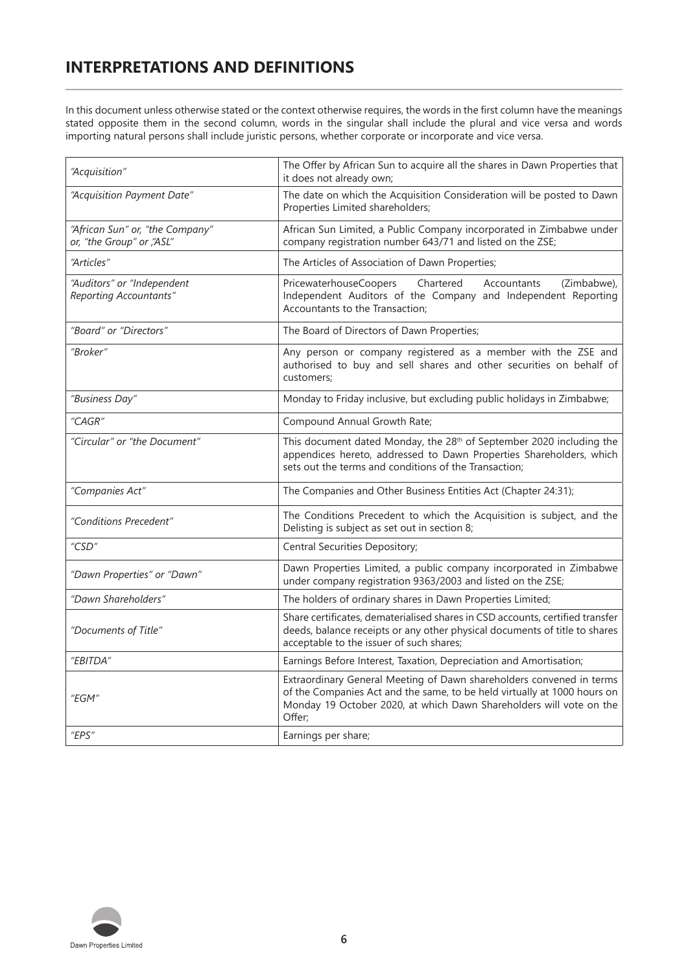# **INTERPRETATIONS AND DEFINITIONS**

In this document unless otherwise stated or the context otherwise requires, the words in the first column have the meanings stated opposite them in the second column, words in the singular shall include the plural and vice versa and words importing natural persons shall include juristic persons, whether corporate or incorporate and vice versa.

| "Acquisition"                                               | The Offer by African Sun to acquire all the shares in Dawn Properties that<br>it does not already own;                                                                                                                            |
|-------------------------------------------------------------|-----------------------------------------------------------------------------------------------------------------------------------------------------------------------------------------------------------------------------------|
| "Acquisition Payment Date"                                  | The date on which the Acquisition Consideration will be posted to Dawn<br>Properties Limited shareholders;                                                                                                                        |
| "African Sun" or, "the Company"<br>or, "the Group" or "ASL" | African Sun Limited, a Public Company incorporated in Zimbabwe under<br>company registration number 643/71 and listed on the ZSE;                                                                                                 |
| "Articles"                                                  | The Articles of Association of Dawn Properties;                                                                                                                                                                                   |
| "Auditors" or "Independent<br>Reporting Accountants"        | PricewaterhouseCoopers<br>Chartered<br>(Zimbabwe),<br>Accountants<br>Independent Auditors of the Company and Independent Reporting<br>Accountants to the Transaction;                                                             |
| "Board" or "Directors"                                      | The Board of Directors of Dawn Properties;                                                                                                                                                                                        |
| "Broker"                                                    | Any person or company registered as a member with the ZSE and<br>authorised to buy and sell shares and other securities on behalf of<br>customers;                                                                                |
| "Business Day"                                              | Monday to Friday inclusive, but excluding public holidays in Zimbabwe;                                                                                                                                                            |
| "CAGR"                                                      | Compound Annual Growth Rate;                                                                                                                                                                                                      |
| "Circular" or "the Document"                                | This document dated Monday, the 28 <sup>th</sup> of September 2020 including the<br>appendices hereto, addressed to Dawn Properties Shareholders, which<br>sets out the terms and conditions of the Transaction;                  |
| "Companies Act"                                             | The Companies and Other Business Entities Act (Chapter 24:31);                                                                                                                                                                    |
| "Conditions Precedent"                                      | The Conditions Precedent to which the Acquisition is subject, and the<br>Delisting is subject as set out in section 8;                                                                                                            |
| "CSD"                                                       | Central Securities Depository;                                                                                                                                                                                                    |
| "Dawn Properties" or "Dawn"                                 | Dawn Properties Limited, a public company incorporated in Zimbabwe<br>under company registration 9363/2003 and listed on the ZSE;                                                                                                 |
| "Dawn Shareholders"                                         | The holders of ordinary shares in Dawn Properties Limited;                                                                                                                                                                        |
| "Documents of Title"                                        | Share certificates, dematerialised shares in CSD accounts, certified transfer<br>deeds, balance receipts or any other physical documents of title to shares<br>acceptable to the issuer of such shares;                           |
| "EBITDA"                                                    | Earnings Before Interest, Taxation, Depreciation and Amortisation;                                                                                                                                                                |
| "EGM"                                                       | Extraordinary General Meeting of Dawn shareholders convened in terms<br>of the Companies Act and the same, to be held virtually at 1000 hours on<br>Monday 19 October 2020, at which Dawn Shareholders will vote on the<br>Offer; |
| "EPS"                                                       | Earnings per share;                                                                                                                                                                                                               |

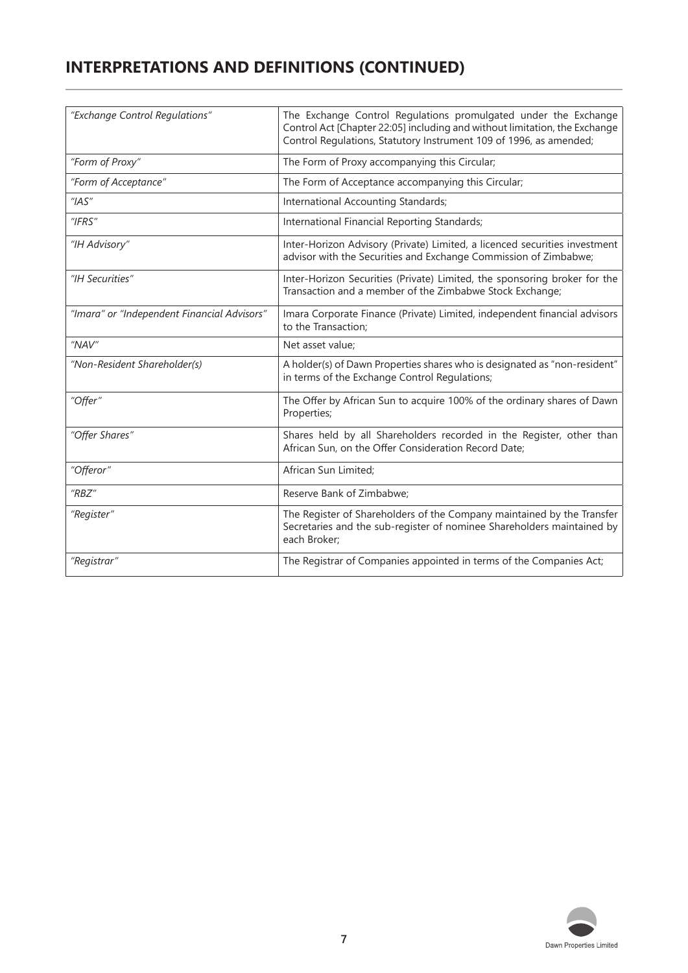# **INTERPRETATIONS AND DEFINITIONS (CONTINUED)**

| "Exchange Control Regulations"              | The Exchange Control Regulations promulgated under the Exchange<br>Control Act [Chapter 22:05] including and without limitation, the Exchange<br>Control Regulations, Statutory Instrument 109 of 1996, as amended; |
|---------------------------------------------|---------------------------------------------------------------------------------------------------------------------------------------------------------------------------------------------------------------------|
| "Form of Proxy"                             | The Form of Proxy accompanying this Circular;                                                                                                                                                                       |
| "Form of Acceptance"                        | The Form of Acceptance accompanying this Circular;                                                                                                                                                                  |
| ''IAS''                                     | International Accounting Standards;                                                                                                                                                                                 |
| "IFRS"                                      | International Financial Reporting Standards;                                                                                                                                                                        |
| "IH Advisory"                               | Inter-Horizon Advisory (Private) Limited, a licenced securities investment<br>advisor with the Securities and Exchange Commission of Zimbabwe;                                                                      |
| "IH Securities"                             | Inter-Horizon Securities (Private) Limited, the sponsoring broker for the<br>Transaction and a member of the Zimbabwe Stock Exchange;                                                                               |
| "Imara" or "Independent Financial Advisors" | Imara Corporate Finance (Private) Limited, independent financial advisors<br>to the Transaction;                                                                                                                    |
| "NAV"                                       | Net asset value;                                                                                                                                                                                                    |
| "Non-Resident Shareholder(s)                | A holder(s) of Dawn Properties shares who is designated as "non-resident"<br>in terms of the Exchange Control Regulations;                                                                                          |
| "Offer"                                     | The Offer by African Sun to acquire 100% of the ordinary shares of Dawn<br>Properties;                                                                                                                              |
| "Offer Shares"                              | Shares held by all Shareholders recorded in the Register, other than<br>African Sun, on the Offer Consideration Record Date;                                                                                        |
| "Offeror"                                   | African Sun Limited;                                                                                                                                                                                                |
| $H$ <sub>RBZ</sub> $H$                      | Reserve Bank of Zimbabwe:                                                                                                                                                                                           |
| "Register"                                  | The Register of Shareholders of the Company maintained by the Transfer<br>Secretaries and the sub-register of nominee Shareholders maintained by<br>each Broker;                                                    |
| "Registrar"                                 | The Registrar of Companies appointed in terms of the Companies Act;                                                                                                                                                 |

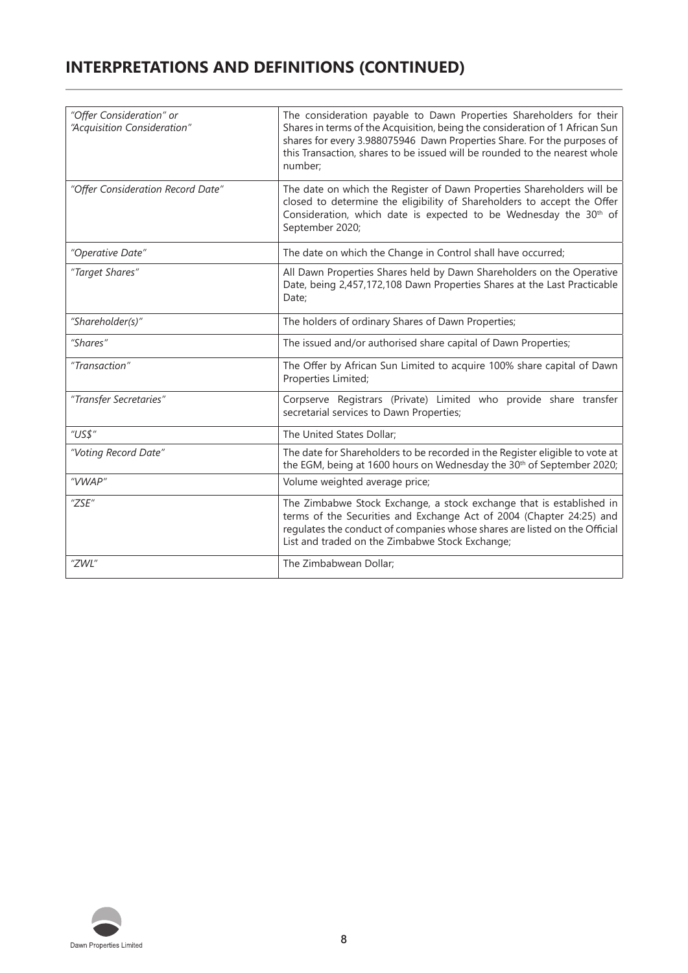# **INTERPRETATIONS AND DEFINITIONS (CONTINUED)**

| "Offer Consideration" or<br>"Acquisition Consideration" | The consideration payable to Dawn Properties Shareholders for their<br>Shares in terms of the Acquisition, being the consideration of 1 African Sun<br>shares for every 3.988075946 Dawn Properties Share. For the purposes of<br>this Transaction, shares to be issued will be rounded to the nearest whole<br>number; |
|---------------------------------------------------------|-------------------------------------------------------------------------------------------------------------------------------------------------------------------------------------------------------------------------------------------------------------------------------------------------------------------------|
| "Offer Consideration Record Date"                       | The date on which the Register of Dawn Properties Shareholders will be<br>closed to determine the eligibility of Shareholders to accept the Offer<br>Consideration, which date is expected to be Wednesday the 30 <sup>th</sup> of<br>September 2020;                                                                   |
| "Operative Date"                                        | The date on which the Change in Control shall have occurred;                                                                                                                                                                                                                                                            |
| "Target Shares"                                         | All Dawn Properties Shares held by Dawn Shareholders on the Operative<br>Date, being 2,457,172,108 Dawn Properties Shares at the Last Practicable<br>Date;                                                                                                                                                              |
| "Shareholder(s)"                                        | The holders of ordinary Shares of Dawn Properties;                                                                                                                                                                                                                                                                      |
| "Shares"                                                | The issued and/or authorised share capital of Dawn Properties;                                                                                                                                                                                                                                                          |
| "Transaction"                                           | The Offer by African Sun Limited to acquire 100% share capital of Dawn<br>Properties Limited;                                                                                                                                                                                                                           |
| "Transfer Secretaries"                                  | Corpserve Registrars (Private) Limited who provide share transfer<br>secretarial services to Dawn Properties;                                                                                                                                                                                                           |
| "US\$"                                                  | The United States Dollar;                                                                                                                                                                                                                                                                                               |
| "Voting Record Date"                                    | The date for Shareholders to be recorded in the Register eligible to vote at<br>the EGM, being at 1600 hours on Wednesday the 30 <sup>th</sup> of September 2020;                                                                                                                                                       |
| "VWAP"                                                  | Volume weighted average price;                                                                                                                                                                                                                                                                                          |
| "ZSE"                                                   | The Zimbabwe Stock Exchange, a stock exchange that is established in<br>terms of the Securities and Exchange Act of 2004 (Chapter 24:25) and<br>regulates the conduct of companies whose shares are listed on the Official<br>List and traded on the Zimbabwe Stock Exchange;                                           |
| "ZWL"                                                   | The Zimbabwean Dollar;                                                                                                                                                                                                                                                                                                  |

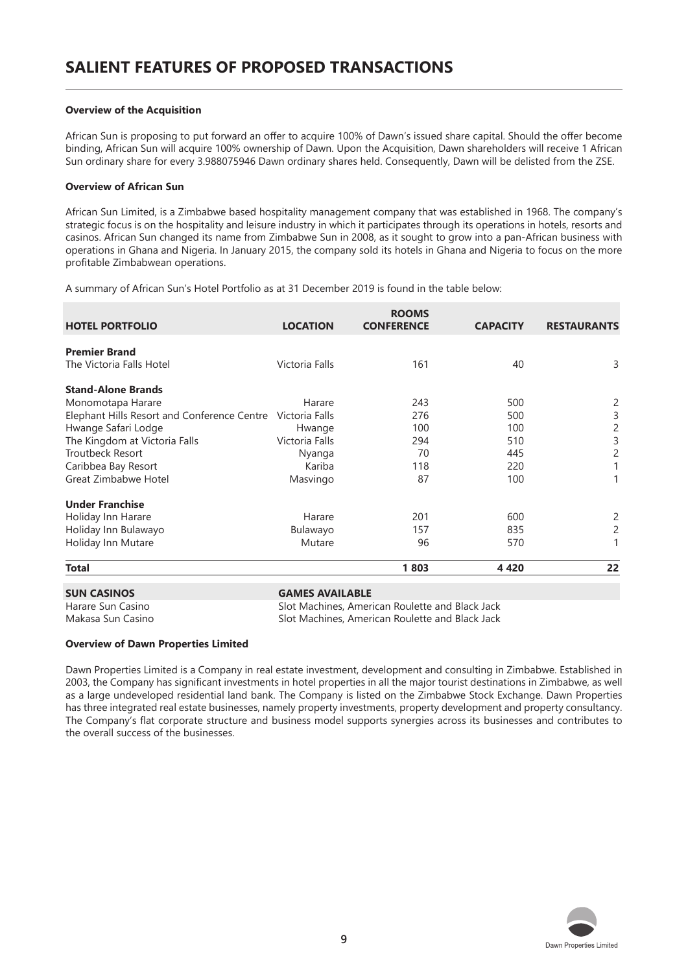#### **Overview of the Acquisition**

African Sun is proposing to put forward an offer to acquire 100% of Dawn's issued share capital. Should the offer become binding, African Sun will acquire 100% ownership of Dawn. Upon the Acquisition, Dawn shareholders will receive 1 African Sun ordinary share for every 3.988075946 Dawn ordinary shares held. Consequently, Dawn will be delisted from the ZSE.

#### **Overview of African Sun**

African Sun Limited, is a Zimbabwe based hospitality management company that was established in 1968. The company's strategic focus is on the hospitality and leisure industry in which it participates through its operations in hotels, resorts and casinos. African Sun changed its name from Zimbabwe Sun in 2008, as it sought to grow into a pan-African business with operations in Ghana and Nigeria. In January 2015, the company sold its hotels in Ghana and Nigeria to focus on the more profitable Zimbabwean operations.

A summary of African Sun's Hotel Portfolio as at 31 December 2019 is found in the table below:

| <b>HOTEL PORTFOLIO</b>                                     | <b>LOCATION</b>        | <b>ROOMS</b><br><b>CONFERENCE</b> | <b>CAPACITY</b> | <b>RESTAURANTS</b> |
|------------------------------------------------------------|------------------------|-----------------------------------|-----------------|--------------------|
| <b>Premier Brand</b>                                       |                        |                                   |                 |                    |
| The Victoria Falls Hotel                                   | Victoria Falls         | 161                               | 40              | 3                  |
| <b>Stand-Alone Brands</b>                                  |                        |                                   |                 |                    |
| Monomotapa Harare                                          | Harare                 | 243                               | 500             | $\overline{c}$     |
| Elephant Hills Resort and Conference Centre Victoria Falls |                        | 276                               | 500             | 3                  |
| Hwange Safari Lodge                                        | Hwange                 | 100                               | 100             | $\overline{c}$     |
| The Kingdom at Victoria Falls                              | Victoria Falls         | 294                               | 510             | 3                  |
| <b>Troutbeck Resort</b>                                    | Nyanga                 | 70                                | 445             | 2                  |
| Caribbea Bay Resort                                        | Kariba                 | 118                               | 220             |                    |
| Great Zimbabwe Hotel                                       | Masvingo               | 87                                | 100             |                    |
| <b>Under Franchise</b>                                     |                        |                                   |                 |                    |
| Holiday Inn Harare                                         | Harare                 | 201                               | 600             | 2                  |
| Holiday Inn Bulawayo                                       | Bulawayo               | 157                               | 835             | 2                  |
| Holiday Inn Mutare                                         | Mutare                 | 96                                | 570             |                    |
| <b>Total</b>                                               |                        | 1803                              | 4420            | 22                 |
| <b>SUN CASINOS</b>                                         | <b>GAMES AVAILABLE</b> |                                   |                 |                    |

Harare Sun Casino Slot Machines, American Roulette and Black Jack Makasa Sun Casino Slot Machines, American Roulette and Black Jack

#### **Overview of Dawn Properties Limited**

Dawn Properties Limited is a Company in real estate investment, development and consulting in Zimbabwe. Established in 2003, the Company has significant investments in hotel properties in all the major tourist destinations in Zimbabwe, as well as a large undeveloped residential land bank. The Company is listed on the Zimbabwe Stock Exchange. Dawn Properties has three integrated real estate businesses, namely property investments, property development and property consultancy. The Company's flat corporate structure and business model supports synergies across its businesses and contributes to the overall success of the businesses.

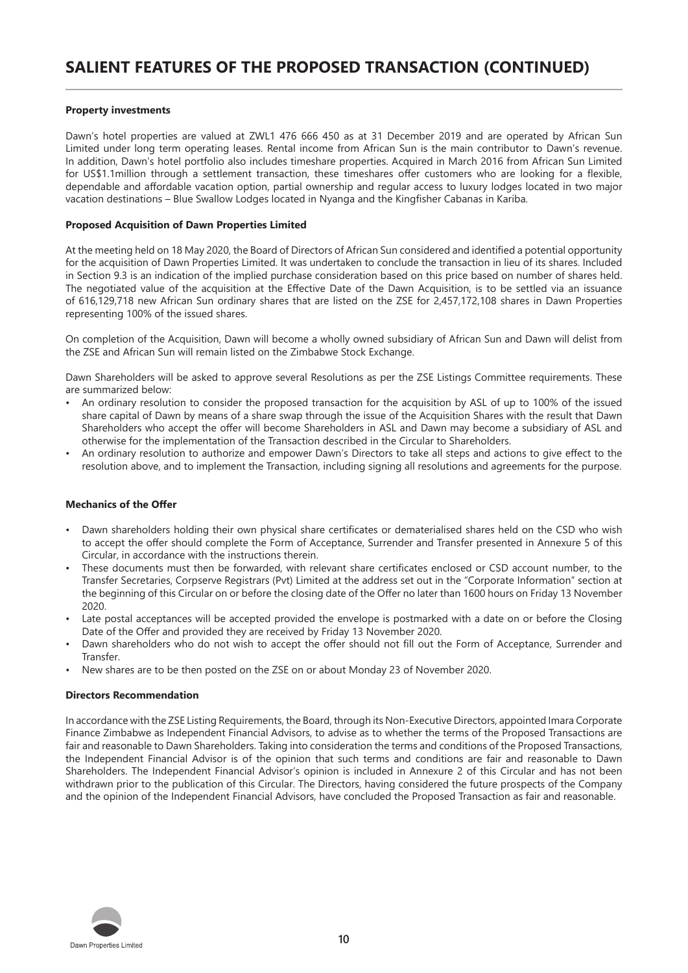#### **Property investments**

Dawn's hotel properties are valued at ZWL1 476 666 450 as at 31 December 2019 and are operated by African Sun Limited under long term operating leases. Rental income from African Sun is the main contributor to Dawn's revenue. In addition, Dawn's hotel portfolio also includes timeshare properties. Acquired in March 2016 from African Sun Limited for US\$1.1million through a settlement transaction, these timeshares offer customers who are looking for a flexible, dependable and affordable vacation option, partial ownership and regular access to luxury lodges located in two major vacation destinations – Blue Swallow Lodges located in Nyanga and the Kingfisher Cabanas in Kariba.

#### **Proposed Acquisition of Dawn Properties Limited**

At the meeting held on 18 May 2020, the Board of Directors of African Sun considered and identified a potential opportunity for the acquisition of Dawn Properties Limited. It was undertaken to conclude the transaction in lieu of its shares. Included in Section 9.3 is an indication of the implied purchase consideration based on this price based on number of shares held. The negotiated value of the acquisition at the Effective Date of the Dawn Acquisition, is to be settled via an issuance of 616,129,718 new African Sun ordinary shares that are listed on the ZSE for 2,457,172,108 shares in Dawn Properties representing 100% of the issued shares.

On completion of the Acquisition, Dawn will become a wholly owned subsidiary of African Sun and Dawn will delist from the ZSE and African Sun will remain listed on the Zimbabwe Stock Exchange.

Dawn Shareholders will be asked to approve several Resolutions as per the ZSE Listings Committee requirements. These are summarized below:

- An ordinary resolution to consider the proposed transaction for the acquisition by ASL of up to 100% of the issued share capital of Dawn by means of a share swap through the issue of the Acquisition Shares with the result that Dawn Shareholders who accept the offer will become Shareholders in ASL and Dawn may become a subsidiary of ASL and otherwise for the implementation of the Transaction described in the Circular to Shareholders.
- An ordinary resolution to authorize and empower Dawn's Directors to take all steps and actions to give effect to the resolution above, and to implement the Transaction, including signing all resolutions and agreements for the purpose.

#### **Mechanics of the Offer**

- Dawn shareholders holding their own physical share certificates or dematerialised shares held on the CSD who wish to accept the offer should complete the Form of Acceptance, Surrender and Transfer presented in Annexure 5 of this Circular, in accordance with the instructions therein.
- These documents must then be forwarded, with relevant share certificates enclosed or CSD account number, to the Transfer Secretaries, Corpserve Registrars (Pvt) Limited at the address set out in the "Corporate Information" section at the beginning of this Circular on or before the closing date of the Offer no later than 1600 hours on Friday 13 November 2020.
- Late postal acceptances will be accepted provided the envelope is postmarked with a date on or before the Closing Date of the Offer and provided they are received by Friday 13 November 2020.
- Dawn shareholders who do not wish to accept the offer should not fill out the Form of Acceptance, Surrender and Transfer.
- New shares are to be then posted on the ZSE on or about Monday 23 of November 2020.

#### **Directors Recommendation**

In accordance with the ZSE Listing Requirements, the Board, through its Non-Executive Directors, appointed Imara Corporate Finance Zimbabwe as Independent Financial Advisors, to advise as to whether the terms of the Proposed Transactions are fair and reasonable to Dawn Shareholders. Taking into consideration the terms and conditions of the Proposed Transactions, the Independent Financial Advisor is of the opinion that such terms and conditions are fair and reasonable to Dawn Shareholders. The Independent Financial Advisor's opinion is included in Annexure 2 of this Circular and has not been withdrawn prior to the publication of this Circular. The Directors, having considered the future prospects of the Company and the opinion of the Independent Financial Advisors, have concluded the Proposed Transaction as fair and reasonable.

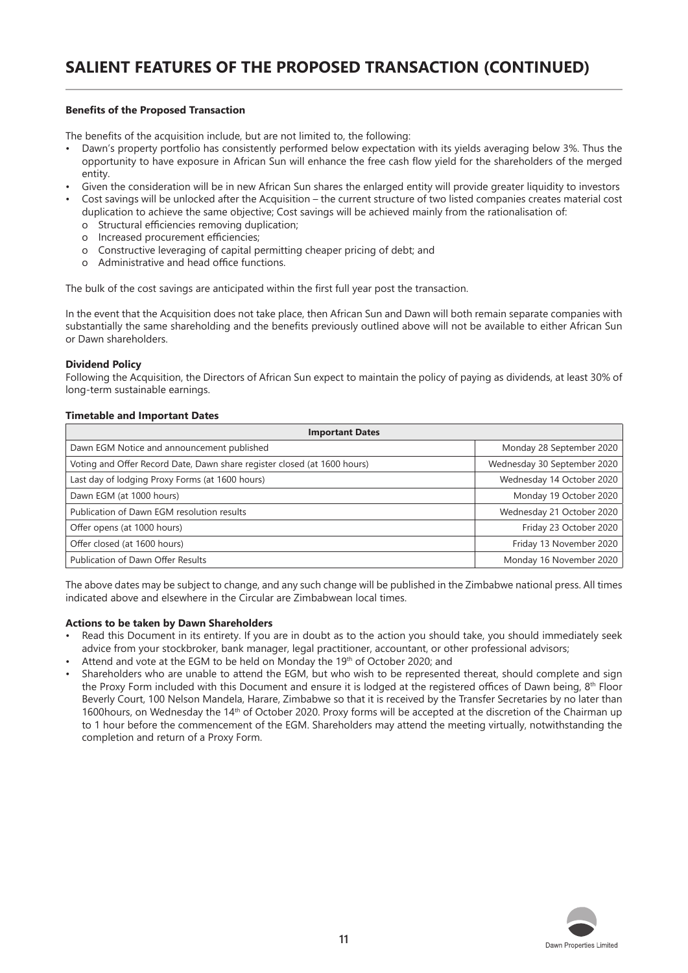#### **Benefits of the Proposed Transaction**

The benefits of the acquisition include, but are not limited to, the following:

- Dawn's property portfolio has consistently performed below expectation with its yields averaging below 3%. Thus the opportunity to have exposure in African Sun will enhance the free cash flow yield for the shareholders of the merged entity.
- Given the consideration will be in new African Sun shares the enlarged entity will provide greater liquidity to investors
- Cost savings will be unlocked after the Acquisition the current structure of two listed companies creates material cost duplication to achieve the same objective; Cost savings will be achieved mainly from the rationalisation of:
	- o Structural efficiencies removing duplication;
	- o Increased procurement efficiencies;
	- o Constructive leveraging of capital permitting cheaper pricing of debt; and
	- o Administrative and head office functions.

The bulk of the cost savings are anticipated within the first full year post the transaction.

In the event that the Acquisition does not take place, then African Sun and Dawn will both remain separate companies with substantially the same shareholding and the benefits previously outlined above will not be available to either African Sun or Dawn shareholders.

#### **Dividend Policy**

Following the Acquisition, the Directors of African Sun expect to maintain the policy of paying as dividends, at least 30% of long-term sustainable earnings.

#### **Timetable and Important Dates**

| <b>Important Dates</b>                                                   |                             |  |
|--------------------------------------------------------------------------|-----------------------------|--|
| Dawn EGM Notice and announcement published                               | Monday 28 September 2020    |  |
| Voting and Offer Record Date, Dawn share register closed (at 1600 hours) | Wednesday 30 September 2020 |  |
| Last day of lodging Proxy Forms (at 1600 hours)                          | Wednesday 14 October 2020   |  |
| Dawn EGM (at 1000 hours)                                                 | Monday 19 October 2020      |  |
| Publication of Dawn EGM resolution results                               | Wednesday 21 October 2020   |  |
| Offer opens (at 1000 hours)                                              | Friday 23 October 2020      |  |
| Offer closed (at 1600 hours)                                             | Friday 13 November 2020     |  |
| Publication of Dawn Offer Results                                        | Monday 16 November 2020     |  |

The above dates may be subject to change, and any such change will be published in the Zimbabwe national press. All times indicated above and elsewhere in the Circular are Zimbabwean local times.

#### **Actions to be taken by Dawn Shareholders**

- Read this Document in its entirety. If you are in doubt as to the action you should take, you should immediately seek advice from your stockbroker, bank manager, legal practitioner, accountant, or other professional advisors;
- Attend and vote at the EGM to be held on Monday the 19th of October 2020; and
- Shareholders who are unable to attend the EGM, but who wish to be represented thereat, should complete and sign the Proxy Form included with this Document and ensure it is lodged at the registered offices of Dawn being, 8th Floor Beverly Court, 100 Nelson Mandela, Harare, Zimbabwe so that it is received by the Transfer Secretaries by no later than 1600hours, on Wednesday the 14<sup>th</sup> of October 2020. Proxy forms will be accepted at the discretion of the Chairman up to 1 hour before the commencement of the EGM. Shareholders may attend the meeting virtually, notwithstanding the completion and return of a Proxy Form.

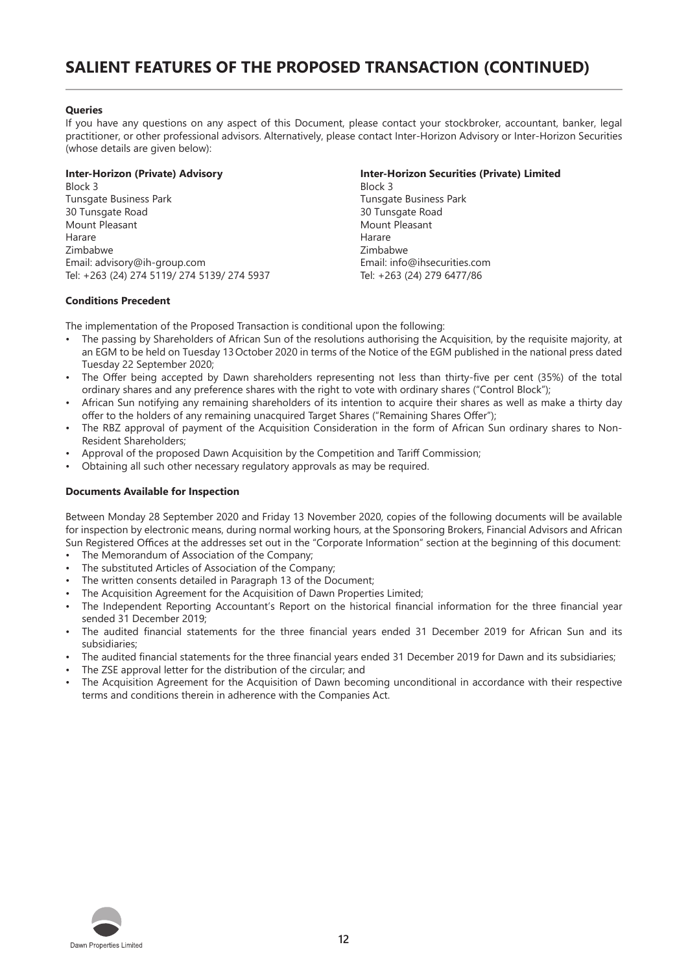#### **Queries**

If you have any questions on any aspect of this Document, please contact your stockbroker, accountant, banker, legal practitioner, or other professional advisors. Alternatively, please contact Inter-Horizon Advisory or Inter-Horizon Securities (whose details are given below):

Block 3 Block 3 Tunsgate Business Park Tunsgate Business Park Tunsgate Business Park Tunsgate Business Park Tunsgate Business Park Tunsgate Road 30 Tunsgate Road 30 Tunsgate Road Mount Pleasant Mount Pleasant Harare Harare Zimbabwe Zimbabwe Email: advisory@ih-group.com Email: info@ihsecurities.com Tel: +263 (24) 274 5119/ 274 5139/ 274 5937 Tel: +263 (24) 279 6477/86

#### **Conditions Precedent**

The implementation of the Proposed Transaction is conditional upon the following:

- The passing by Shareholders of African Sun of the resolutions authorising the Acquisition, by the requisite majority, at an EGM to be held on Tuesday 13October 2020 in terms of the Notice of the EGM published in the national press dated Tuesday 22 September 2020;
- The Offer being accepted by Dawn shareholders representing not less than thirty-five per cent (35%) of the total ordinary shares and any preference shares with the right to vote with ordinary shares ("Control Block");
- African Sun notifying any remaining shareholders of its intention to acquire their shares as well as make a thirty day offer to the holders of any remaining unacquired Target Shares ("Remaining Shares Offer");
- The RBZ approval of payment of the Acquisition Consideration in the form of African Sun ordinary shares to Non-Resident Shareholders;
- Approval of the proposed Dawn Acquisition by the Competition and Tariff Commission;
- Obtaining all such other necessary regulatory approvals as may be required.

#### **Documents Available for Inspection**

Between Monday 28 September 2020 and Friday 13 November 2020, copies of the following documents will be available for inspection by electronic means, during normal working hours, at the Sponsoring Brokers, Financial Advisors and African Sun Registered Offices at the addresses set out in the "Corporate Information" section at the beginning of this document:

- The Memorandum of Association of the Company;
- The substituted Articles of Association of the Company:
- The written consents detailed in Paragraph 13 of the Document;
- The Acquisition Agreement for the Acquisition of Dawn Properties Limited;
- The Independent Reporting Accountant's Report on the historical financial information for the three financial year sended 31 December 2019;
- The audited financial statements for the three financial years ended 31 December 2019 for African Sun and its subsidiaries;
- The audited financial statements for the three financial years ended 31 December 2019 for Dawn and its subsidiaries;
- The ZSE approval letter for the distribution of the circular; and
- The Acquisition Agreement for the Acquisition of Dawn becoming unconditional in accordance with their respective terms and conditions therein in adherence with the Companies Act.



**Inter-Horizon (Private) Advisory Inter-Horizon Securities (Private) Limited**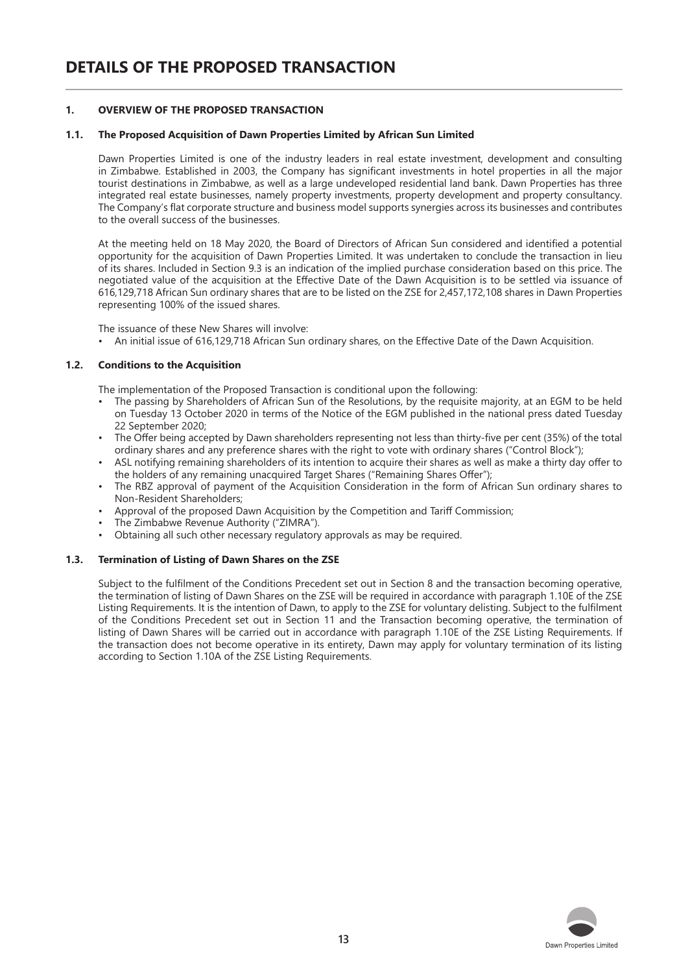#### **1. OVERVIEW OF THE PROPOSED TRANSACTION**

#### **1.1. The Proposed Acquisition of Dawn Properties Limited by African Sun Limited**

Dawn Properties Limited is one of the industry leaders in real estate investment, development and consulting in Zimbabwe. Established in 2003, the Company has significant investments in hotel properties in all the major tourist destinations in Zimbabwe, as well as a large undeveloped residential land bank. Dawn Properties has three integrated real estate businesses, namely property investments, property development and property consultancy. The Company's flat corporate structure and business model supports synergies across its businesses and contributes to the overall success of the businesses.

At the meeting held on 18 May 2020, the Board of Directors of African Sun considered and identified a potential opportunity for the acquisition of Dawn Properties Limited. It was undertaken to conclude the transaction in lieu of its shares. Included in Section 9.3 is an indication of the implied purchase consideration based on this price. The negotiated value of the acquisition at the Effective Date of the Dawn Acquisition is to be settled via issuance of 616,129,718 African Sun ordinary shares that are to be listed on the ZSE for 2,457,172,108 shares in Dawn Properties representing 100% of the issued shares.

The issuance of these New Shares will involve:

• An initial issue of 616,129,718 African Sun ordinary shares, on the Effective Date of the Dawn Acquisition.

#### **1.2. Conditions to the Acquisition**

The implementation of the Proposed Transaction is conditional upon the following:

- The passing by Shareholders of African Sun of the Resolutions, by the requisite majority, at an EGM to be held on Tuesday 13 October 2020 in terms of the Notice of the EGM published in the national press dated Tuesday 22 September 2020;
- The Offer being accepted by Dawn shareholders representing not less than thirty-five per cent (35%) of the total ordinary shares and any preference shares with the right to vote with ordinary shares ("Control Block");
- ASL notifying remaining shareholders of its intention to acquire their shares as well as make a thirty day offer to the holders of any remaining unacquired Target Shares ("Remaining Shares Offer");
- The RBZ approval of payment of the Acquisition Consideration in the form of African Sun ordinary shares to Non-Resident Shareholders;
- Approval of the proposed Dawn Acquisition by the Competition and Tariff Commission;
- The Zimbabwe Revenue Authority ("ZIMRA").
- Obtaining all such other necessary regulatory approvals as may be required.

#### **1.3. Termination of Listing of Dawn Shares on the ZSE**

Subject to the fulfilment of the Conditions Precedent set out in Section 8 and the transaction becoming operative, the termination of listing of Dawn Shares on the ZSE will be required in accordance with paragraph 1.10E of the ZSE Listing Requirements. It is the intention of Dawn, to apply to the ZSE for voluntary delisting. Subject to the fulfilment of the Conditions Precedent set out in Section 11 and the Transaction becoming operative, the termination of listing of Dawn Shares will be carried out in accordance with paragraph 1.10E of the ZSE Listing Requirements. If the transaction does not become operative in its entirety, Dawn may apply for voluntary termination of its listing according to Section 1.10A of the ZSE Listing Requirements.

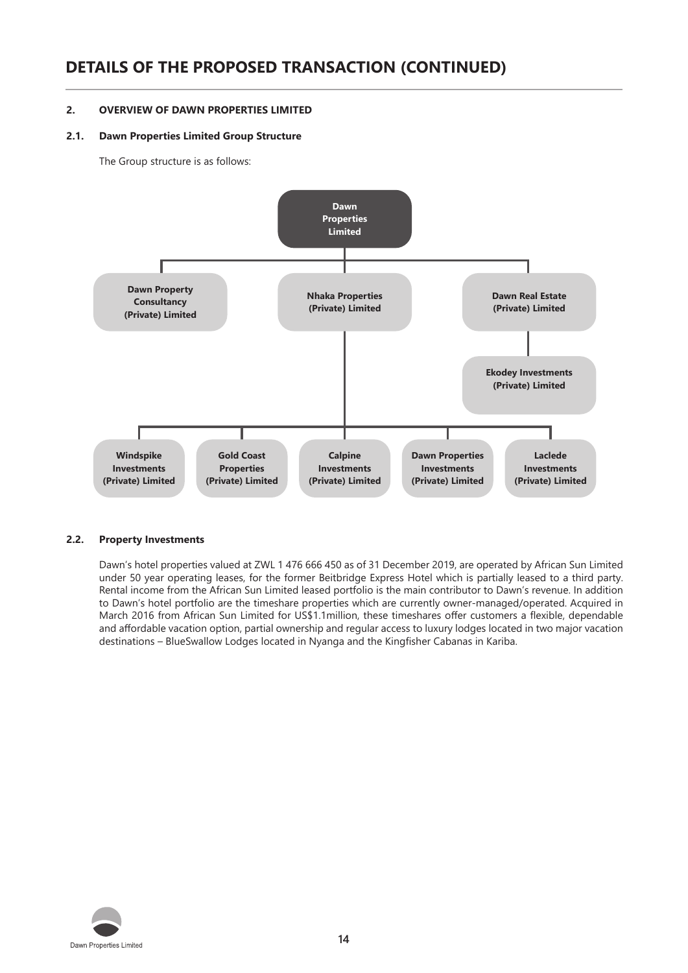# **DETAILS OF THE PROPOSED TRANSACTION (CONTINUED)**

#### **2. OVERVIEW OF DAWN PROPERTIES LIMITED**

#### **2.1. Dawn Properties Limited Group Structure**

The Group structure is as follows:



#### **2.2. Property Investments**

Dawn's hotel properties valued at ZWL 1 476 666 450 as of 31 December 2019, are operated by African Sun Limited under 50 year operating leases, for the former Beitbridge Express Hotel which is partially leased to a third party. Rental income from the African Sun Limited leased portfolio is the main contributor to Dawn's revenue. In addition to Dawn's hotel portfolio are the timeshare properties which are currently owner-managed/operated. Acquired in March 2016 from African Sun Limited for US\$1.1million, these timeshares offer customers a flexible, dependable and affordable vacation option, partial ownership and regular access to luxury lodges located in two major vacation destinations – BlueSwallow Lodges located in Nyanga and the Kingfisher Cabanas in Kariba.

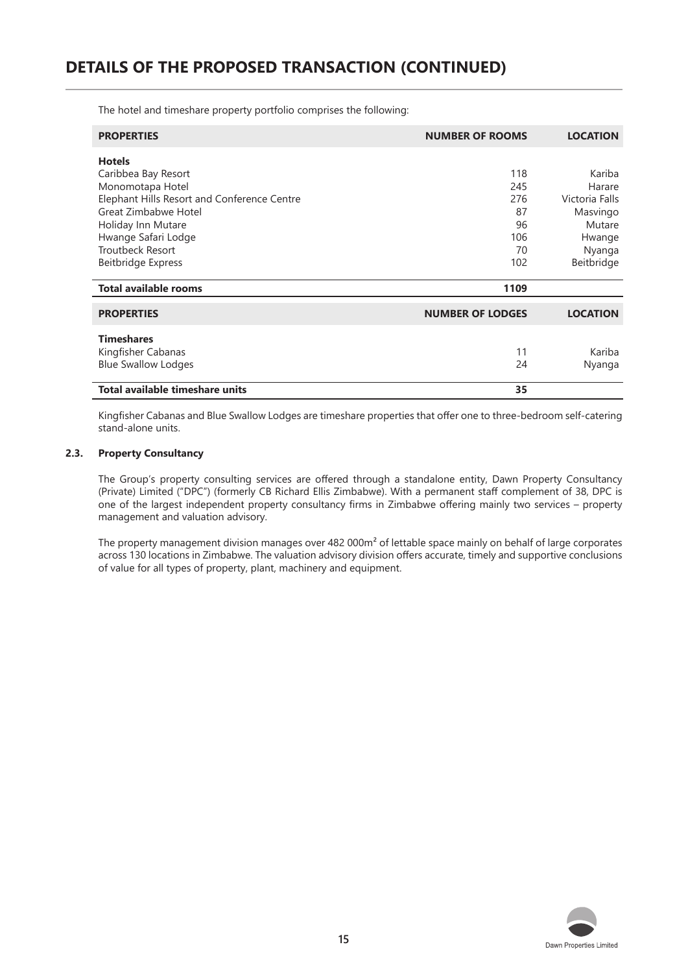The hotel and timeshare property portfolio comprises the following:

| <b>PROPERTIES</b>                           | <b>NUMBER OF ROOMS</b>  | <b>LOCATION</b> |
|---------------------------------------------|-------------------------|-----------------|
| <b>Hotels</b>                               |                         |                 |
| Caribbea Bay Resort                         | 118                     | Kariba          |
| Monomotapa Hotel                            | 245                     | Harare          |
| Elephant Hills Resort and Conference Centre | 276                     | Victoria Falls  |
| Great Zimbabwe Hotel                        | 87                      | Masvingo        |
| Holiday Inn Mutare                          | 96                      | Mutare          |
| Hwange Safari Lodge                         | 106                     | Hwange          |
| <b>Troutbeck Resort</b>                     | 70                      | Nyanga          |
| <b>Beitbridge Express</b>                   | 102                     | Beitbridge      |
| <b>Total available rooms</b>                | 1109                    |                 |
| <b>PROPERTIES</b>                           | <b>NUMBER OF LODGES</b> | <b>LOCATION</b> |
| <b>Timeshares</b>                           |                         |                 |
| Kingfisher Cabanas                          | 11                      | Kariba          |
| <b>Blue Swallow Lodges</b>                  | 24                      | Nyanga          |
| Total available timeshare units             | 35                      |                 |

Kingfisher Cabanas and Blue Swallow Lodges are timeshare properties that offer one to three-bedroom self-catering stand-alone units.

#### **2.3. Property Consultancy**

The Group's property consulting services are offered through a standalone entity, Dawn Property Consultancy (Private) Limited ("DPC") (formerly CB Richard Ellis Zimbabwe). With a permanent staff complement of 38, DPC is one of the largest independent property consultancy firms in Zimbabwe offering mainly two services – property management and valuation advisory.

The property management division manages over 482 000m<sup>2</sup> of lettable space mainly on behalf of large corporates across 130 locations in Zimbabwe. The valuation advisory division offers accurate, timely and supportive conclusions of value for all types of property, plant, machinery and equipment.

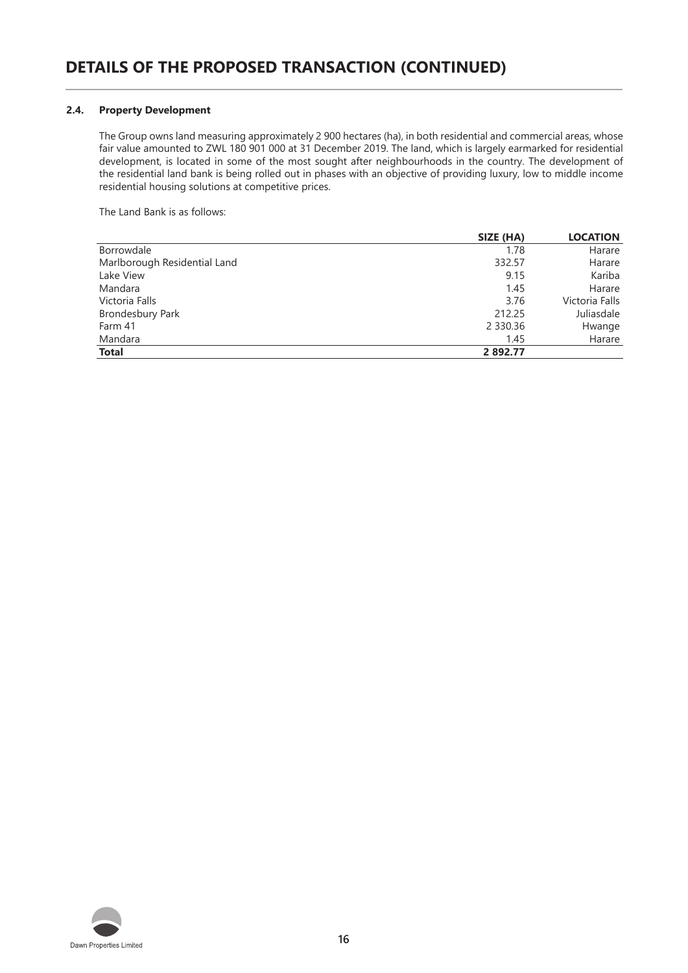#### **2.4. Property Development**

The Group owns land measuring approximately 2 900 hectares (ha), in both residential and commercial areas, whose fair value amounted to ZWL 180 901 000 at 31 December 2019. The land, which is largely earmarked for residential development, is located in some of the most sought after neighbourhoods in the country. The development of the residential land bank is being rolled out in phases with an objective of providing luxury, low to middle income residential housing solutions at competitive prices.

The Land Bank is as follows:

|                              | SIZE (HA)     | <b>LOCATION</b> |
|------------------------------|---------------|-----------------|
| Borrowdale                   | 1.78          | Harare          |
| Marlborough Residential Land | 332.57        | Harare          |
| Lake View                    | 9.15          | Kariba          |
| Mandara                      | 1.45          | Harare          |
| Victoria Falls               | 3.76          | Victoria Falls  |
| <b>Brondesbury Park</b>      | 212.25        | Juliasdale      |
| Farm 41                      | 2 3 3 0 . 3 6 | Hwange          |
| Mandara                      | 1.45          | Harare          |
| <b>Total</b>                 | 2 892.77      |                 |

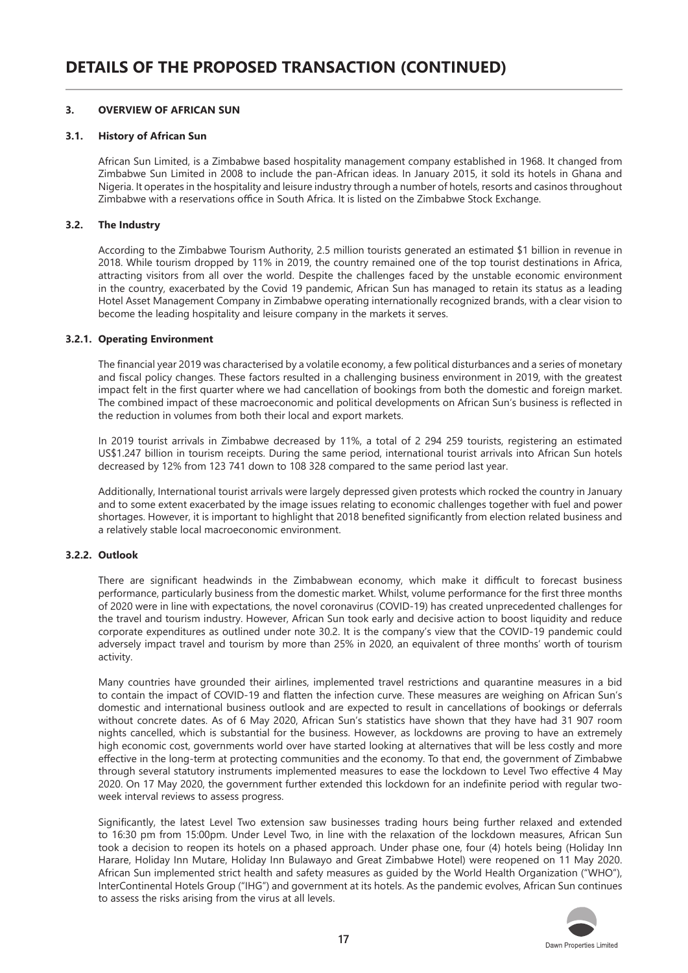#### **3. OVERVIEW OF AFRICAN SUN**

#### **3.1. History of African Sun**

African Sun Limited, is a Zimbabwe based hospitality management company established in 1968. It changed from Zimbabwe Sun Limited in 2008 to include the pan-African ideas. In January 2015, it sold its hotels in Ghana and Nigeria. It operates in the hospitality and leisure industry through a number of hotels, resorts and casinos throughout Zimbabwe with a reservations office in South Africa. It is listed on the Zimbabwe Stock Exchange.

#### **3.2. The Industry**

According to the Zimbabwe Tourism Authority, 2.5 million tourists generated an estimated \$1 billion in revenue in 2018. While tourism dropped by 11% in 2019, the country remained one of the top tourist destinations in Africa, attracting visitors from all over the world. Despite the challenges faced by the unstable economic environment in the country, exacerbated by the Covid 19 pandemic, African Sun has managed to retain its status as a leading Hotel Asset Management Company in Zimbabwe operating internationally recognized brands, with a clear vision to become the leading hospitality and leisure company in the markets it serves.

#### **3.2.1. Operating Environment**

The financial year 2019 was characterised by a volatile economy, a few political disturbances and a series of monetary and fiscal policy changes. These factors resulted in a challenging business environment in 2019, with the greatest impact felt in the first quarter where we had cancellation of bookings from both the domestic and foreign market. The combined impact of these macroeconomic and political developments on African Sun's business is reflected in the reduction in volumes from both their local and export markets.

In 2019 tourist arrivals in Zimbabwe decreased by 11%, a total of 2 294 259 tourists, registering an estimated US\$1.247 billion in tourism receipts. During the same period, international tourist arrivals into African Sun hotels decreased by 12% from 123 741 down to 108 328 compared to the same period last year.

Additionally, International tourist arrivals were largely depressed given protests which rocked the country in January and to some extent exacerbated by the image issues relating to economic challenges together with fuel and power shortages. However, it is important to highlight that 2018 benefited significantly from election related business and a relatively stable local macroeconomic environment.

#### **3.2.2. Outlook**

There are significant headwinds in the Zimbabwean economy, which make it difficult to forecast business performance, particularly business from the domestic market. Whilst, volume performance for the first three months of 2020 were in line with expectations, the novel coronavirus (COVID-19) has created unprecedented challenges for the travel and tourism industry. However, African Sun took early and decisive action to boost liquidity and reduce corporate expenditures as outlined under note 30.2. It is the company's view that the COVID-19 pandemic could adversely impact travel and tourism by more than 25% in 2020, an equivalent of three months' worth of tourism activity.

Many countries have grounded their airlines, implemented travel restrictions and quarantine measures in a bid to contain the impact of COVID-19 and flatten the infection curve. These measures are weighing on African Sun's domestic and international business outlook and are expected to result in cancellations of bookings or deferrals without concrete dates. As of 6 May 2020, African Sun's statistics have shown that they have had 31 907 room nights cancelled, which is substantial for the business. However, as lockdowns are proving to have an extremely high economic cost, governments world over have started looking at alternatives that will be less costly and more effective in the long-term at protecting communities and the economy. To that end, the government of Zimbabwe through several statutory instruments implemented measures to ease the lockdown to Level Two effective 4 May 2020. On 17 May 2020, the government further extended this lockdown for an indefinite period with regular twoweek interval reviews to assess progress.

Significantly, the latest Level Two extension saw businesses trading hours being further relaxed and extended to 16:30 pm from 15:00pm. Under Level Two, in line with the relaxation of the lockdown measures, African Sun took a decision to reopen its hotels on a phased approach. Under phase one, four (4) hotels being (Holiday Inn Harare, Holiday Inn Mutare, Holiday Inn Bulawayo and Great Zimbabwe Hotel) were reopened on 11 May 2020. African Sun implemented strict health and safety measures as guided by the World Health Organization ("WHO"), InterContinental Hotels Group ("IHG") and government at its hotels. As the pandemic evolves, African Sun continues to assess the risks arising from the virus at all levels.

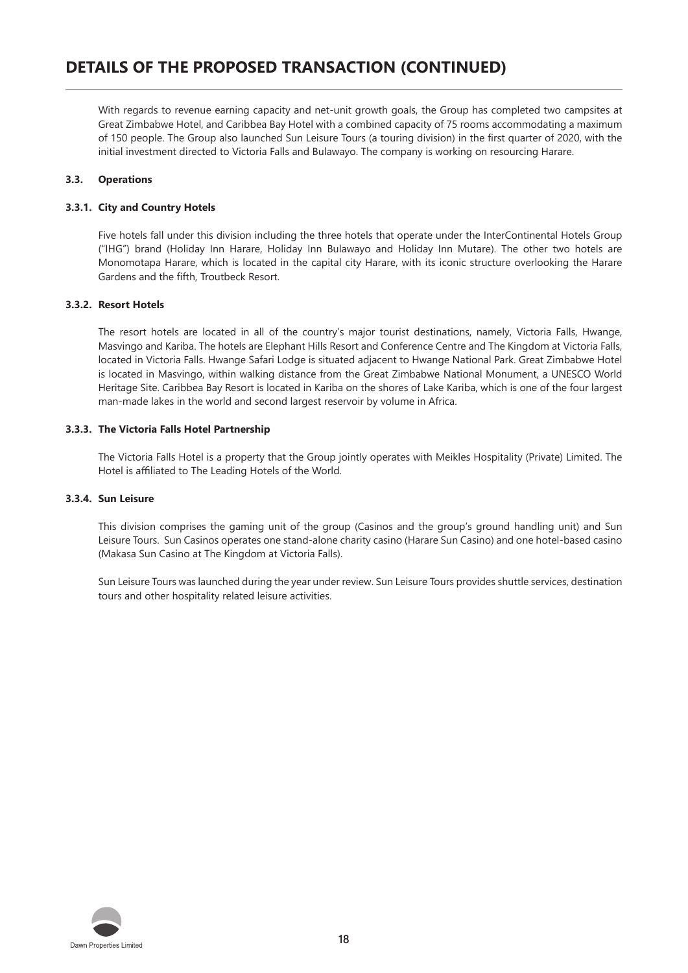With regards to revenue earning capacity and net-unit growth goals, the Group has completed two campsites at Great Zimbabwe Hotel, and Caribbea Bay Hotel with a combined capacity of 75 rooms accommodating a maximum of 150 people. The Group also launched Sun Leisure Tours (a touring division) in the first quarter of 2020, with the initial investment directed to Victoria Falls and Bulawayo. The company is working on resourcing Harare.

#### **3.3. Operations**

#### **3.3.1. City and Country Hotels**

Five hotels fall under this division including the three hotels that operate under the InterContinental Hotels Group ("IHG") brand (Holiday Inn Harare, Holiday Inn Bulawayo and Holiday Inn Mutare). The other two hotels are Monomotapa Harare, which is located in the capital city Harare, with its iconic structure overlooking the Harare Gardens and the fifth, Troutbeck Resort.

#### **3.3.2. Resort Hotels**

The resort hotels are located in all of the country's major tourist destinations, namely, Victoria Falls, Hwange, Masvingo and Kariba. The hotels are Elephant Hills Resort and Conference Centre and The Kingdom at Victoria Falls, located in Victoria Falls. Hwange Safari Lodge is situated adjacent to Hwange National Park. Great Zimbabwe Hotel is located in Masvingo, within walking distance from the Great Zimbabwe National Monument, a UNESCO World Heritage Site. Caribbea Bay Resort is located in Kariba on the shores of Lake Kariba, which is one of the four largest man-made lakes in the world and second largest reservoir by volume in Africa.

#### **3.3.3. The Victoria Falls Hotel Partnership**

The Victoria Falls Hotel is a property that the Group jointly operates with Meikles Hospitality (Private) Limited. The Hotel is affiliated to The Leading Hotels of the World.

#### **3.3.4. Sun Leisure**

This division comprises the gaming unit of the group (Casinos and the group's ground handling unit) and Sun Leisure Tours. Sun Casinos operates one stand-alone charity casino (Harare Sun Casino) and one hotel-based casino (Makasa Sun Casino at The Kingdom at Victoria Falls).

Sun Leisure Tours was launched during the year under review. Sun Leisure Tours provides shuttle services, destination tours and other hospitality related leisure activities.

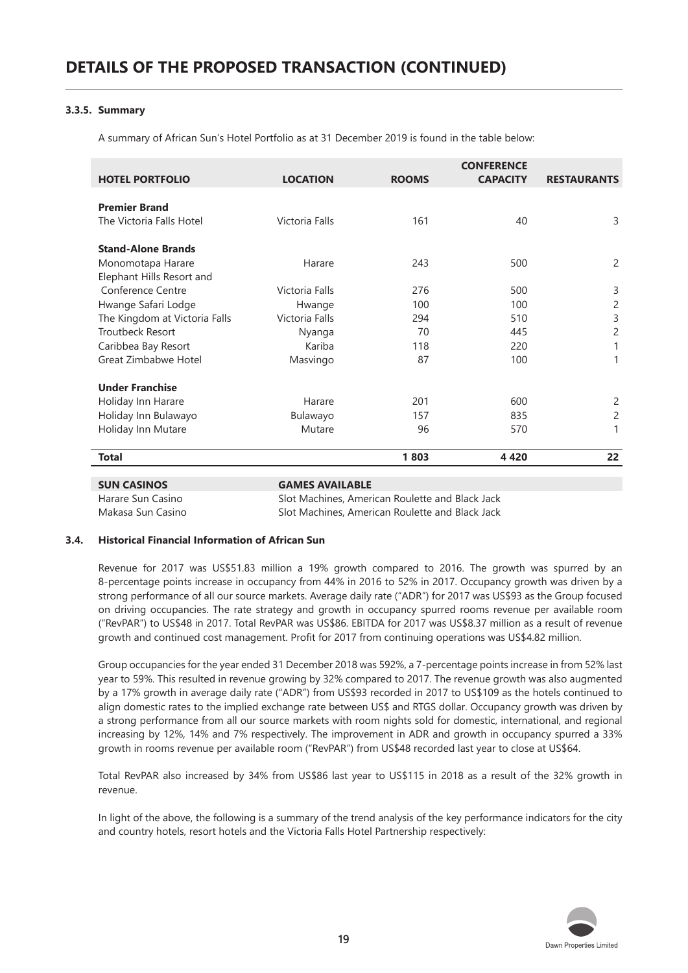#### **3.3.5. Summary**

A summary of African Sun's Hotel Portfolio as at 31 December 2019 is found in the table below:

| <b>HOTEL PORTFOLIO</b>        | <b>LOCATION</b> | <b>ROOMS</b> | <b>CONFERENCE</b><br><b>CAPACITY</b> | <b>RESTAURANTS</b> |
|-------------------------------|-----------------|--------------|--------------------------------------|--------------------|
| <b>Premier Brand</b>          |                 |              |                                      |                    |
| The Victoria Falls Hotel      | Victoria Falls  | 161          | 40                                   | 3                  |
| <b>Stand-Alone Brands</b>     |                 |              |                                      |                    |
| Monomotapa Harare             | Harare          | 243          | 500                                  |                    |
| Elephant Hills Resort and     |                 |              |                                      |                    |
| Conference Centre             | Victoria Falls  | 276          | 500                                  | 3                  |
| Hwange Safari Lodge           | Hwange          | 100          | 100                                  |                    |
| The Kingdom at Victoria Falls | Victoria Falls  | 294          | 510                                  | 3                  |
| Troutbeck Resort              | Nyanga          | 70           | 445                                  |                    |
| Caribbea Bay Resort           | Kariba          | 118          | 220                                  |                    |
| Great Zimbabwe Hotel          | Masvingo        | 87           | 100                                  |                    |
| <b>Under Franchise</b>        |                 |              |                                      |                    |
| Holiday Inn Harare            | Harare          | 201          | 600                                  |                    |
| Holiday Inn Bulawayo          | Bulawayo        | 157          | 835                                  |                    |
| Holiday Inn Mutare            | Mutare          | 96           | 570                                  |                    |
| <b>Total</b>                  |                 | 1803         | 4 4 2 0                              | 22                 |

| Harare Sun Casino | Slot Machines, American Roulette and Black Jack |
|-------------------|-------------------------------------------------|
| Makasa Sun Casino | Slot Machines, American Roulette and Black Jack |

#### **3.4. Historical Financial Information of African Sun**

Revenue for 2017 was US\$51.83 million a 19% growth compared to 2016. The growth was spurred by an 8-percentage points increase in occupancy from 44% in 2016 to 52% in 2017. Occupancy growth was driven by a strong performance of all our source markets. Average daily rate ("ADR") for 2017 was US\$93 as the Group focused on driving occupancies. The rate strategy and growth in occupancy spurred rooms revenue per available room ("RevPAR") to US\$48 in 2017. Total RevPAR was US\$86. EBITDA for 2017 was US\$8.37 million as a result of revenue growth and continued cost management. Profit for 2017 from continuing operations was US\$4.82 million.

Group occupancies for the year ended 31 December 2018 was 592%, a 7-percentage points increase in from 52% last year to 59%. This resulted in revenue growing by 32% compared to 2017. The revenue growth was also augmented by a 17% growth in average daily rate ("ADR") from US\$93 recorded in 2017 to US\$109 as the hotels continued to align domestic rates to the implied exchange rate between US\$ and RTGS dollar. Occupancy growth was driven by a strong performance from all our source markets with room nights sold for domestic, international, and regional increasing by 12%, 14% and 7% respectively. The improvement in ADR and growth in occupancy spurred a 33% growth in rooms revenue per available room ("RevPAR") from US\$48 recorded last year to close at US\$64.

Total RevPAR also increased by 34% from US\$86 last year to US\$115 in 2018 as a result of the 32% growth in revenue.

In light of the above, the following is a summary of the trend analysis of the key performance indicators for the city and country hotels, resort hotels and the Victoria Falls Hotel Partnership respectively:

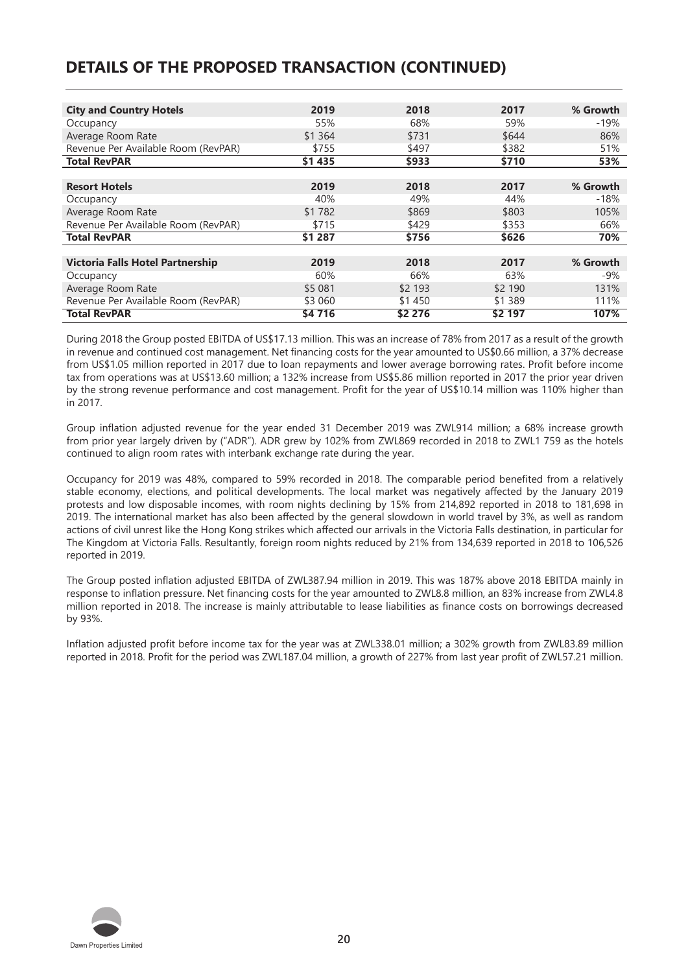# **DETAILS OF THE PROPOSED TRANSACTION (CONTINUED)**

| <b>City and Country Hotels</b>      | 2019      | 2018    | 2017    | % Growth |
|-------------------------------------|-----------|---------|---------|----------|
| Occupancy                           | 55%       | 68%     | 59%     | $-19%$   |
| Average Room Rate                   | \$1 3 6 4 | \$731   | \$644   | 86%      |
| Revenue Per Available Room (RevPAR) | \$755     | \$497   | \$382   | 51%      |
| <b>Total RevPAR</b>                 | \$1 435   | \$933   | \$710   | 53%      |
|                                     |           |         |         |          |
| <b>Resort Hotels</b>                | 2019      | 2018    | 2017    | % Growth |
| Occupancy                           | 40%       | 49%     | 44%     | $-18%$   |
| Average Room Rate                   | \$1 782   | \$869   | \$803   | 105%     |
| Revenue Per Available Room (RevPAR) | \$715     | \$429   | \$353   | 66%      |
| <b>Total RevPAR</b>                 | \$1 287   | \$756   | \$626   | 70%      |
|                                     |           |         |         |          |
| Victoria Falls Hotel Partnership    | 2019      | 2018    | 2017    | % Growth |
| Occupancy                           | 60%       | 66%     | 63%     | $-9%$    |
| Average Room Rate                   | \$5 081   | \$2 193 | \$2 190 | 131%     |
| Revenue Per Available Room (RevPAR) | \$3 060   | \$1450  | \$1 389 | 111%     |
| <b>Total RevPAR</b>                 | \$4716    | \$2 276 | \$2 197 | 107%     |

During 2018 the Group posted EBITDA of US\$17.13 million. This was an increase of 78% from 2017 as a result of the growth in revenue and continued cost management. Net financing costs for the year amounted to US\$0.66 million, a 37% decrease from US\$1.05 million reported in 2017 due to loan repayments and lower average borrowing rates. Profit before income tax from operations was at US\$13.60 million; a 132% increase from US\$5.86 million reported in 2017 the prior year driven by the strong revenue performance and cost management. Profit for the year of US\$10.14 million was 110% higher than in 2017.

Group inflation adjusted revenue for the year ended 31 December 2019 was ZWL914 million; a 68% increase growth from prior year largely driven by ("ADR"). ADR grew by 102% from ZWL869 recorded in 2018 to ZWL1 759 as the hotels continued to align room rates with interbank exchange rate during the year.

Occupancy for 2019 was 48%, compared to 59% recorded in 2018. The comparable period benefited from a relatively stable economy, elections, and political developments. The local market was negatively affected by the January 2019 protests and low disposable incomes, with room nights declining by 15% from 214,892 reported in 2018 to 181,698 in 2019. The international market has also been affected by the general slowdown in world travel by 3%, as well as random actions of civil unrest like the Hong Kong strikes which affected our arrivals in the Victoria Falls destination, in particular for The Kingdom at Victoria Falls. Resultantly, foreign room nights reduced by 21% from 134,639 reported in 2018 to 106,526 reported in 2019.

The Group posted inflation adjusted EBITDA of ZWL387.94 million in 2019. This was 187% above 2018 EBITDA mainly in response to inflation pressure. Net financing costs for the year amounted to ZWL8.8 million, an 83% increase from ZWL4.8 million reported in 2018. The increase is mainly attributable to lease liabilities as finance costs on borrowings decreased by 93%.

Inflation adjusted profit before income tax for the year was at ZWL338.01 million; a 302% growth from ZWL83.89 million reported in 2018. Profit for the period was ZWL187.04 million, a growth of 227% from last year profit of ZWL57.21 million.

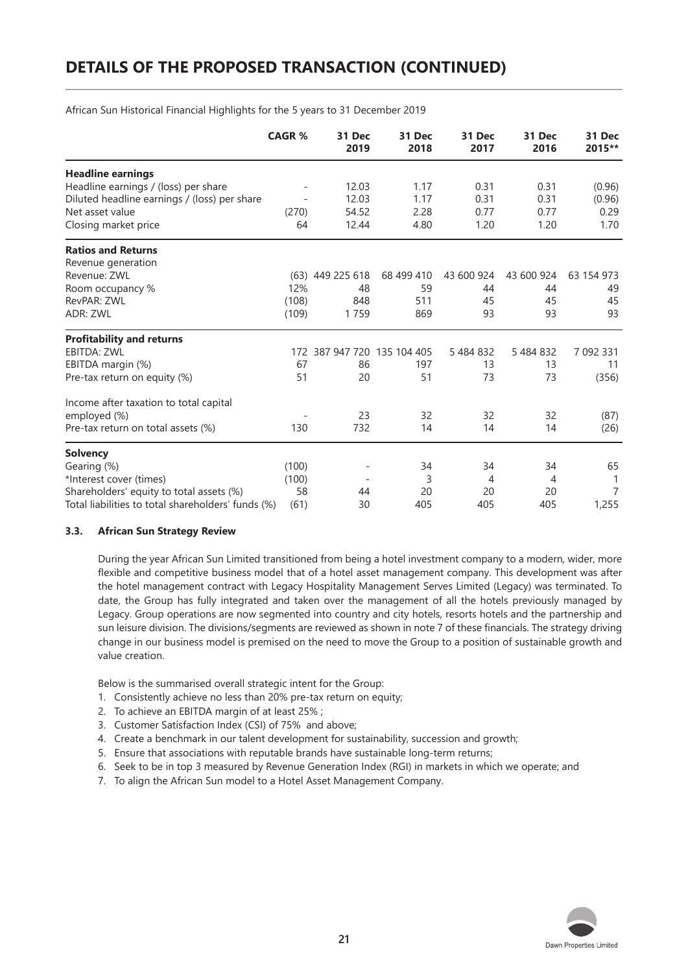# **DETAILS OF THE PROPOSED TRANSACTION (CONTINUED)**

**CAGR % 31 Dec 31 Dec 31 Dec 31 Dec 31 Dec 2019 2018 2017 2016 2015\*\* Headline earnings** Headline earnings / (loss) per share - 12.03 1.17 0.31 0.31 (0.96)<br>Diluted headline earnings / (loss) per share - 12.03 1.17 0.31 0.31 (0.96) Diluted headline earnings / (loss) per share  $\begin{array}{cccc} - & 12.03 & 1.17 & 0.31 & 0.31 & 0.96 \end{array}$ <br>
Net asset value  $\begin{array}{cccc} 0.29 & 0.77 & 0.77 & 0.29 \end{array}$ Net asset value (270) 54.52 2.28 0.77 0.77 0.29 Closing market price  $64$  12.44 4.80 1.20 1.20 1.70 **Ratios and Returns** Revenue generation Revenue: ZWL (63) 449 225 618 68 499 410 43 600 924 43 600 924 63 154 973 Room occupancy % 12% 48 59 44 44 49 RevPAR: ZWL (108) 848 511 45 45 45 ADR: ZWL (109) 1 759 869 93 93 93 **Profitability and returns** EBITDA: ZWL 172 387 947 720 135 104 405 5 484 832 5 484 832 7 092 331 EBITDA margin (%) 67 86 197 13 13 11<br>Pre-tax return on equity (%) 61 20 51 73 73 (356) Pre-tax return on equity (%) 51 20 51 73 73 (356) Income after taxation to total capital employed (%) - 23 32 32 32 (87) Pre-tax return on total assets (%) 130 732 14 14 14 (26) **Solvency** Gearing (%) (100) - 34 34 34 65 \*Interest cover (times) (100) - 3 4 4 1<br>
Shareholders' equity to total assets (%) 58 44 20 20 20 7 Shareholders' equity to total assets (%)  $58$  44 20 20 20 20<br>Total liabilities to total shareholders' funds (%) (61) 30 405 405 405 Total liabilities to total shareholders' funds (%) (61) 30 405 405 405 405 1,255

African Sun Historical Financial Highlights for the 5 years to 31 December 2019

#### **3.3. African Sun Strategy Review**

During the year African Sun Limited transitioned from being a hotel investment company to a modern, wider, more flexible and competitive business model that of a hotel asset management company. This development was after the hotel management contract with Legacy Hospitality Management Serves Limited (Legacy) was terminated. To date, the Group has fully integrated and taken over the management of all the hotels previously managed by Legacy. Group operations are now segmented into country and city hotels, resorts hotels and the partnership and sun leisure division. The divisions/segments are reviewed as shown in note 7 of these financials. The strategy driving change in our business model is premised on the need to move the Group to a position of sustainable growth and value creation.

Below is the summarised overall strategic intent for the Group:

- 1. Consistently achieve no less than 20% pre-tax return on equity;
- 2. To achieve an EBITDA margin of at least 25% ;
- 3. Customer Satisfaction Index (CSI) of 75% and above;
- 4. Create a benchmark in our talent development for sustainability, succession and growth;
- 5. Ensure that associations with reputable brands have sustainable long-term returns;
- 6. Seek to be in top 3 measured by Revenue Generation Index (RGI) in markets in which we operate; and
- 7. To align the African Sun model to a Hotel Asset Management Company.

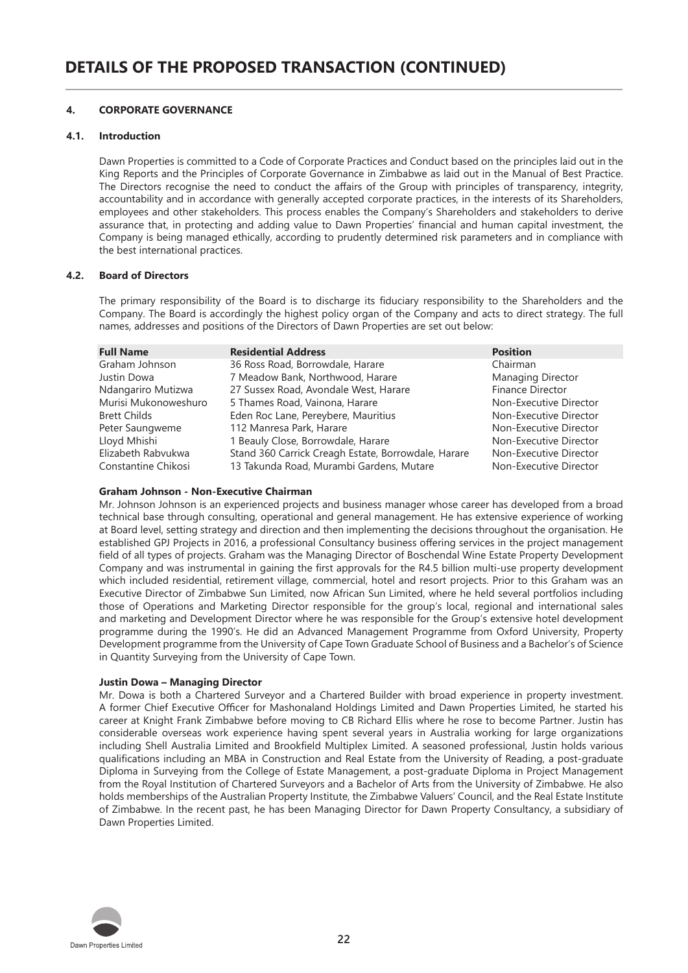#### **4. CORPORATE GOVERNANCE**

#### **4.1. Introduction**

Dawn Properties is committed to a Code of Corporate Practices and Conduct based on the principles laid out in the King Reports and the Principles of Corporate Governance in Zimbabwe as laid out in the Manual of Best Practice. The Directors recognise the need to conduct the affairs of the Group with principles of transparency, integrity, accountability and in accordance with generally accepted corporate practices, in the interests of its Shareholders, employees and other stakeholders. This process enables the Company's Shareholders and stakeholders to derive assurance that, in protecting and adding value to Dawn Properties' financial and human capital investment, the Company is being managed ethically, according to prudently determined risk parameters and in compliance with the best international practices.

#### **4.2. Board of Directors**

The primary responsibility of the Board is to discharge its fiduciary responsibility to the Shareholders and the Company. The Board is accordingly the highest policy organ of the Company and acts to direct strategy. The full names, addresses and positions of the Directors of Dawn Properties are set out below:

| <b>Full Name</b>     | <b>Residential Address</b>                          | <b>Position</b>         |
|----------------------|-----------------------------------------------------|-------------------------|
| Graham Johnson       | 36 Ross Road, Borrowdale, Harare                    | Chairman                |
| Justin Dowa          | 7 Meadow Bank, Northwood, Harare                    | Managing Director       |
| Ndangariro Mutizwa   | 27 Sussex Road, Avondale West, Harare               | <b>Finance Director</b> |
| Murisi Mukonoweshuro | 5 Thames Road, Vainona, Harare                      | Non-Executive Director  |
| <b>Brett Childs</b>  | Eden Roc Lane, Pereybere, Mauritius                 | Non-Executive Director  |
| Peter Saungweme      | 112 Manresa Park, Harare                            | Non-Executive Director  |
| Lloyd Mhishi         | 1 Beauly Close, Borrowdale, Harare                  | Non-Executive Director  |
| Elizabeth Rabvukwa   | Stand 360 Carrick Creagh Estate, Borrowdale, Harare | Non-Executive Director  |
| Constantine Chikosi  | 13 Takunda Road, Murambi Gardens, Mutare            | Non-Executive Director  |

#### **Graham Johnson - Non-Executive Chairman**

Mr. Johnson Johnson is an experienced projects and business manager whose career has developed from a broad technical base through consulting, operational and general management. He has extensive experience of working at Board level, setting strategy and direction and then implementing the decisions throughout the organisation. He established GPJ Projects in 2016, a professional Consultancy business offering services in the project management field of all types of projects. Graham was the Managing Director of Boschendal Wine Estate Property Development Company and was instrumental in gaining the first approvals for the R4.5 billion multi-use property development which included residential, retirement village, commercial, hotel and resort projects. Prior to this Graham was an Executive Director of Zimbabwe Sun Limited, now African Sun Limited, where he held several portfolios including those of Operations and Marketing Director responsible for the group's local, regional and international sales and marketing and Development Director where he was responsible for the Group's extensive hotel development programme during the 1990's. He did an Advanced Management Programme from Oxford University, Property Development programme from the University of Cape Town Graduate School of Business and a Bachelor's of Science in Quantity Surveying from the University of Cape Town.

#### **Justin Dowa – Managing Director**

Mr. Dowa is both a Chartered Surveyor and a Chartered Builder with broad experience in property investment. A former Chief Executive Officer for Mashonaland Holdings Limited and Dawn Properties Limited, he started his career at Knight Frank Zimbabwe before moving to CB Richard Ellis where he rose to become Partner. Justin has considerable overseas work experience having spent several years in Australia working for large organizations including Shell Australia Limited and Brookfield Multiplex Limited. A seasoned professional, Justin holds various qualifications including an MBA in Construction and Real Estate from the University of Reading, a post-graduate Diploma in Surveying from the College of Estate Management, a post-graduate Diploma in Project Management from the Royal Institution of Chartered Surveyors and a Bachelor of Arts from the University of Zimbabwe. He also holds memberships of the Australian Property Institute, the Zimbabwe Valuers' Council, and the Real Estate Institute of Zimbabwe. In the recent past, he has been Managing Director for Dawn Property Consultancy, a subsidiary of Dawn Properties Limited.

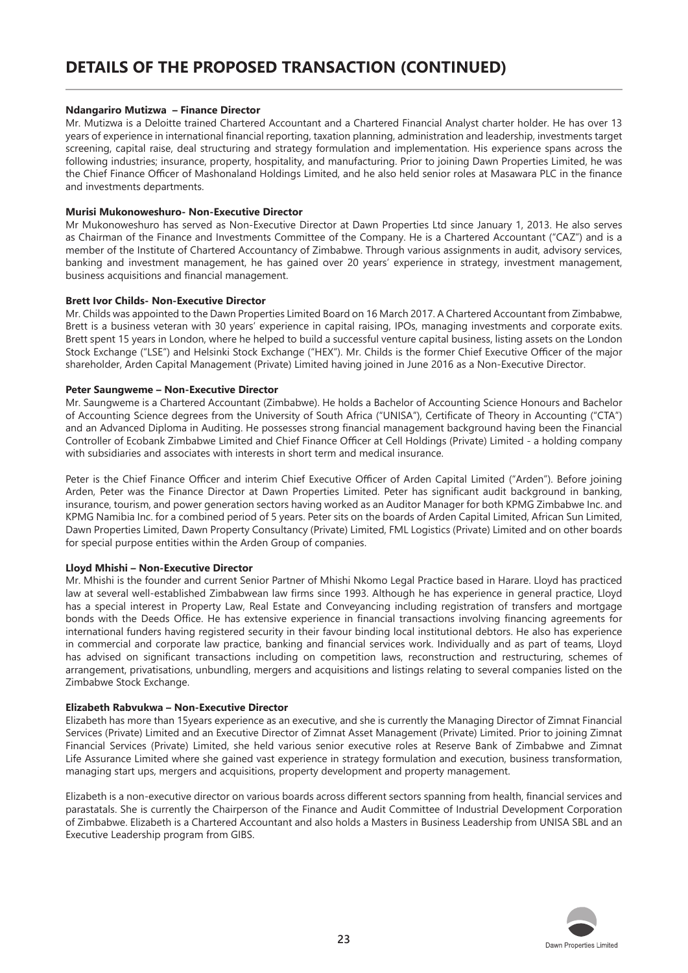#### **Ndangariro Mutizwa – Finance Director**

Mr. Mutizwa is a Deloitte trained Chartered Accountant and a Chartered Financial Analyst charter holder. He has over 13 years of experience in international financial reporting, taxation planning, administration and leadership, investments target screening, capital raise, deal structuring and strategy formulation and implementation. His experience spans across the following industries; insurance, property, hospitality, and manufacturing. Prior to joining Dawn Properties Limited, he was the Chief Finance Officer of Mashonaland Holdings Limited, and he also held senior roles at Masawara PLC in the finance and investments departments.

#### **Murisi Mukonoweshuro- Non-Executive Director**

Mr Mukonoweshuro has served as Non-Executive Director at Dawn Properties Ltd since January 1, 2013. He also serves as Chairman of the Finance and Investments Committee of the Company. He is a Chartered Accountant ("CAZ") and is a member of the Institute of Chartered Accountancy of Zimbabwe. Through various assignments in audit, advisory services, banking and investment management, he has gained over 20 years' experience in strategy, investment management, business acquisitions and financial management.

#### **Brett Ivor Childs- Non-Executive Director**

Mr. Childs was appointed to the Dawn Properties Limited Board on 16 March 2017. A Chartered Accountant from Zimbabwe, Brett is a business veteran with 30 years' experience in capital raising, IPOs, managing investments and corporate exits. Brett spent 15 years in London, where he helped to build a successful venture capital business, listing assets on the London Stock Exchange ("LSE") and Helsinki Stock Exchange ("HEX"). Mr. Childs is the former Chief Executive Officer of the major shareholder, Arden Capital Management (Private) Limited having joined in June 2016 as a Non-Executive Director.

#### **Peter Saungweme – Non-Executive Director**

Mr. Saungweme is a Chartered Accountant (Zimbabwe). He holds a Bachelor of Accounting Science Honours and Bachelor of Accounting Science degrees from the University of South Africa ("UNISA"), Certificate of Theory in Accounting ("CTA") and an Advanced Diploma in Auditing. He possesses strong financial management background having been the Financial Controller of Ecobank Zimbabwe Limited and Chief Finance Officer at Cell Holdings (Private) Limited - a holding company with subsidiaries and associates with interests in short term and medical insurance.

Peter is the Chief Finance Officer and interim Chief Executive Officer of Arden Capital Limited ("Arden"). Before joining Arden, Peter was the Finance Director at Dawn Properties Limited. Peter has significant audit background in banking, insurance, tourism, and power generation sectors having worked as an Auditor Manager for both KPMG Zimbabwe Inc. and KPMG Namibia Inc. for a combined period of 5 years. Peter sits on the boards of Arden Capital Limited, African Sun Limited, Dawn Properties Limited, Dawn Property Consultancy (Private) Limited, FML Logistics (Private) Limited and on other boards for special purpose entities within the Arden Group of companies.

#### **Lloyd Mhishi – Non-Executive Director**

Mr. Mhishi is the founder and current Senior Partner of Mhishi Nkomo Legal Practice based in Harare. Lloyd has practiced law at several well-established Zimbabwean law firms since 1993. Although he has experience in general practice, Lloyd has a special interest in Property Law, Real Estate and Conveyancing including registration of transfers and mortgage bonds with the Deeds Office. He has extensive experience in financial transactions involving financing agreements for international funders having registered security in their favour binding local institutional debtors. He also has experience in commercial and corporate law practice, banking and financial services work. Individually and as part of teams, Lloyd has advised on significant transactions including on competition laws, reconstruction and restructuring, schemes of arrangement, privatisations, unbundling, mergers and acquisitions and listings relating to several companies listed on the Zimbabwe Stock Exchange.

#### **Elizabeth Rabvukwa – Non-Executive Director**

Elizabeth has more than 15years experience as an executive, and she is currently the Managing Director of Zimnat Financial Services (Private) Limited and an Executive Director of Zimnat Asset Management (Private) Limited. Prior to joining Zimnat Financial Services (Private) Limited, she held various senior executive roles at Reserve Bank of Zimbabwe and Zimnat Life Assurance Limited where she gained vast experience in strategy formulation and execution, business transformation, managing start ups, mergers and acquisitions, property development and property management.

Elizabeth is a non-executive director on various boards across different sectors spanning from health, financial services and parastatals. She is currently the Chairperson of the Finance and Audit Committee of Industrial Development Corporation of Zimbabwe. Elizabeth is a Chartered Accountant and also holds a Masters in Business Leadership from UNISA SBL and an Executive Leadership program from GIBS.

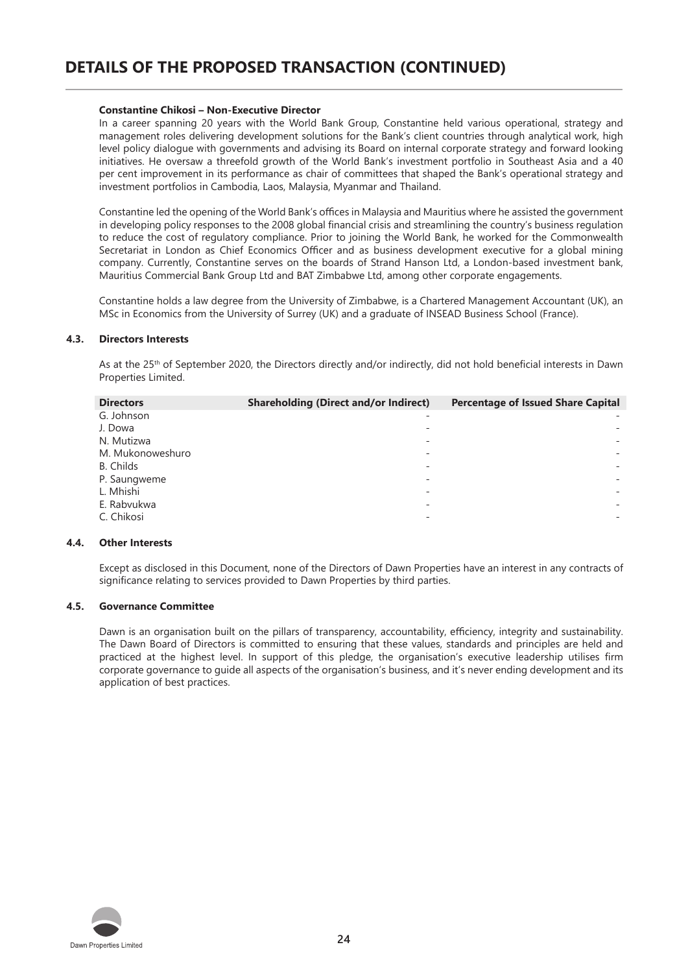#### **Constantine Chikosi – Non-Executive Director**

In a career spanning 20 years with the World Bank Group, Constantine held various operational, strategy and management roles delivering development solutions for the Bank's client countries through analytical work, high level policy dialogue with governments and advising its Board on internal corporate strategy and forward looking initiatives. He oversaw a threefold growth of the World Bank's investment portfolio in Southeast Asia and a 40 per cent improvement in its performance as chair of committees that shaped the Bank's operational strategy and investment portfolios in Cambodia, Laos, Malaysia, Myanmar and Thailand.

Constantine led the opening of the World Bank's offices in Malaysia and Mauritius where he assisted the government in developing policy responses to the 2008 global financial crisis and streamlining the country's business regulation to reduce the cost of regulatory compliance. Prior to joining the World Bank, he worked for the Commonwealth Secretariat in London as Chief Economics Officer and as business development executive for a global mining company. Currently, Constantine serves on the boards of Strand Hanson Ltd, a London-based investment bank, Mauritius Commercial Bank Group Ltd and BAT Zimbabwe Ltd, among other corporate engagements.

Constantine holds a law degree from the University of Zimbabwe, is a Chartered Management Accountant (UK), an MSc in Economics from the University of Surrey (UK) and a graduate of INSEAD Business School (France).

#### **4.3. Directors Interests**

As at the 25<sup>th</sup> of September 2020, the Directors directly and/or indirectly, did not hold beneficial interests in Dawn Properties Limited.

| <b>Directors</b> | <b>Shareholding (Direct and/or Indirect)</b> | <b>Percentage of Issued Share Capital</b> |
|------------------|----------------------------------------------|-------------------------------------------|
| G. Johnson       |                                              |                                           |
| J. Dowa          |                                              |                                           |
| N. Mutizwa       |                                              |                                           |
| M. Mukonoweshuro |                                              |                                           |
| B. Childs        |                                              |                                           |
| P. Saungweme     |                                              |                                           |
| L. Mhishi        |                                              |                                           |
| E. Rabvukwa      |                                              |                                           |
| C. Chikosi       |                                              |                                           |

#### **4.4. Other Interests**

Except as disclosed in this Document, none of the Directors of Dawn Properties have an interest in any contracts of significance relating to services provided to Dawn Properties by third parties.

#### **4.5. Governance Committee**

Dawn is an organisation built on the pillars of transparency, accountability, efficiency, integrity and sustainability. The Dawn Board of Directors is committed to ensuring that these values, standards and principles are held and practiced at the highest level. In support of this pledge, the organisation's executive leadership utilises firm corporate governance to guide all aspects of the organisation's business, and it's never ending development and its application of best practices.

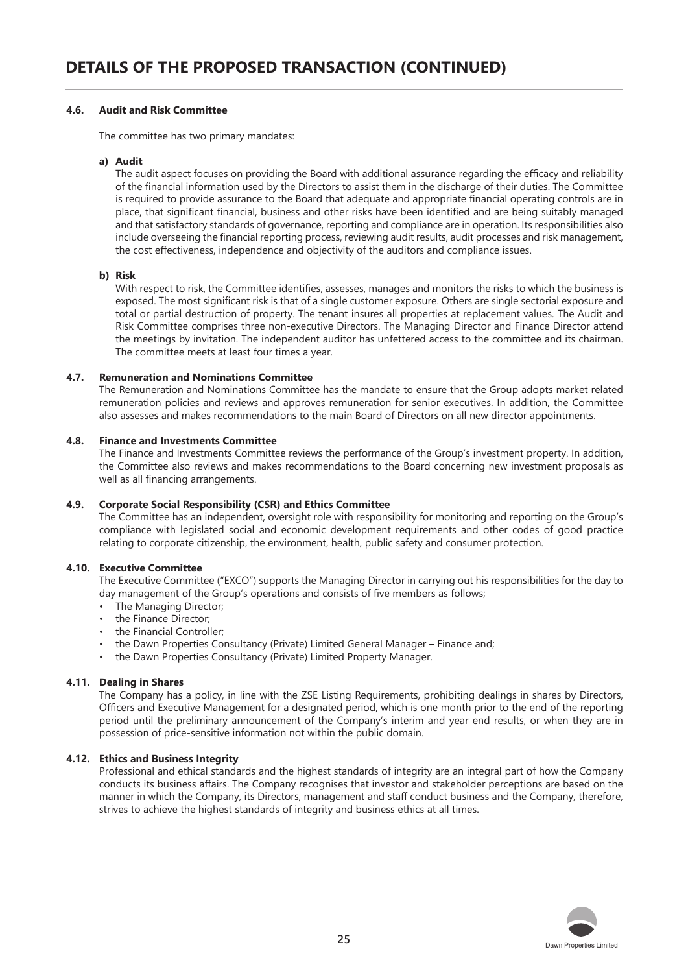#### **4.6. Audit and Risk Committee**

The committee has two primary mandates:

#### **a) Audit**

The audit aspect focuses on providing the Board with additional assurance regarding the efficacy and reliability of the financial information used by the Directors to assist them in the discharge of their duties. The Committee is required to provide assurance to the Board that adequate and appropriate financial operating controls are in place, that significant financial, business and other risks have been identified and are being suitably managed and that satisfactory standards of governance, reporting and compliance are in operation. Its responsibilities also include overseeing the financial reporting process, reviewing audit results, audit processes and risk management, the cost effectiveness, independence and objectivity of the auditors and compliance issues.

#### **b) Risk**

With respect to risk, the Committee identifies, assesses, manages and monitors the risks to which the business is exposed. The most significant risk is that of a single customer exposure. Others are single sectorial exposure and total or partial destruction of property. The tenant insures all properties at replacement values. The Audit and Risk Committee comprises three non-executive Directors. The Managing Director and Finance Director attend the meetings by invitation. The independent auditor has unfettered access to the committee and its chairman. The committee meets at least four times a year.

#### **4.7. Remuneration and Nominations Committee**

The Remuneration and Nominations Committee has the mandate to ensure that the Group adopts market related remuneration policies and reviews and approves remuneration for senior executives. In addition, the Committee also assesses and makes recommendations to the main Board of Directors on all new director appointments.

#### **4.8. Finance and Investments Committee**

The Finance and Investments Committee reviews the performance of the Group's investment property. In addition, the Committee also reviews and makes recommendations to the Board concerning new investment proposals as well as all financing arrangements.

#### **4.9. Corporate Social Responsibility (CSR) and Ethics Committee**

The Committee has an independent, oversight role with responsibility for monitoring and reporting on the Group's compliance with legislated social and economic development requirements and other codes of good practice relating to corporate citizenship, the environment, health, public safety and consumer protection.

#### **4.10. Executive Committee**

The Executive Committee ("EXCO") supports the Managing Director in carrying out his responsibilities for the day to day management of the Group's operations and consists of five members as follows;

- The Managing Director;
- the Finance Director:
- the Financial Controller;
- the Dawn Properties Consultancy (Private) Limited General Manager Finance and;
- the Dawn Properties Consultancy (Private) Limited Property Manager.

#### **4.11. Dealing in Shares**

The Company has a policy, in line with the ZSE Listing Requirements, prohibiting dealings in shares by Directors, Officers and Executive Management for a designated period, which is one month prior to the end of the reporting period until the preliminary announcement of the Company's interim and year end results, or when they are in possession of price-sensitive information not within the public domain.

#### **4.12. Ethics and Business Integrity**

Professional and ethical standards and the highest standards of integrity are an integral part of how the Company conducts its business affairs. The Company recognises that investor and stakeholder perceptions are based on the manner in which the Company, its Directors, management and staff conduct business and the Company, therefore, strives to achieve the highest standards of integrity and business ethics at all times.

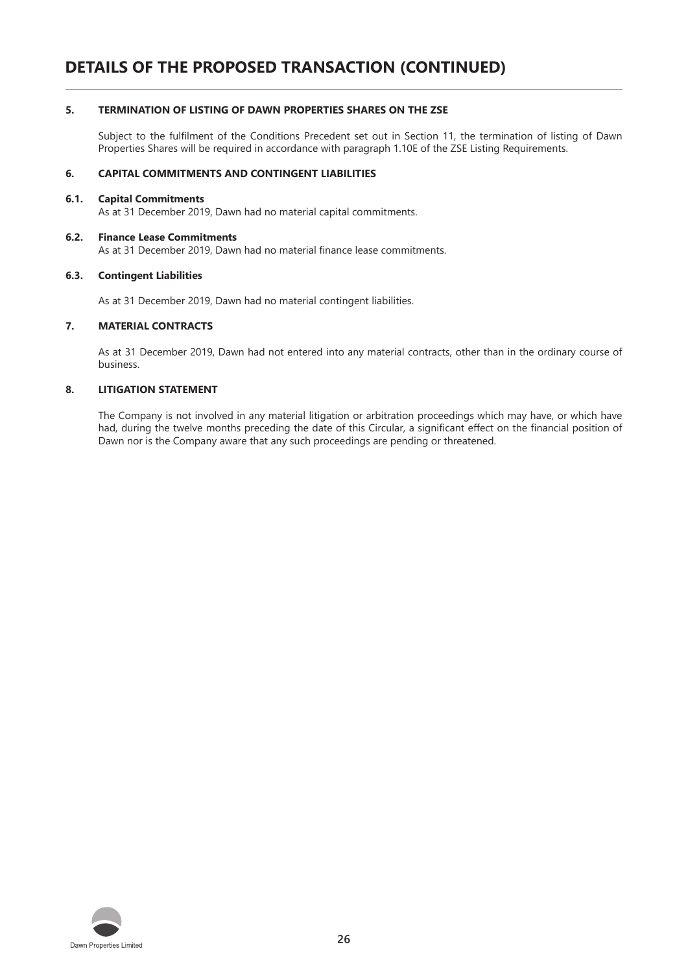#### **5. TERMINATION OF LISTING OF DAWN PROPERTIES SHARES ON THE ZSE**

Subject to the fulfilment of the Conditions Precedent set out in Section 11, the termination of listing of Dawn Properties Shares will be required in accordance with paragraph 1.10E of the ZSE Listing Requirements.

#### **6. CAPITAL COMMITMENTS AND CONTINGENT LIABILITIES**

#### **6.1. Capital Commitments**

As at 31 December 2019, Dawn had no material capital commitments.

#### **6.2. Finance Lease Commitments**

As at 31 December 2019, Dawn had no material finance lease commitments.

#### **6.3. Contingent Liabilities**

As at 31 December 2019, Dawn had no material contingent liabilities.

#### **7. MATERIAL CONTRACTS**

As at 31 December 2019, Dawn had not entered into any material contracts, other than in the ordinary course of business.

#### **8. LITIGATION STATEMENT**

The Company is not involved in any material litigation or arbitration proceedings which may have, or which have had, during the twelve months preceding the date of this Circular, a significant effect on the financial position of Dawn nor is the Company aware that any such proceedings are pending or threatened.

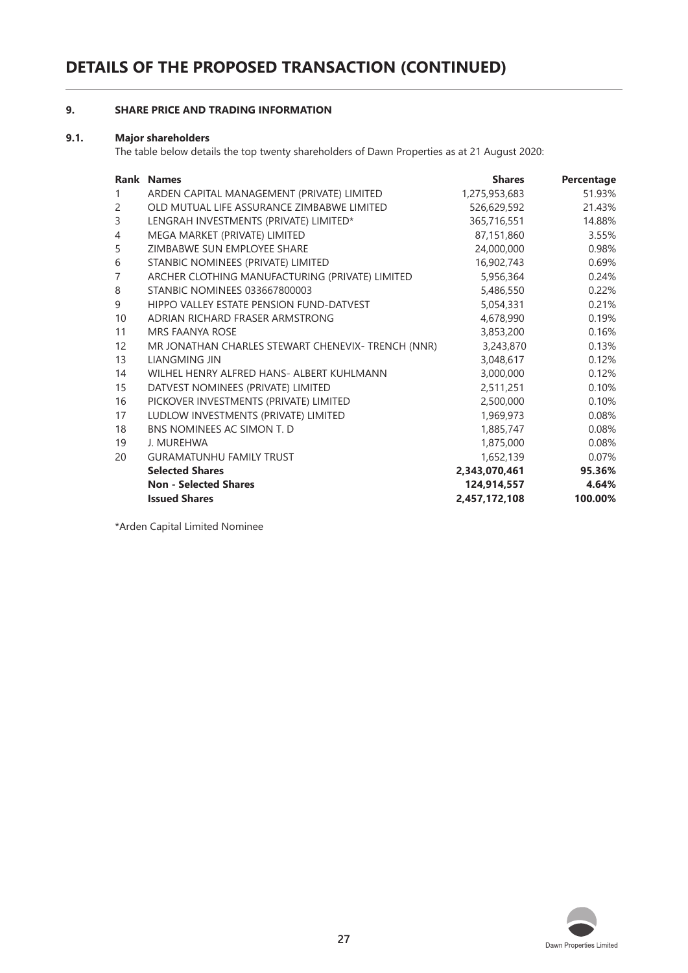## **9. SHARE PRICE AND TRADING INFORMATION**

#### **9.1. Major shareholders**

The table below details the top twenty shareholders of Dawn Properties as at 21 August 2020:

|                | <b>Rank Names</b>                                  | <b>Shares</b> | Percentage |
|----------------|----------------------------------------------------|---------------|------------|
| $\mathbf{1}$   | ARDEN CAPITAL MANAGEMENT (PRIVATE) LIMITED         | 1,275,953,683 | 51.93%     |
| 2              | OLD MUTUAL LIFE ASSURANCE ZIMBABWE LIMITED         | 526,629,592   | 21.43%     |
| 3              | LENGRAH INVESTMENTS (PRIVATE) LIMITED*             | 365,716,551   | 14.88%     |
| $\overline{4}$ | MEGA MARKET (PRIVATE) LIMITED                      | 87,151,860    | 3.55%      |
| 5              | ZIMBABWE SUN EMPLOYEE SHARE                        | 24,000,000    | 0.98%      |
| 6              | STANBIC NOMINEES (PRIVATE) LIMITED                 | 16,902,743    | 0.69%      |
| $\overline{7}$ | ARCHER CLOTHING MANUFACTURING (PRIVATE) LIMITED    | 5,956,364     | 0.24%      |
| 8              | <b>STANBIC NOMINEES 033667800003</b>               | 5,486,550     | 0.22%      |
| 9              | HIPPO VALLEY ESTATE PENSION FUND-DATVEST           | 5,054,331     | 0.21%      |
| 10             | ADRIAN RICHARD FRASER ARMSTRONG                    | 4,678,990     | 0.19%      |
| 11             | <b>MRS FAANYA ROSE</b>                             | 3,853,200     | 0.16%      |
| 12             | MR JONATHAN CHARLES STEWART CHENEVIX- TRENCH (NNR) | 3,243,870     | 0.13%      |
| 13             | LIANGMING JIN                                      | 3,048,617     | 0.12%      |
| 14             | WILHEL HENRY ALFRED HANS- ALBERT KUHLMANN          | 3,000,000     | 0.12%      |
| 15             | DATVEST NOMINEES (PRIVATE) LIMITED                 | 2,511,251     | 0.10%      |
| 16             | PICKOVER INVESTMENTS (PRIVATE) LIMITED             | 2,500,000     | 0.10%      |
| 17             | LUDLOW INVESTMENTS (PRIVATE) LIMITED               | 1,969,973     | 0.08%      |
| 18             | BNS NOMINEES AC SIMON T. D                         | 1,885,747     | 0.08%      |
| 19             | J. MUREHWA                                         | 1,875,000     | 0.08%      |
| 20             | <b>GURAMATUNHU FAMILY TRUST</b>                    | 1,652,139     | 0.07%      |
|                | <b>Selected Shares</b>                             | 2,343,070,461 | 95.36%     |
|                | <b>Non - Selected Shares</b>                       | 124,914,557   | 4.64%      |
|                | <b>Issued Shares</b>                               | 2,457,172,108 | 100.00%    |

\*Arden Capital Limited Nominee

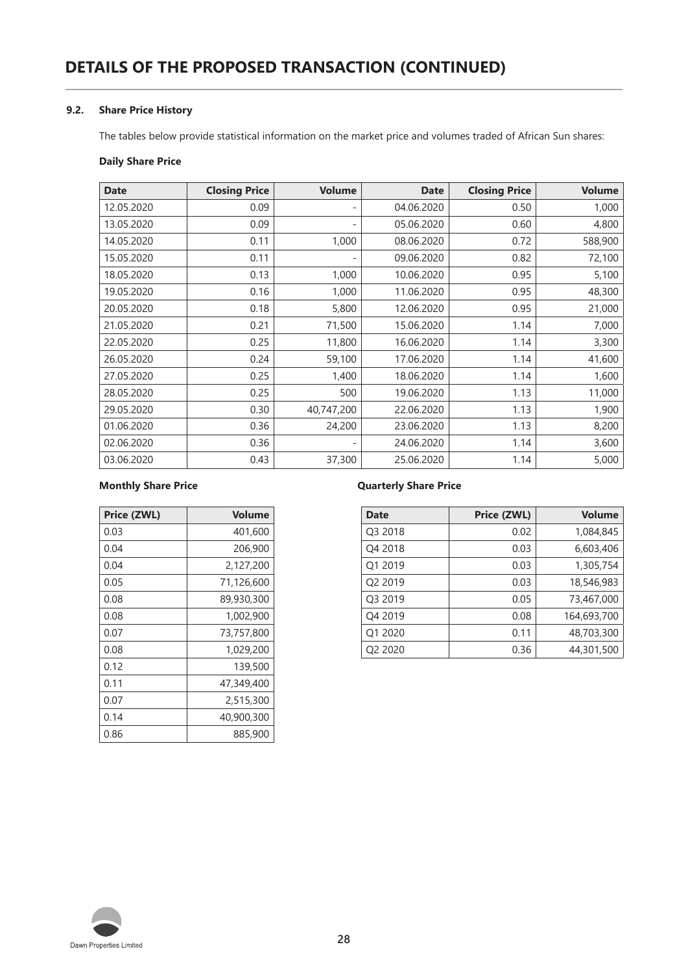#### **9.2. Share Price History**

The tables below provide statistical information on the market price and volumes traded of African Sun shares:

### **Daily Share Price**

| <b>Date</b> | <b>Closing Price</b> | <b>Volume</b> | <b>Date</b> | <b>Closing Price</b> | <b>Volume</b> |
|-------------|----------------------|---------------|-------------|----------------------|---------------|
| 12.05.2020  | 0.09                 | -             | 04.06.2020  | 0.50                 | 1,000         |
| 13.05.2020  | 0.09                 | ۰             | 05.06.2020  | 0.60                 | 4,800         |
| 14.05.2020  | 0.11                 | 1,000         | 08.06.2020  | 0.72                 | 588,900       |
| 15.05.2020  | 0.11                 |               | 09.06.2020  | 0.82                 | 72,100        |
| 18.05.2020  | 0.13                 | 1,000         | 10.06.2020  | 0.95                 | 5,100         |
| 19.05.2020  | 0.16                 | 1,000         | 11.06.2020  | 0.95                 | 48,300        |
| 20.05.2020  | 0.18                 | 5,800         | 12.06.2020  | 0.95                 | 21,000        |
| 21.05.2020  | 0.21                 | 71,500        | 15.06.2020  | 1.14                 | 7,000         |
| 22.05.2020  | 0.25                 | 11,800        | 16.06.2020  | 1.14                 | 3,300         |
| 26.05.2020  | 0.24                 | 59,100        | 17.06.2020  | 1.14                 | 41,600        |
| 27.05.2020  | 0.25                 | 1,400         | 18.06.2020  | 1.14                 | 1,600         |
| 28.05.2020  | 0.25                 | 500           | 19.06.2020  | 1.13                 | 11,000        |
| 29.05.2020  | 0.30                 | 40,747,200    | 22.06.2020  | 1.13                 | 1,900         |
| 01.06.2020  | 0.36                 | 24,200        | 23.06.2020  | 1.13                 | 8,200         |
| 02.06.2020  | 0.36                 |               | 24.06.2020  | 1.14                 | 3,600         |
| 03.06.2020  | 0.43                 | 37,300        | 25.06.2020  | 1.14                 | 5,000         |

#### **Monthly Share Price Quarterly Share Price**

| Price (ZWL) | <b>Volume</b> |
|-------------|---------------|
| 0.03        | 401,600       |
| 0.04        | 206,900       |
| 0.04        | 2,127,200     |
| 0.05        | 71,126,600    |
| 0.08        | 89,930,300    |
| 0.08        | 1,002,900     |
| 0.07        | 73,757,800    |
| 0.08        | 1,029,200     |
| 0.12        | 139,500       |
| 0.11        | 47,349,400    |
| 0.07        | 2,515,300     |
| 0.14        | 40,900,300    |
| 0.86        | 885,900       |

| Price (ZWL) | <b>Volume</b> | <b>Date</b>         | Price (ZWL) | <b>Volume</b> |
|-------------|---------------|---------------------|-------------|---------------|
| 0.03        | 401,600       | Q3 2018             | 0.02        | 1,084,845     |
| 0.04        | 206,900       | Q4 2018             | 0.03        | 6,603,406     |
| 0.04        | 2,127,200     | Q1 2019             | 0.03        | 1,305,754     |
| 0.05        | 71,126,600    | Q2 2019             | 0.03        | 18,546,983    |
| 0.08        | 89,930,300    | O <sub>3</sub> 2019 | 0.05        | 73,467,000    |
| 0.08        | 1,002,900     | Q4 2019             | 0.08        | 164,693,700   |
| 0.07        | 73,757,800    | O1 2020             | 0.11        | 48,703,300    |
| 0.08        | 1,029,200     | Q2 2020             | 0.36        | 44,301,500    |
|             |               |                     |             |               |

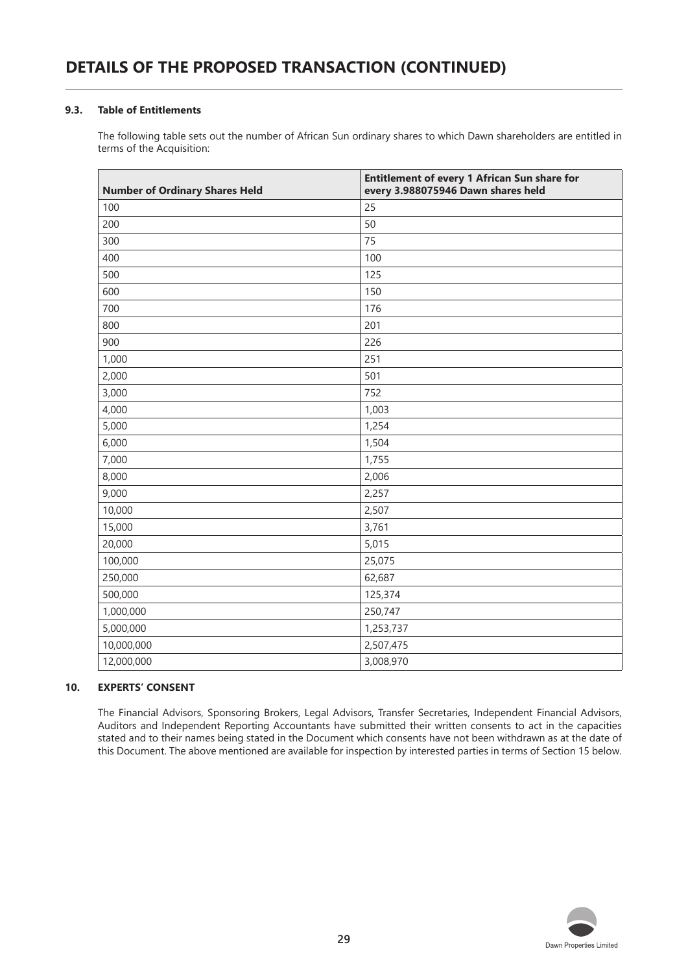#### **9.3. Table of Entitlements**

The following table sets out the number of African Sun ordinary shares to which Dawn shareholders are entitled in terms of the Acquisition:

| <b>Number of Ordinary Shares Held</b> | Entitlement of every 1 African Sun share for<br>every 3.988075946 Dawn shares held |
|---------------------------------------|------------------------------------------------------------------------------------|
| 100                                   | 25                                                                                 |
| 200                                   | 50                                                                                 |
| 300                                   | 75                                                                                 |
| 400                                   | 100                                                                                |
| 500                                   | 125                                                                                |
| 600                                   | 150                                                                                |
| 700                                   | 176                                                                                |
| 800                                   | 201                                                                                |
| 900                                   | 226                                                                                |
| 1,000                                 | 251                                                                                |
| 2,000                                 | 501                                                                                |
| 3,000                                 | 752                                                                                |
| 4,000                                 | 1,003                                                                              |
| 5,000                                 | 1,254                                                                              |
| 6,000                                 | 1,504                                                                              |
| 7,000                                 | 1,755                                                                              |
| 8,000                                 | 2,006                                                                              |
| 9,000                                 | 2,257                                                                              |
| 10,000                                | 2,507                                                                              |
| 15,000                                | 3,761                                                                              |
| 20,000                                | 5,015                                                                              |
| 100,000                               | 25,075                                                                             |
| 250,000                               | 62,687                                                                             |
| 500,000                               | 125,374                                                                            |
| 1,000,000                             | 250,747                                                                            |
| 5,000,000                             | 1,253,737                                                                          |
| 10,000,000                            | 2,507,475                                                                          |
| 12,000,000                            | 3,008,970                                                                          |

#### **10. EXPERTS' CONSENT**

The Financial Advisors, Sponsoring Brokers, Legal Advisors, Transfer Secretaries, Independent Financial Advisors, Auditors and Independent Reporting Accountants have submitted their written consents to act in the capacities stated and to their names being stated in the Document which consents have not been withdrawn as at the date of this Document. The above mentioned are available for inspection by interested parties in terms of Section 15 below.

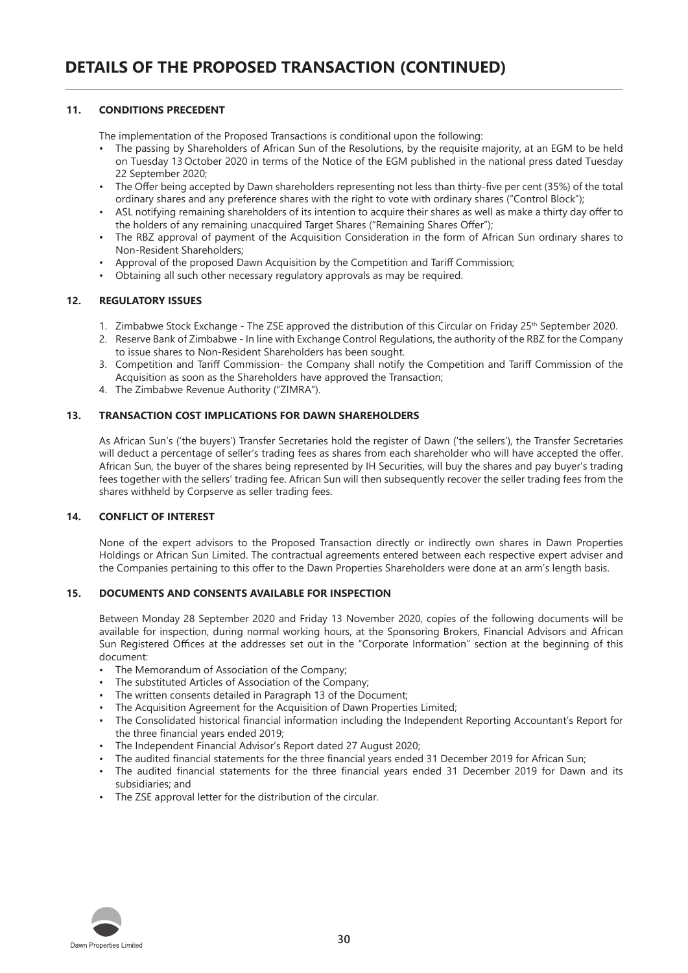#### **11. CONDITIONS PRECEDENT**

The implementation of the Proposed Transactions is conditional upon the following:

- The passing by Shareholders of African Sun of the Resolutions, by the requisite majority, at an EGM to be held on Tuesday 13 October 2020 in terms of the Notice of the EGM published in the national press dated Tuesday 22 September 2020;
- The Offer being accepted by Dawn shareholders representing not less than thirty-five per cent (35%) of the total ordinary shares and any preference shares with the right to vote with ordinary shares ("Control Block");
- ASL notifying remaining shareholders of its intention to acquire their shares as well as make a thirty day offer to the holders of any remaining unacquired Target Shares ("Remaining Shares Offer");
- The RBZ approval of payment of the Acquisition Consideration in the form of African Sun ordinary shares to Non-Resident Shareholders;
- Approval of the proposed Dawn Acquisition by the Competition and Tariff Commission;
- Obtaining all such other necessary regulatory approvals as may be required.

#### **12. REGULATORY ISSUES**

- 1. Zimbabwe Stock Exchange The ZSE approved the distribution of this Circular on Friday 25<sup>th</sup> September 2020.
- 2. Reserve Bank of Zimbabwe In line with Exchange Control Regulations, the authority of the RBZ for the Company to issue shares to Non-Resident Shareholders has been sought.
- 3. Competition and Tariff Commission- the Company shall notify the Competition and Tariff Commission of the Acquisition as soon as the Shareholders have approved the Transaction;
- 4. The Zimbabwe Revenue Authority ("ZIMRA").

#### **13. TRANSACTION COST IMPLICATIONS FOR DAWN SHAREHOLDERS**

As African Sun's ('the buyers') Transfer Secretaries hold the register of Dawn ('the sellers'), the Transfer Secretaries will deduct a percentage of seller's trading fees as shares from each shareholder who will have accepted the offer. African Sun, the buyer of the shares being represented by IH Securities, will buy the shares and pay buyer's trading fees together with the sellers' trading fee. African Sun will then subsequently recover the seller trading fees from the shares withheld by Corpserve as seller trading fees.

#### **14. CONFLICT OF INTEREST**

None of the expert advisors to the Proposed Transaction directly or indirectly own shares in Dawn Properties Holdings or African Sun Limited. The contractual agreements entered between each respective expert adviser and the Companies pertaining to this offer to the Dawn Properties Shareholders were done at an arm's length basis.

#### **15. DOCUMENTS AND CONSENTS AVAILABLE FOR INSPECTION**

Between Monday 28 September 2020 and Friday 13 November 2020, copies of the following documents will be available for inspection, during normal working hours, at the Sponsoring Brokers, Financial Advisors and African Sun Registered Offices at the addresses set out in the "Corporate Information" section at the beginning of this document:

- The Memorandum of Association of the Company;
- The substituted Articles of Association of the Company;
- The written consents detailed in Paragraph 13 of the Document;
- The Acquisition Agreement for the Acquisition of Dawn Properties Limited;
- The Consolidated historical financial information including the Independent Reporting Accountant's Report for the three financial years ended 2019;
- The Independent Financial Advisor's Report dated 27 August 2020;
- The audited financial statements for the three financial years ended 31 December 2019 for African Sun;
- The audited financial statements for the three financial years ended 31 December 2019 for Dawn and its subsidiaries; and
- The ZSE approval letter for the distribution of the circular.

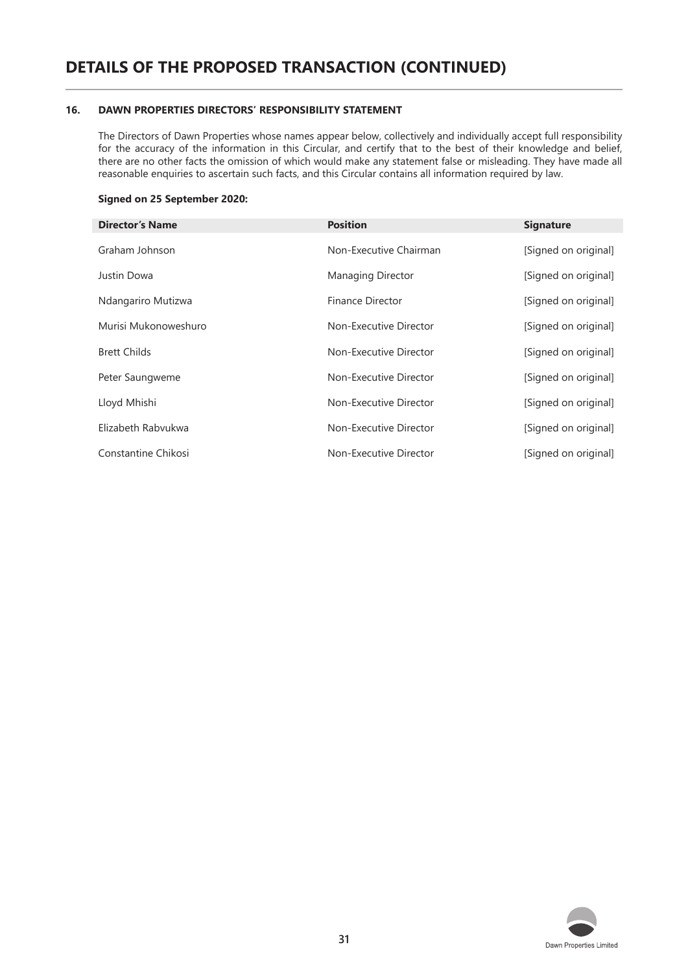#### **16. DAWN PROPERTIES DIRECTORS' RESPONSIBILITY STATEMENT**

The Directors of Dawn Properties whose names appear below, collectively and individually accept full responsibility for the accuracy of the information in this Circular, and certify that to the best of their knowledge and belief, there are no other facts the omission of which would make any statement false or misleading. They have made all reasonable enquiries to ascertain such facts, and this Circular contains all information required by law.

#### **Signed on 25 September 2020:**

| <b>Director's Name</b> | <b>Position</b>          | <b>Signature</b>     |
|------------------------|--------------------------|----------------------|
| Graham Johnson         | Non-Executive Chairman   | [Signed on original] |
| Justin Dowa            | <b>Managing Director</b> | [Signed on original] |
| Ndangariro Mutizwa     | Finance Director         | [Signed on original] |
| Murisi Mukonoweshuro   | Non-Executive Director   | [Signed on original] |
| <b>Brett Childs</b>    | Non-Executive Director   | [Signed on original] |
| Peter Saungweme        | Non-Executive Director   | [Signed on original] |
| Lloyd Mhishi           | Non-Executive Director   | [Signed on original] |
| Elizabeth Rabvukwa     | Non-Executive Director   | [Signed on original] |
| Constantine Chikosi    | Non-Executive Director   | [Signed on original] |

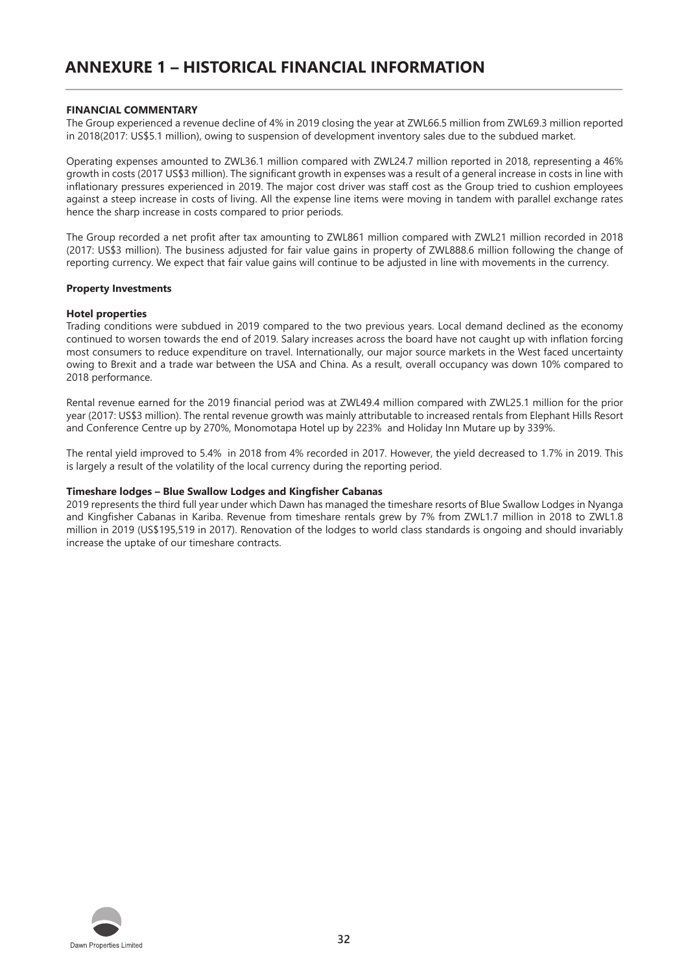#### **FINANCIAL COMMENTARY**

The Group experienced a revenue decline of 4% in 2019 closing the year at ZWL66.5 million from ZWL69.3 million reported in 2018(2017: US\$5.1 million), owing to suspension of development inventory sales due to the subdued market.

Operating expenses amounted to ZWL36.1 million compared with ZWL24.7 million reported in 2018, representing a 46% growth in costs (2017 US\$3 million). The significant growth in expenses was a result of a general increase in costs in line with inflationary pressures experienced in 2019. The major cost driver was staff cost as the Group tried to cushion employees against a steep increase in costs of living. All the expense line items were moving in tandem with parallel exchange rates hence the sharp increase in costs compared to prior periods.

The Group recorded a net profit after tax amounting to ZWL861 million compared with ZWL21 million recorded in 2018 (2017: US\$3 million). The business adjusted for fair value gains in property of ZWL888.6 million following the change of reporting currency. We expect that fair value gains will continue to be adjusted in line with movements in the currency.

#### **Property Investments**

#### **Hotel properties**

Trading conditions were subdued in 2019 compared to the two previous years. Local demand declined as the economy continued to worsen towards the end of 2019. Salary increases across the board have not caught up with inflation forcing most consumers to reduce expenditure on travel. Internationally, our major source markets in the West faced uncertainty owing to Brexit and a trade war between the USA and China. As a result, overall occupancy was down 10% compared to 2018 performance.

Rental revenue earned for the 2019 financial period was at ZWL49.4 million compared with ZWL25.1 million for the prior year (2017: US\$3 million). The rental revenue growth was mainly attributable to increased rentals from Elephant Hills Resort and Conference Centre up by 270%, Monomotapa Hotel up by 223% and Holiday Inn Mutare up by 339%.

The rental yield improved to 5.4% in 2018 from 4% recorded in 2017. However, the yield decreased to 1.7% in 2019. This is largely a result of the volatility of the local currency during the reporting period.

#### **Timeshare lodges – Blue Swallow Lodges and Kingfisher Cabanas**

2019 represents the third full year under which Dawn has managed the timeshare resorts of Blue Swallow Lodges in Nyanga and Kingfisher Cabanas in Kariba. Revenue from timeshare rentals grew by 7% from ZWL1.7 million in 2018 to ZWL1.8 million in 2019 (US\$195,519 in 2017). Renovation of the lodges to world class standards is ongoing and should invariably increase the uptake of our timeshare contracts.

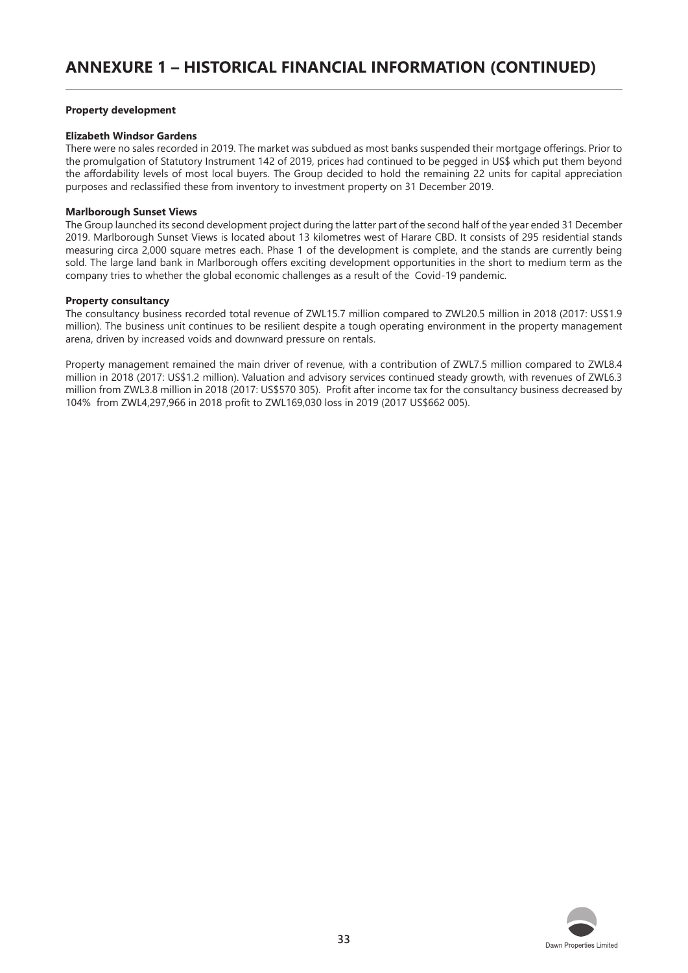#### **Property development**

#### **Elizabeth Windsor Gardens**

There were no sales recorded in 2019. The market was subdued as most banks suspended their mortgage offerings. Prior to the promulgation of Statutory Instrument 142 of 2019, prices had continued to be pegged in US\$ which put them beyond the affordability levels of most local buyers. The Group decided to hold the remaining 22 units for capital appreciation purposes and reclassified these from inventory to investment property on 31 December 2019.

#### **Marlborough Sunset Views**

The Group launched its second development project during the latter part of the second half of the year ended 31 December 2019. Marlborough Sunset Views is located about 13 kilometres west of Harare CBD. It consists of 295 residential stands measuring circa 2,000 square metres each. Phase 1 of the development is complete, and the stands are currently being sold. The large land bank in Marlborough offers exciting development opportunities in the short to medium term as the company tries to whether the global economic challenges as a result of the Covid-19 pandemic.

#### **Property consultancy**

The consultancy business recorded total revenue of ZWL15.7 million compared to ZWL20.5 million in 2018 (2017: US\$1.9 million). The business unit continues to be resilient despite a tough operating environment in the property management arena, driven by increased voids and downward pressure on rentals.

Property management remained the main driver of revenue, with a contribution of ZWL7.5 million compared to ZWL8.4 million in 2018 (2017: US\$1.2 million). Valuation and advisory services continued steady growth, with revenues of ZWL6.3 million from ZWL3.8 million in 2018 (2017: US\$570 305). Profit after income tax for the consultancy business decreased by 104% from ZWL4,297,966 in 2018 profit to ZWL169,030 loss in 2019 (2017 US\$662 005).

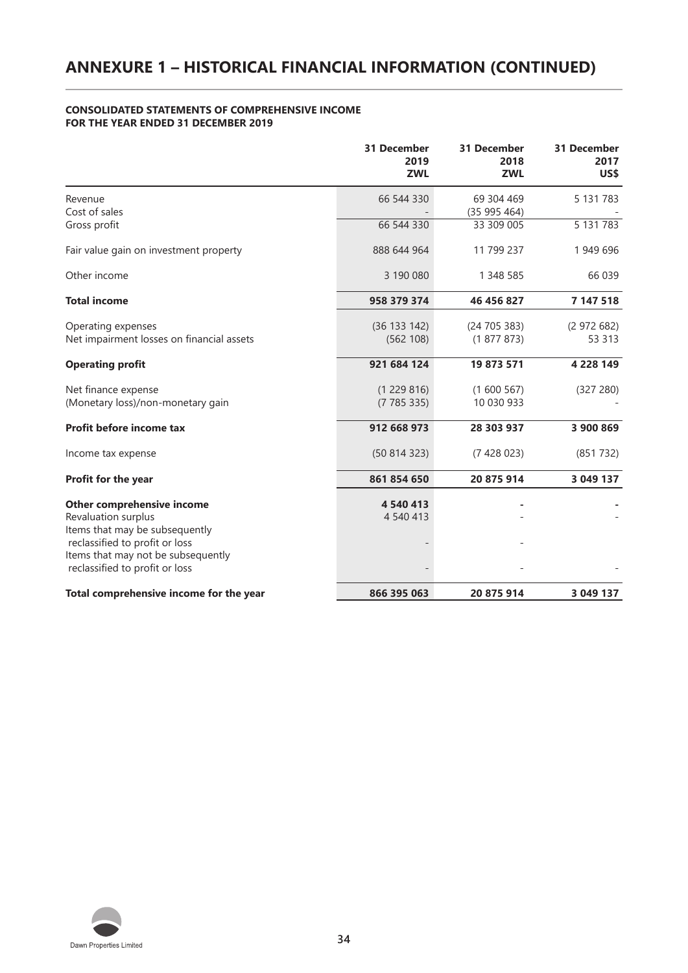#### **CONSOLIDATED STATEMENTS OF COMPREHENSIVE INCOME FOR THE YEAR ENDED 31 DECEMBER 2019**

|                                                                                                                                                                                               | <b>31 December</b><br>2019<br><b>ZWL</b> | <b>31 December</b><br>2018<br><b>ZWL</b> | <b>31 December</b><br>2017<br>US\$ |
|-----------------------------------------------------------------------------------------------------------------------------------------------------------------------------------------------|------------------------------------------|------------------------------------------|------------------------------------|
| Revenue<br>Cost of sales                                                                                                                                                                      | 66 544 330                               | 69 304 469<br>(35995464)                 | 5 131 783                          |
| Gross profit                                                                                                                                                                                  | 66 544 330                               | 33 309 005                               | 5 131 783                          |
| Fair value gain on investment property                                                                                                                                                        | 888 644 964                              | 11 799 237                               | 1 949 696                          |
| Other income                                                                                                                                                                                  | 3 190 080                                | 1 348 585                                | 66 039                             |
| <b>Total income</b>                                                                                                                                                                           | 958 379 374                              | 46 456 827                               | 7 147 518                          |
| Operating expenses<br>Net impairment losses on financial assets                                                                                                                               | (36 133 142)<br>(562 108)                | (24705383)<br>(1877873)                  | (2972682)<br>53 313                |
| <b>Operating profit</b>                                                                                                                                                                       | 921 684 124                              | 19 873 571                               | 4 2 2 8 1 4 9                      |
| Net finance expense<br>(Monetary loss)/non-monetary gain                                                                                                                                      | (1229816)<br>(7785335)                   | (1600567)<br>10 030 933                  | (327 280)                          |
| Profit before income tax                                                                                                                                                                      | 912 668 973                              | 28 303 937                               | 3 900 869                          |
| Income tax expense                                                                                                                                                                            | (50814323)                               | (7428023)                                | (851 732)                          |
| <b>Profit for the year</b>                                                                                                                                                                    | 861 854 650                              | 20 875 914                               | 3 049 137                          |
| Other comprehensive income<br>Revaluation surplus<br>Items that may be subsequently<br>reclassified to profit or loss<br>Items that may not be subsequently<br>reclassified to profit or loss | 4 540 413<br>4 540 413                   |                                          |                                    |
| Total comprehensive income for the year                                                                                                                                                       | 866 395 063                              | 20 875 914                               | 3 049 137                          |

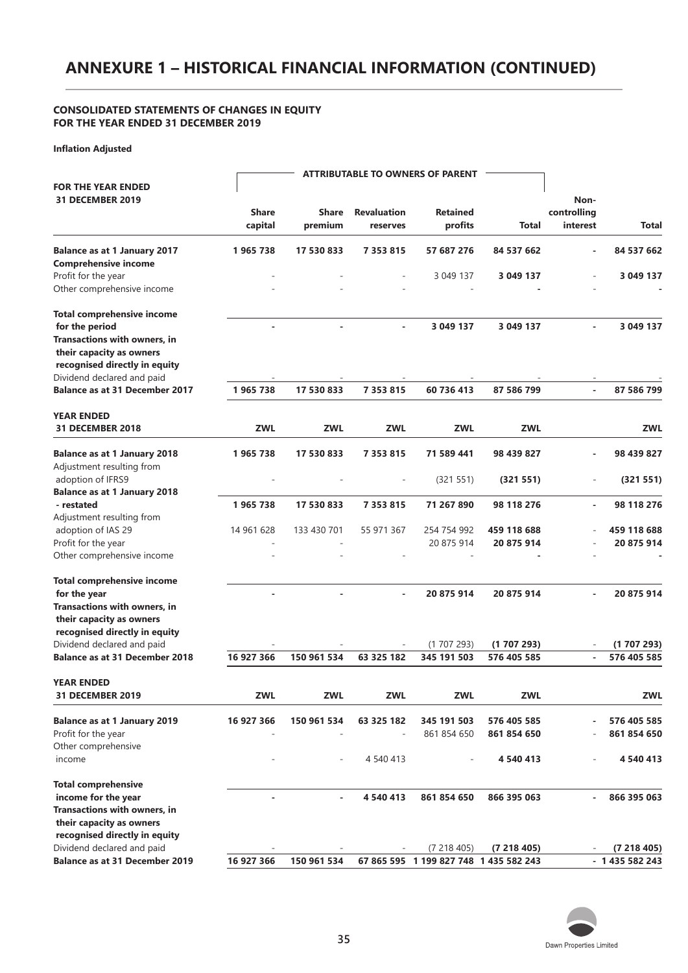# **ANNEXURE 1 – HISTORICAL FINANCIAL INFORMATION (CONTINUED)**

#### **CONSOLIDATED STATEMENTS OF CHANGES IN EQUITY FOR THE YEAR ENDED 31 DECEMBER 2019**

**Inflation Adjusted**

|                                       |              |                          |                    | <b>ATTRIBUTABLE TO OWNERS OF PARENT</b> |             |                          |               |
|---------------------------------------|--------------|--------------------------|--------------------|-----------------------------------------|-------------|--------------------------|---------------|
| <b>FOR THE YEAR ENDED</b>             |              |                          |                    |                                         |             |                          |               |
| <b>31 DECEMBER 2019</b>               |              |                          |                    |                                         |             | Non-                     |               |
|                                       | <b>Share</b> | <b>Share</b>             | <b>Revaluation</b> | <b>Retained</b>                         |             | controlling              |               |
|                                       | capital      | premium                  | reserves           | profits                                 | Total       | interest                 | Total         |
| <b>Balance as at 1 January 2017</b>   | 1965738      | 17 530 833               | 7 3 5 3 8 1 5      | 57 687 276                              | 84 537 662  |                          | 84 537 662    |
| <b>Comprehensive income</b>           |              |                          |                    |                                         |             |                          |               |
| Profit for the year                   |              |                          |                    | 3 049 137                               | 3 049 137   |                          | 3 049 137     |
| Other comprehensive income            |              |                          |                    |                                         |             |                          |               |
| <b>Total comprehensive income</b>     |              |                          |                    |                                         |             |                          |               |
| for the period                        |              | $\overline{\phantom{a}}$ | $\blacksquare$     | 3 049 137                               | 3 049 137   | $\blacksquare$           | 3 049 137     |
| Transactions with owners, in          |              |                          |                    |                                         |             |                          |               |
| their capacity as owners              |              |                          |                    |                                         |             |                          |               |
| recognised directly in equity         |              |                          |                    |                                         |             |                          |               |
| Dividend declared and paid            |              |                          |                    |                                         |             |                          |               |
| <b>Balance as at 31 December 2017</b> | 1965738      | 17 530 833               | 7 353 815          | 60 736 413                              | 87 586 799  | $\blacksquare$           | 87 586 799    |
| <b>YEAR ENDED</b>                     |              |                          |                    |                                         |             |                          |               |
| <b>31 DECEMBER 2018</b>               | <b>ZWL</b>   | ZWL                      | ZWL                | ZWL                                     | ZWL         |                          | ZWL           |
| <b>Balance as at 1 January 2018</b>   | 1965738      | 17 530 833               | 7 3 5 3 8 1 5      | 71 589 441                              | 98 439 827  |                          | 98 439 827    |
| Adjustment resulting from             |              |                          |                    |                                         |             |                          |               |
| adoption of IFRS9                     |              |                          |                    | (321 551)                               | (321 551)   | $\overline{\phantom{a}}$ | (321 551)     |
| <b>Balance as at 1 January 2018</b>   |              |                          |                    |                                         |             |                          |               |
| - restated                            | 1965738      | 17 530 833               | 7 3 5 3 8 1 5      | 71 267 890                              | 98 118 276  | $\overline{\phantom{a}}$ | 98 118 276    |
| Adjustment resulting from             |              |                          |                    |                                         |             |                          |               |
| adoption of IAS 29                    | 14 961 628   | 133 430 701              | 55 971 367         | 254 754 992                             | 459 118 688 |                          | 459 118 688   |
| Profit for the year                   |              |                          |                    | 20 875 914                              | 20 875 914  |                          | 20 875 914    |
| Other comprehensive income            |              |                          |                    |                                         |             |                          |               |
| <b>Total comprehensive income</b>     |              |                          |                    |                                         |             |                          |               |
| for the year                          |              |                          |                    | 20 875 914                              | 20 875 914  |                          | 20 875 914    |
| Transactions with owners, in          |              |                          |                    |                                         |             |                          |               |
| their capacity as owners              |              |                          |                    |                                         |             |                          |               |
| recognised directly in equity         |              |                          |                    |                                         |             |                          |               |
| Dividend declared and paid            |              |                          |                    | (1707293)                               | (1707293)   |                          | (1707293)     |
| <b>Balance as at 31 December 2018</b> | 16 927 366   | 150 961 534              | 63 325 182         | 345 191 503                             | 576 405 585 | $\blacksquare$           | 576 405 585   |
| <b>YEAR ENDED</b>                     |              |                          |                    |                                         |             |                          |               |
| <b>31 DECEMBER 2019</b>               | ZWL          | <b>ZWL</b>               | <b>ZWL</b>         | ZWL                                     | <b>ZWL</b>  |                          | ZWL           |
| <b>Balance as at 1 January 2019</b>   | 16 927 366   | 150 961 534              | 63 325 182         | 345 191 503                             | 576 405 585 |                          | 576 405 585   |
| Profit for the year                   |              |                          |                    | 861 854 650                             | 861 854 650 |                          | 861 854 650   |
| Other comprehensive                   |              |                          |                    |                                         |             |                          |               |
| income                                |              |                          | 4 540 413          |                                         | 4 540 413   |                          | 4 540 413     |
| <b>Total comprehensive</b>            |              |                          |                    |                                         |             |                          |               |
| income for the year                   |              |                          | 4 540 413          | 861 854 650                             | 866 395 063 | $\blacksquare$           | 866 395 063   |
| Transactions with owners, in          |              |                          |                    |                                         |             |                          |               |
| their capacity as owners              |              |                          |                    |                                         |             |                          |               |
| recognised directly in equity         |              |                          |                    |                                         |             |                          |               |
| Dividend declared and paid            |              |                          |                    | (7218405)                               | (7218405)   |                          | (7218405)     |
| <b>Balance as at 31 December 2019</b> | 16 927 366   | 150 961 534              |                    | 67 865 595 1 199 827 748 1 435 582 243  |             |                          | $-1435582243$ |

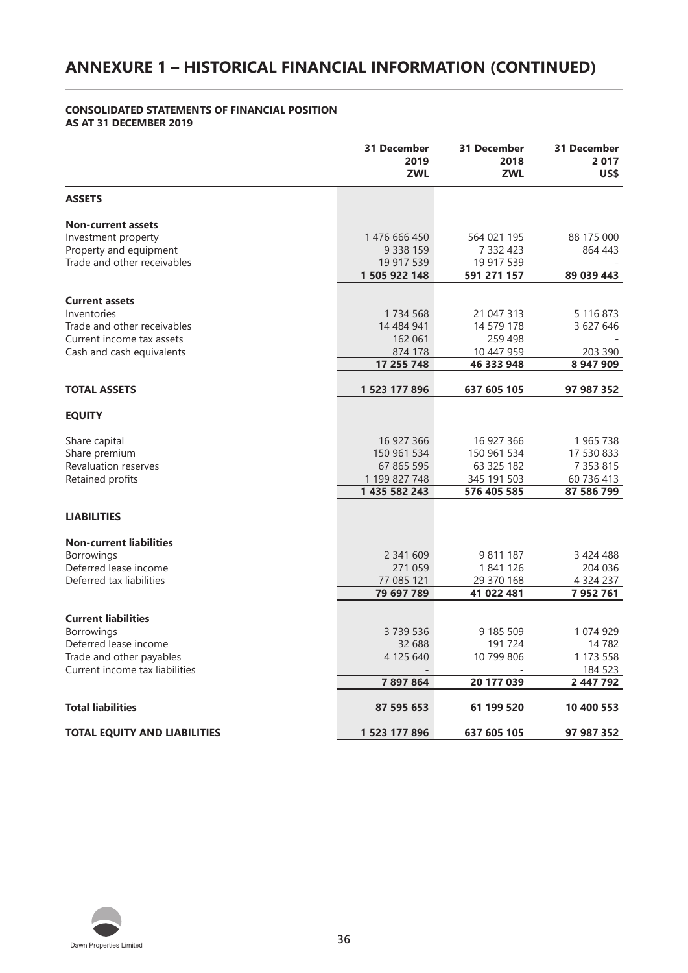# **ANNEXURE 1 – HISTORICAL FINANCIAL INFORMATION (CONTINUED)**

#### **CONSOLIDATED STATEMENTS OF FINANCIAL POSITION AS AT 31 DECEMBER 2019**

|                                          | 31 December<br>2019<br><b>ZWL</b> | 31 December<br>2018<br><b>ZWL</b> | 31 December<br>2017<br>US\$ |
|------------------------------------------|-----------------------------------|-----------------------------------|-----------------------------|
| <b>ASSETS</b>                            |                                   |                                   |                             |
| <b>Non-current assets</b>                |                                   |                                   |                             |
| Investment property                      | 1476 666 450                      | 564 021 195                       | 88 175 000                  |
| Property and equipment                   | 9 3 3 8 1 5 9                     | 7 332 423                         | 864 443                     |
| Trade and other receivables              | 19 917 539                        | 19 917 539                        |                             |
|                                          | 1 505 922 148                     | 591 271 157                       | 89 039 443                  |
| <b>Current assets</b>                    |                                   |                                   |                             |
| Inventories                              | 1734 568                          | 21 047 313                        | 5 116 873                   |
| Trade and other receivables              | 14 484 941                        | 14 579 178                        | 3 627 646                   |
| Current income tax assets                | 162 061                           | 259 498                           |                             |
| Cash and cash equivalents                | 874 178                           | 10 447 959                        | 203 390                     |
|                                          | 17 255 748                        | 46 333 948                        | 8 947 909                   |
|                                          |                                   |                                   |                             |
| <b>TOTAL ASSETS</b>                      | 1 523 177 896                     | 637 605 105                       | 97 987 352                  |
| <b>EQUITY</b>                            |                                   |                                   |                             |
| Share capital                            | 16 927 366                        | 16 927 366                        | 1965738                     |
| Share premium                            | 150 961 534                       | 150 961 534                       | 17 530 833                  |
| Revaluation reserves                     | 67 865 595                        | 63 325 182                        | 7 3 5 3 8 1 5               |
| Retained profits                         | 1 199 827 748                     | 345 191 503                       | 60 736 413                  |
|                                          | 1 435 582 243                     | 576 405 585                       | 87 586 799                  |
| <b>LIABILITIES</b>                       |                                   |                                   |                             |
| <b>Non-current liabilities</b>           |                                   |                                   |                             |
| Borrowings                               | 2 341 609                         | 9 811 187                         | 3 424 488                   |
| Deferred lease income                    | 271 059                           | 1841126                           | 204 036                     |
| Deferred tax liabilities                 | 77 085 121                        | 29 370 168                        | 4 3 2 4 2 3 7               |
|                                          | 79 697 789                        | 41 022 481                        | 7952761                     |
|                                          |                                   |                                   |                             |
| <b>Current liabilities</b><br>Borrowings | 3739536                           | 9 185 509                         | 1 074 929                   |
| Deferred lease income                    | 32 688                            | 191 724                           | 14 7 8 2                    |
| Trade and other payables                 | 4 125 640                         | 10 799 806                        | 1 173 558                   |
| Current income tax liabilities           |                                   |                                   | 184 523                     |
|                                          | 7897864                           | 20 177 039                        | 2 447 792                   |
|                                          |                                   |                                   |                             |
| <b>Total liabilities</b>                 | 87 595 653                        | 61 199 520                        | 10 400 553                  |
| <b>TOTAL EQUITY AND LIABILITIES</b>      | 1 523 177 896                     | 637 605 105                       | 97 987 352                  |

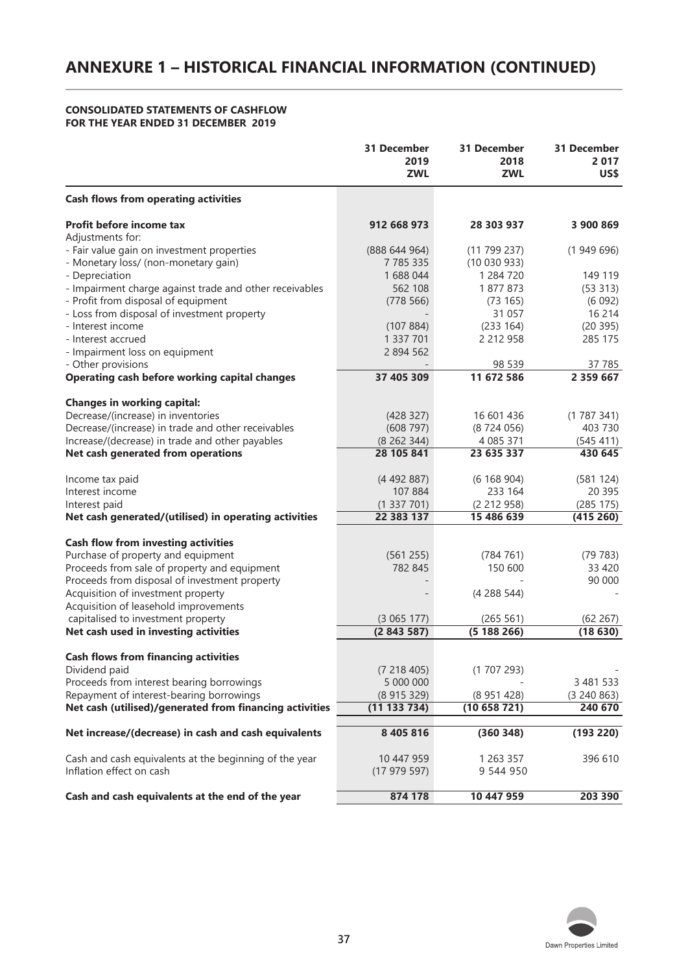#### **CONSOLIDATED STATEMENTS OF CASHFLOW FOR THE YEAR ENDED 31 DECEMBER 2019**

|                                                         | <b>31 December</b><br>2019<br><b>ZWL</b> | 31 December<br>2018<br><b>ZWL</b> | 31 December<br>2017<br>US\$ |
|---------------------------------------------------------|------------------------------------------|-----------------------------------|-----------------------------|
| <b>Cash flows from operating activities</b>             |                                          |                                   |                             |
| Profit before income tax                                | 912 668 973                              | 28 303 937                        | 3 900 869                   |
| Adjustments for:                                        |                                          |                                   |                             |
| - Fair value gain on investment properties              | (888644964)                              | (11799237)                        | (1949696)                   |
| - Monetary loss/ (non-monetary gain)                    | 7 7 8 5 3 3 5                            | (10030933)                        |                             |
| - Depreciation                                          | 1 688 044                                | 1 284 720                         | 149 119                     |
| - Impairment charge against trade and other receivables | 562 108                                  | 1877873                           | (53 313)                    |
| - Profit from disposal of equipment                     | (778566)                                 | (73 165)                          | (6092)                      |
| - Loss from disposal of investment property             |                                          | 31 057                            | 16 214                      |
| - Interest income                                       | (107884)                                 | (233 164)                         | (20395)                     |
| - Interest accrued                                      | 1 337 701                                | 2 212 958                         | 285 175                     |
| - Impairment loss on equipment                          | 2 894 562                                |                                   |                             |
| - Other provisions                                      |                                          | 98 539                            | 37 785                      |
| Operating cash before working capital changes           | 37 405 309                               | 11 672 586                        | 2 3 5 9 6 6 7               |
|                                                         |                                          |                                   |                             |
| <b>Changes in working capital:</b>                      |                                          |                                   |                             |
| Decrease/(increase) in inventories                      | (428 327)                                | 16 601 436                        | (1787341)                   |
| Decrease/(increase) in trade and other receivables      | (608797)                                 | (8724056)                         | 403 730                     |
| Increase/(decrease) in trade and other payables         | (8262344)                                | 4 085 371                         | (545 411)                   |
| Net cash generated from operations                      | 28 105 841                               | 23 635 337                        | 430 645                     |
| Income tax paid                                         | (4492887)                                | (6168904)                         | (581 124)                   |
| Interest income                                         | 107 884                                  | 233 164                           | 20 395                      |
| Interest paid                                           | (1337701)                                | (2 212 958)                       | (285 175)                   |
| Net cash generated/(utilised) in operating activities   | 22 383 137                               | 15 486 639                        | (415 260)                   |
|                                                         |                                          |                                   |                             |
| <b>Cash flow from investing activities</b>              |                                          |                                   |                             |
| Purchase of property and equipment                      | (561255)                                 | (784 761)                         | (79 783)                    |
| Proceeds from sale of property and equipment            | 782 845                                  | 150 600                           | 33 4 20                     |
| Proceeds from disposal of investment property           |                                          |                                   | 90 000                      |
| Acquisition of investment property                      |                                          | (4288544)                         |                             |
| Acquisition of leasehold improvements                   |                                          |                                   |                             |
| capitalised to investment property                      | (3065177)                                | (265 561)                         | (62 267)                    |
| Net cash used in investing activities                   | (2843587)                                | (5188266)                         | (18630)                     |
| <b>Cash flows from financing activities</b>             |                                          |                                   |                             |
| Dividend paid                                           | (7218405)                                | (1707293)                         |                             |
| Proceeds from interest bearing borrowings               | 5 000 000                                |                                   | 3 481 533                   |
| Repayment of interest-bearing borrowings                | (8915329)                                | (8951428)                         | (3, 240, 863)               |
| Net cash (utilised)/generated from financing activities | (11 133 734)                             | (10658721)                        | 240 670                     |
|                                                         |                                          |                                   |                             |
| Net increase/(decrease) in cash and cash equivalents    | 8 405 816                                | (360348)                          | (193 220)                   |
| Cash and cash equivalents at the beginning of the year  | 10 447 959                               | 1 263 357                         | 396 610                     |
| Inflation effect on cash                                | (17979597)                               | 9 544 950                         |                             |
|                                                         |                                          |                                   |                             |
| Cash and cash equivalents at the end of the year        | 874 178                                  | 10 447 959                        | 203 390                     |

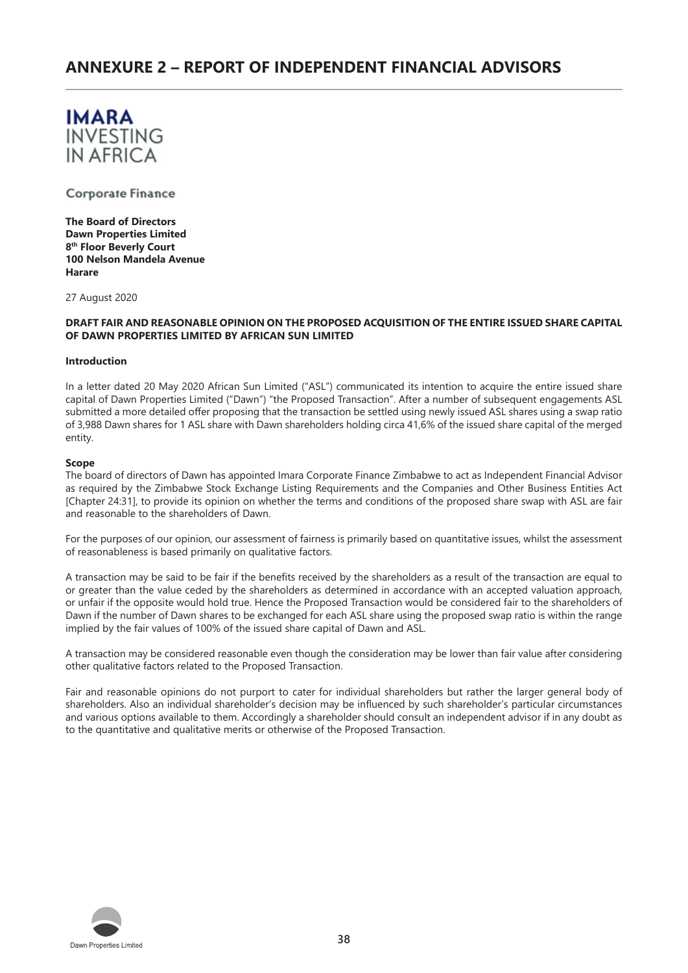

Corporate Finance

**The Board of Directors Dawn Properties Limited 8th Floor Beverly Court 100 Nelson Mandela Avenue Harare** 

27 August 2020

#### **DRAFT FAIR AND REASONABLE OPINION ON THE PROPOSED ACQUISITION OF THE ENTIRE ISSUED SHARE CAPITAL OF DAWN PROPERTIES LIMITED BY AFRICAN SUN LIMITED**

#### **Introduction**

In a letter dated 20 May 2020 African Sun Limited ("ASL") communicated its intention to acquire the entire issued share capital of Dawn Properties Limited ("Dawn") "the Proposed Transaction". After a number of subsequent engagements ASL submitted a more detailed offer proposing that the transaction be settled using newly issued ASL shares using a swap ratio of 3,988 Dawn shares for 1 ASL share with Dawn shareholders holding circa 41,6% of the issued share capital of the merged entity.

#### **Scope**

The board of directors of Dawn has appointed Imara Corporate Finance Zimbabwe to act as Independent Financial Advisor as required by the Zimbabwe Stock Exchange Listing Requirements and the Companies and Other Business Entities Act [Chapter 24:31], to provide its opinion on whether the terms and conditions of the proposed share swap with ASL are fair and reasonable to the shareholders of Dawn.

For the purposes of our opinion, our assessment of fairness is primarily based on quantitative issues, whilst the assessment of reasonableness is based primarily on qualitative factors.

A transaction may be said to be fair if the benefits received by the shareholders as a result of the transaction are equal to or greater than the value ceded by the shareholders as determined in accordance with an accepted valuation approach, or unfair if the opposite would hold true. Hence the Proposed Transaction would be considered fair to the shareholders of Dawn if the number of Dawn shares to be exchanged for each ASL share using the proposed swap ratio is within the range implied by the fair values of 100% of the issued share capital of Dawn and ASL.

A transaction may be considered reasonable even though the consideration may be lower than fair value after considering other qualitative factors related to the Proposed Transaction.

Fair and reasonable opinions do not purport to cater for individual shareholders but rather the larger general body of shareholders. Also an individual shareholder's decision may be influenced by such shareholder's particular circumstances and various options available to them. Accordingly a shareholder should consult an independent advisor if in any doubt as to the quantitative and qualitative merits or otherwise of the Proposed Transaction.

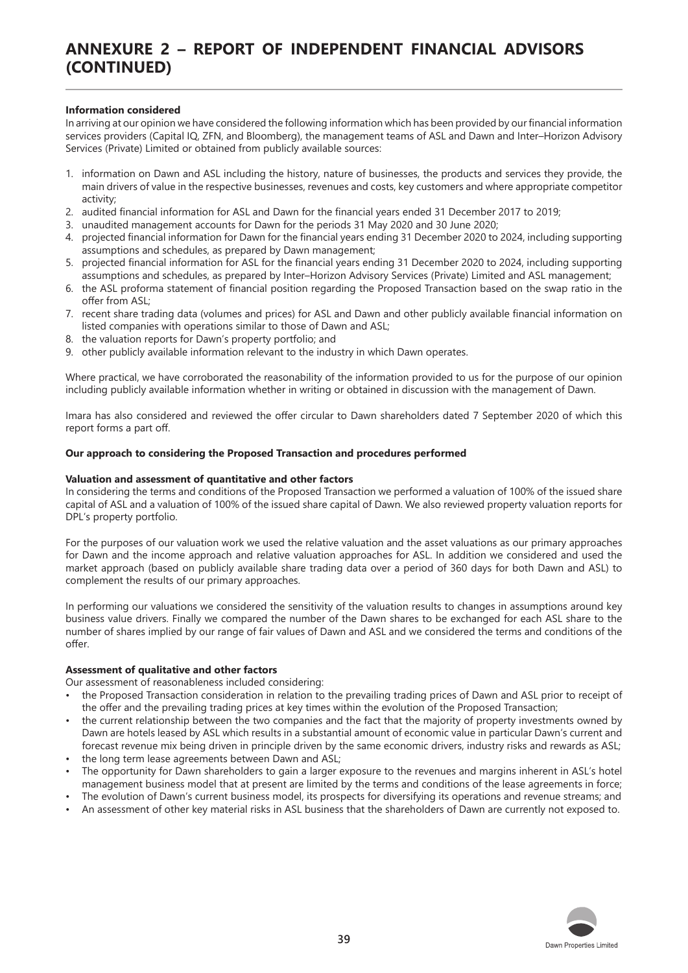# **ANNEXURE 2 – REPORT OF INDEPENDENT FINANCIAL ADVISORS (CONTINUED)**

#### **Information considered**

In arriving at our opinion we have considered the following information which has been provided by our financial information services providers (Capital IQ, ZFN, and Bloomberg), the management teams of ASL and Dawn and Inter–Horizon Advisory Services (Private) Limited or obtained from publicly available sources:

- 1. information on Dawn and ASL including the history, nature of businesses, the products and services they provide, the main drivers of value in the respective businesses, revenues and costs, key customers and where appropriate competitor activity;
- 2. audited financial information for ASL and Dawn for the financial years ended 31 December 2017 to 2019;
- 3. unaudited management accounts for Dawn for the periods 31 May 2020 and 30 June 2020;
- 4. projected financial information for Dawn for the financial years ending 31 December 2020 to 2024, including supporting assumptions and schedules, as prepared by Dawn management;
- 5. projected financial information for ASL for the financial years ending 31 December 2020 to 2024, including supporting assumptions and schedules, as prepared by Inter–Horizon Advisory Services (Private) Limited and ASL management;
- 6. the ASL proforma statement of financial position regarding the Proposed Transaction based on the swap ratio in the offer from ASL;
- 7. recent share trading data (volumes and prices) for ASL and Dawn and other publicly available financial information on listed companies with operations similar to those of Dawn and ASL;
- 8. the valuation reports for Dawn's property portfolio; and
- 9. other publicly available information relevant to the industry in which Dawn operates.

Where practical, we have corroborated the reasonability of the information provided to us for the purpose of our opinion including publicly available information whether in writing or obtained in discussion with the management of Dawn.

Imara has also considered and reviewed the offer circular to Dawn shareholders dated 7 September 2020 of which this report forms a part off.

#### **Our approach to considering the Proposed Transaction and procedures performed**

#### **Valuation and assessment of quantitative and other factors**

In considering the terms and conditions of the Proposed Transaction we performed a valuation of 100% of the issued share capital of ASL and a valuation of 100% of the issued share capital of Dawn. We also reviewed property valuation reports for DPL's property portfolio.

For the purposes of our valuation work we used the relative valuation and the asset valuations as our primary approaches for Dawn and the income approach and relative valuation approaches for ASL. In addition we considered and used the market approach (based on publicly available share trading data over a period of 360 days for both Dawn and ASL) to complement the results of our primary approaches.

In performing our valuations we considered the sensitivity of the valuation results to changes in assumptions around key business value drivers. Finally we compared the number of the Dawn shares to be exchanged for each ASL share to the number of shares implied by our range of fair values of Dawn and ASL and we considered the terms and conditions of the offer.

#### **Assessment of qualitative and other factors**

Our assessment of reasonableness included considering:

- the Proposed Transaction consideration in relation to the prevailing trading prices of Dawn and ASL prior to receipt of the offer and the prevailing trading prices at key times within the evolution of the Proposed Transaction;
- the current relationship between the two companies and the fact that the majority of property investments owned by Dawn are hotels leased by ASL which results in a substantial amount of economic value in particular Dawn's current and forecast revenue mix being driven in principle driven by the same economic drivers, industry risks and rewards as ASL;
- the long term lease agreements between Dawn and ASL;
- The opportunity for Dawn shareholders to gain a larger exposure to the revenues and margins inherent in ASL's hotel management business model that at present are limited by the terms and conditions of the lease agreements in force;
- The evolution of Dawn's current business model, its prospects for diversifying its operations and revenue streams; and • An assessment of other key material risks in ASL business that the shareholders of Dawn are currently not exposed to.

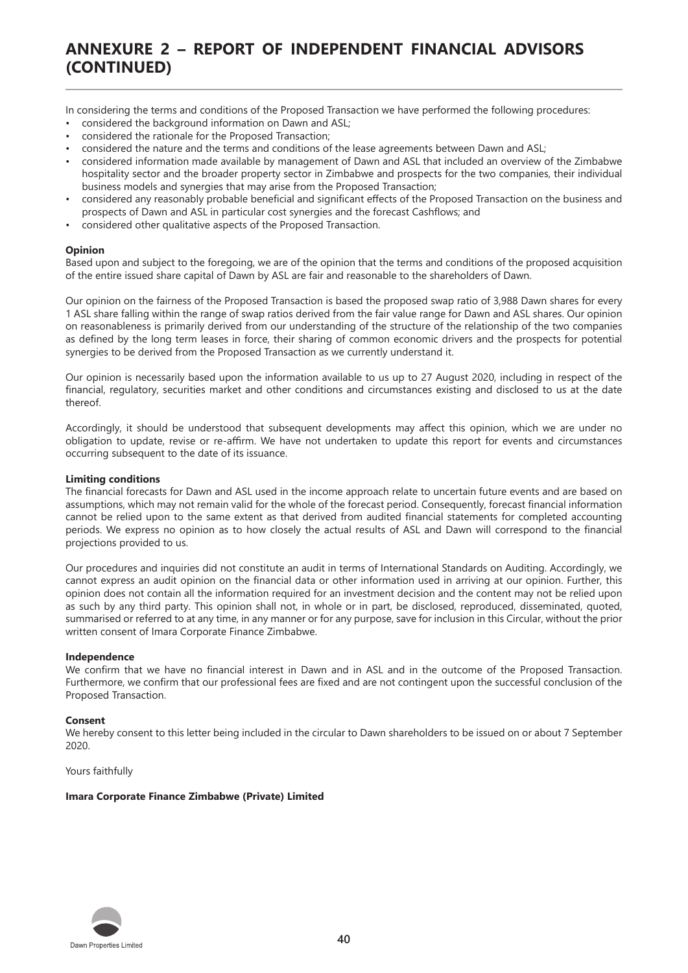# **ANNEXURE 2 – REPORT OF INDEPENDENT FINANCIAL ADVISORS (CONTINUED)**

In considering the terms and conditions of the Proposed Transaction we have performed the following procedures:

- considered the background information on Dawn and ASL;
- considered the rationale for the Proposed Transaction;
- considered the nature and the terms and conditions of the lease agreements between Dawn and ASL;
- considered information made available by management of Dawn and ASL that included an overview of the Zimbabwe hospitality sector and the broader property sector in Zimbabwe and prospects for the two companies, their individual business models and synergies that may arise from the Proposed Transaction;
- considered any reasonably probable beneficial and significant effects of the Proposed Transaction on the business and prospects of Dawn and ASL in particular cost synergies and the forecast Cashflows; and
- considered other qualitative aspects of the Proposed Transaction.

#### **Opinion**

Based upon and subject to the foregoing, we are of the opinion that the terms and conditions of the proposed acquisition of the entire issued share capital of Dawn by ASL are fair and reasonable to the shareholders of Dawn.

Our opinion on the fairness of the Proposed Transaction is based the proposed swap ratio of 3,988 Dawn shares for every 1 ASL share falling within the range of swap ratios derived from the fair value range for Dawn and ASL shares. Our opinion on reasonableness is primarily derived from our understanding of the structure of the relationship of the two companies as defined by the long term leases in force, their sharing of common economic drivers and the prospects for potential synergies to be derived from the Proposed Transaction as we currently understand it.

Our opinion is necessarily based upon the information available to us up to 27 August 2020, including in respect of the financial, regulatory, securities market and other conditions and circumstances existing and disclosed to us at the date thereof.

Accordingly, it should be understood that subsequent developments may affect this opinion, which we are under no obligation to update, revise or re-affirm. We have not undertaken to update this report for events and circumstances occurring subsequent to the date of its issuance.

#### **Limiting conditions**

The financial forecasts for Dawn and ASL used in the income approach relate to uncertain future events and are based on assumptions, which may not remain valid for the whole of the forecast period. Consequently, forecast financial information cannot be relied upon to the same extent as that derived from audited financial statements for completed accounting periods. We express no opinion as to how closely the actual results of ASL and Dawn will correspond to the financial projections provided to us.

Our procedures and inquiries did not constitute an audit in terms of International Standards on Auditing. Accordingly, we cannot express an audit opinion on the financial data or other information used in arriving at our opinion. Further, this opinion does not contain all the information required for an investment decision and the content may not be relied upon as such by any third party. This opinion shall not, in whole or in part, be disclosed, reproduced, disseminated, quoted, summarised or referred to at any time, in any manner or for any purpose, save for inclusion in this Circular, without the prior written consent of Imara Corporate Finance Zimbabwe.

#### **Independence**

We confirm that we have no financial interest in Dawn and in ASL and in the outcome of the Proposed Transaction. Furthermore, we confirm that our professional fees are fixed and are not contingent upon the successful conclusion of the Proposed Transaction.

#### **Consent**

We hereby consent to this letter being included in the circular to Dawn shareholders to be issued on or about 7 September 2020.

Yours faithfully

#### **Imara Corporate Finance Zimbabwe (Private) Limited**

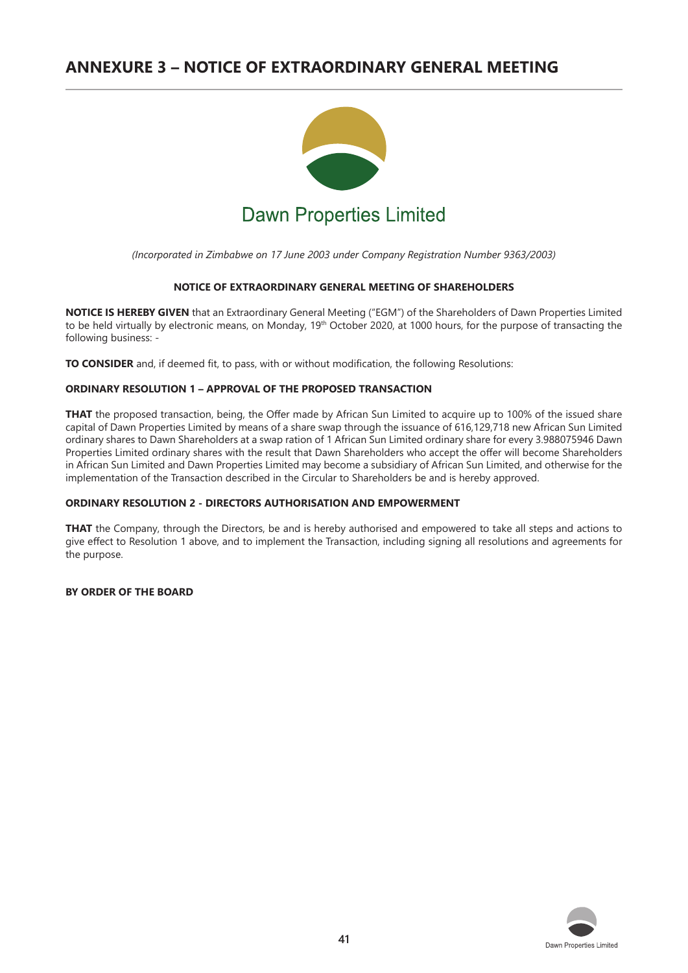# **ANNEXURE 3 – NOTICE OF EXTRAORDINARY GENERAL MEETING**



*(Incorporated in Zimbabwe on 17 June 2003 under Company Registration Number 9363/2003)*

#### **NOTICE OF EXTRAORDINARY GENERAL MEETING OF SHAREHOLDERS**

**NOTICE IS HEREBY GIVEN** that an Extraordinary General Meeting ("EGM") of the Shareholders of Dawn Properties Limited to be held virtually by electronic means, on Monday, 19th October 2020, at 1000 hours, for the purpose of transacting the following business: -

**TO CONSIDER** and, if deemed fit, to pass, with or without modification, the following Resolutions:

#### **ORDINARY RESOLUTION 1 – APPROVAL OF THE PROPOSED TRANSACTION**

**THAT** the proposed transaction, being, the Offer made by African Sun Limited to acquire up to 100% of the issued share capital of Dawn Properties Limited by means of a share swap through the issuance of 616,129,718 new African Sun Limited ordinary shares to Dawn Shareholders at a swap ration of 1 African Sun Limited ordinary share for every 3.988075946 Dawn Properties Limited ordinary shares with the result that Dawn Shareholders who accept the offer will become Shareholders in African Sun Limited and Dawn Properties Limited may become a subsidiary of African Sun Limited, and otherwise for the implementation of the Transaction described in the Circular to Shareholders be and is hereby approved.

#### **ORDINARY RESOLUTION 2 - DIRECTORS AUTHORISATION AND EMPOWERMENT**

**THAT** the Company, through the Directors, be and is hereby authorised and empowered to take all steps and actions to give effect to Resolution 1 above, and to implement the Transaction, including signing all resolutions and agreements for the purpose.

#### **BY ORDER OF THE BOARD**

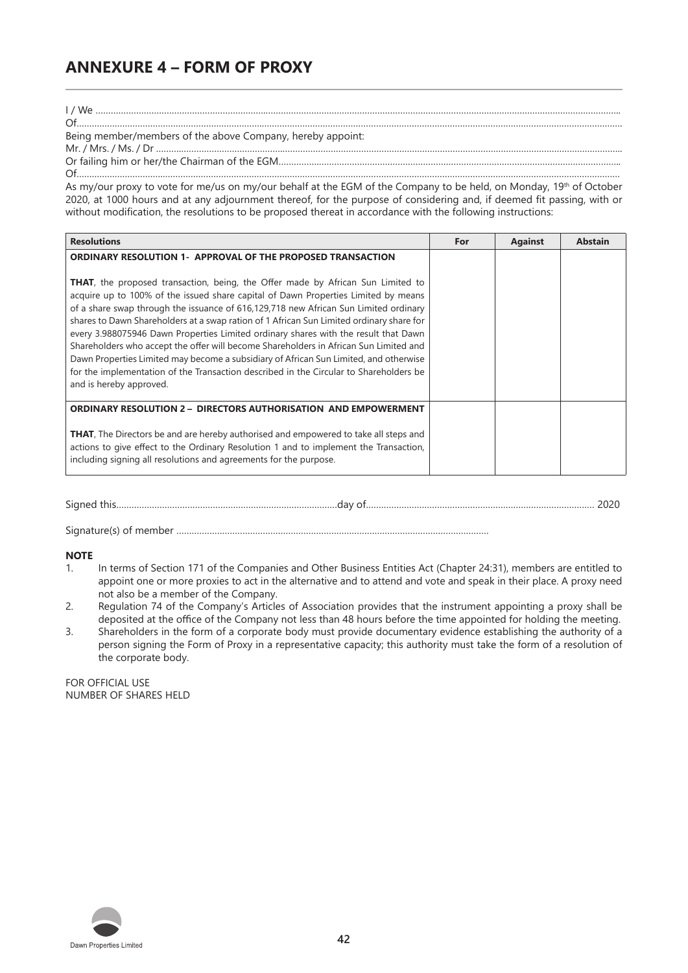# **ANNEXURE 4 – FORM OF PROXY**

I / We ………………………………………………………….…………………………………………………………………………………………………………………………..

#### Being member/members of the above Company, hereby appoint:

Mr. / Mrs. / Ms. / Dr ……….………………………………….……………………………………………………………………………………………………………………..

Of……………………………………………………………….…………………………………………………………………………………………………………………………….

Or failing him or her/the Chairman of the EGM…………….……………………………………………………………………………………………………….. Of…………………………….………………………………………………………………………………………………………………………………………………………………

As my/our proxy to vote for me/us on my/our behalf at the EGM of the Company to be held, on Monday, 19<sup>th</sup> of October 2020, at 1000 hours and at any adjournment thereof, for the purpose of considering and, if deemed fit passing, with or without modification, the resolutions to be proposed thereat in accordance with the following instructions:

| <b>Resolutions</b>                                                                                                                                                                                                                                                                                                                                                                                                                                                                                                                                                                                                                                                                                                                                                                                                                    | For | <b>Against</b> | <b>Abstain</b> |
|---------------------------------------------------------------------------------------------------------------------------------------------------------------------------------------------------------------------------------------------------------------------------------------------------------------------------------------------------------------------------------------------------------------------------------------------------------------------------------------------------------------------------------------------------------------------------------------------------------------------------------------------------------------------------------------------------------------------------------------------------------------------------------------------------------------------------------------|-----|----------------|----------------|
| <b>ORDINARY RESOLUTION 1- APPROVAL OF THE PROPOSED TRANSACTION</b><br><b>THAT</b> , the proposed transaction, being, the Offer made by African Sun Limited to<br>acquire up to 100% of the issued share capital of Dawn Properties Limited by means<br>of a share swap through the issuance of 616,129,718 new African Sun Limited ordinary<br>shares to Dawn Shareholders at a swap ration of 1 African Sun Limited ordinary share for<br>every 3.988075946 Dawn Properties Limited ordinary shares with the result that Dawn<br>Shareholders who accept the offer will become Shareholders in African Sun Limited and<br>Dawn Properties Limited may become a subsidiary of African Sun Limited, and otherwise<br>for the implementation of the Transaction described in the Circular to Shareholders be<br>and is hereby approved. |     |                |                |
| <b>ORDINARY RESOLUTION 2 - DIRECTORS AUTHORISATION AND EMPOWERMENT</b><br><b>THAT,</b> The Directors be and are hereby authorised and empowered to take all steps and<br>actions to give effect to the Ordinary Resolution 1 and to implement the Transaction,<br>including signing all resolutions and agreements for the purpose.                                                                                                                                                                                                                                                                                                                                                                                                                                                                                                   |     |                |                |

| $\sim$ | uа | . |
|--------|----|---|
|--------|----|---|

Signature(s) of member ……………………………………………………………………………………………………………

#### **NOTE**

- 1. In terms of Section 171 of the Companies and Other Business Entities Act (Chapter 24:31), members are entitled to appoint one or more proxies to act in the alternative and to attend and vote and speak in their place. A proxy need not also be a member of the Company.
- 2. Regulation 74 of the Company's Articles of Association provides that the instrument appointing a proxy shall be deposited at the office of the Company not less than 48 hours before the time appointed for holding the meeting.
- 3. Shareholders in the form of a corporate body must provide documentary evidence establishing the authority of a person signing the Form of Proxy in a representative capacity; this authority must take the form of a resolution of the corporate body.

FOR OFFICIAL USE NUMBER OF SHARES HELD

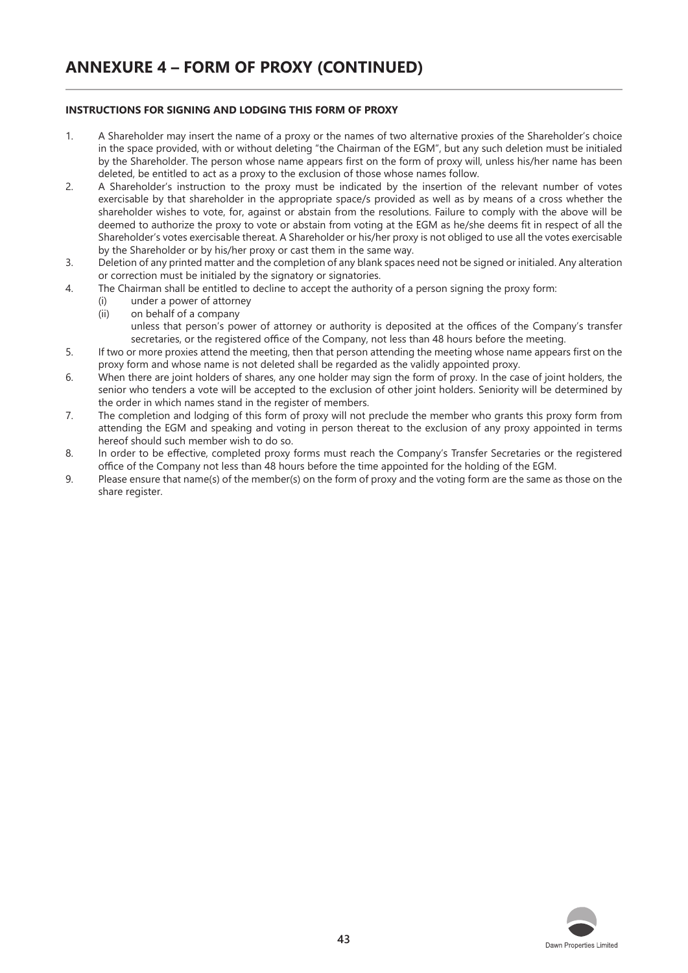#### **INSTRUCTIONS FOR SIGNING AND LODGING THIS FORM OF PROXY**

- 1. A Shareholder may insert the name of a proxy or the names of two alternative proxies of the Shareholder's choice in the space provided, with or without deleting "the Chairman of the EGM", but any such deletion must be initialed by the Shareholder. The person whose name appears first on the form of proxy will, unless his/her name has been deleted, be entitled to act as a proxy to the exclusion of those whose names follow.
- 2. A Shareholder's instruction to the proxy must be indicated by the insertion of the relevant number of votes exercisable by that shareholder in the appropriate space/s provided as well as by means of a cross whether the shareholder wishes to vote, for, against or abstain from the resolutions. Failure to comply with the above will be deemed to authorize the proxy to vote or abstain from voting at the EGM as he/she deems fit in respect of all the Shareholder's votes exercisable thereat. A Shareholder or his/her proxy is not obliged to use all the votes exercisable by the Shareholder or by his/her proxy or cast them in the same way.
- 3. Deletion of any printed matter and the completion of any blank spaces need not be signed or initialed. Any alteration or correction must be initialed by the signatory or signatories.
- 4. The Chairman shall be entitled to decline to accept the authority of a person signing the proxy form:
	- (i) under a power of attorney
	- (ii) on behalf of a company unless that person's power of attorney or authority is deposited at the offices of the Company's transfer secretaries, or the registered office of the Company, not less than 48 hours before the meeting.
- 5. If two or more proxies attend the meeting, then that person attending the meeting whose name appears first on the proxy form and whose name is not deleted shall be regarded as the validly appointed proxy.
- 6. When there are joint holders of shares, any one holder may sign the form of proxy. In the case of joint holders, the senior who tenders a vote will be accepted to the exclusion of other joint holders. Seniority will be determined by the order in which names stand in the register of members.
- 7. The completion and lodging of this form of proxy will not preclude the member who grants this proxy form from attending the EGM and speaking and voting in person thereat to the exclusion of any proxy appointed in terms hereof should such member wish to do so.
- 8. In order to be effective, completed proxy forms must reach the Company's Transfer Secretaries or the registered office of the Company not less than 48 hours before the time appointed for the holding of the EGM.
- 9. Please ensure that name(s) of the member(s) on the form of proxy and the voting form are the same as those on the share register.

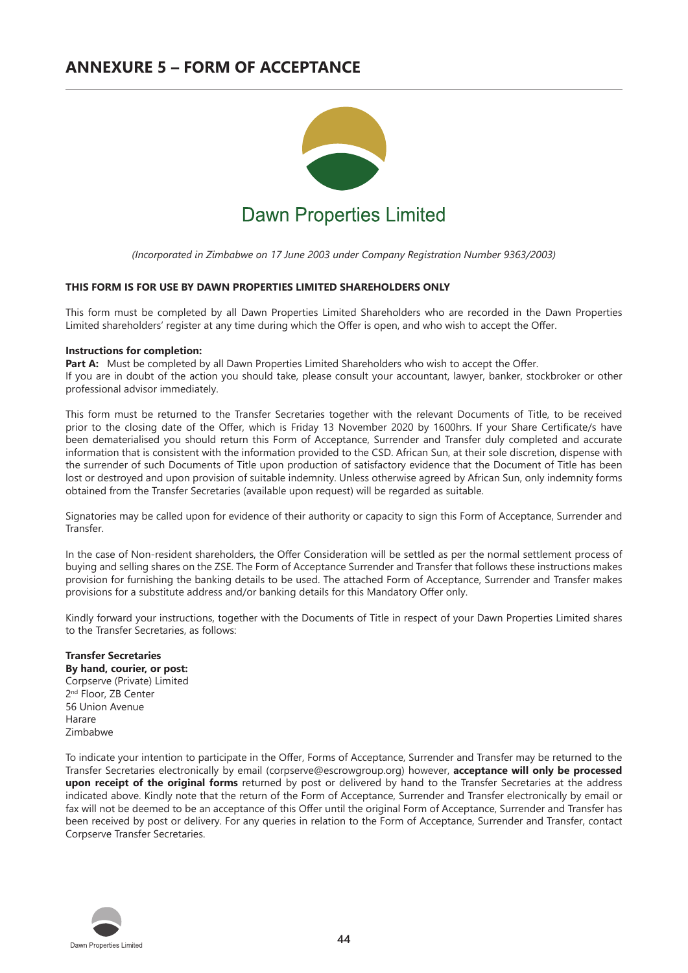## **ANNEXURE 5 – FORM OF ACCEPTANCE**



*(Incorporated in Zimbabwe on 17 June 2003 under Company Registration Number 9363/2003)*

#### **THIS FORM IS FOR USE BY DAWN PROPERTIES LIMITED SHAREHOLDERS ONLY**

This form must be completed by all Dawn Properties Limited Shareholders who are recorded in the Dawn Properties Limited shareholders' register at any time during which the Offer is open, and who wish to accept the Offer.

#### **Instructions for completion:**

Part A: Must be completed by all Dawn Properties Limited Shareholders who wish to accept the Offer. If you are in doubt of the action you should take, please consult your accountant, lawyer, banker, stockbroker or other professional advisor immediately.

This form must be returned to the Transfer Secretaries together with the relevant Documents of Title, to be received prior to the closing date of the Offer, which is Friday 13 November 2020 by 1600hrs. If your Share Certificate/s have been dematerialised you should return this Form of Acceptance, Surrender and Transfer duly completed and accurate information that is consistent with the information provided to the CSD. African Sun, at their sole discretion, dispense with the surrender of such Documents of Title upon production of satisfactory evidence that the Document of Title has been lost or destroyed and upon provision of suitable indemnity. Unless otherwise agreed by African Sun, only indemnity forms obtained from the Transfer Secretaries (available upon request) will be regarded as suitable.

Signatories may be called upon for evidence of their authority or capacity to sign this Form of Acceptance, Surrender and Transfer.

In the case of Non-resident shareholders, the Offer Consideration will be settled as per the normal settlement process of buying and selling shares on the ZSE. The Form of Acceptance Surrender and Transfer that follows these instructions makes provision for furnishing the banking details to be used. The attached Form of Acceptance, Surrender and Transfer makes provisions for a substitute address and/or banking details for this Mandatory Offer only.

Kindly forward your instructions, together with the Documents of Title in respect of your Dawn Properties Limited shares to the Transfer Secretaries, as follows:

#### **Transfer Secretaries By hand, courier, or post:** Corpserve (Private) Limited 2<sup>nd</sup> Floor, ZB Center 56 Union Avenue Harare Zimbabwe

To indicate your intention to participate in the Offer, Forms of Acceptance, Surrender and Transfer may be returned to the Transfer Secretaries electronically by email (corpserve@escrowgroup.org) however, **acceptance will only be processed upon receipt of the original forms** returned by post or delivered by hand to the Transfer Secretaries at the address indicated above. Kindly note that the return of the Form of Acceptance, Surrender and Transfer electronically by email or fax will not be deemed to be an acceptance of this Offer until the original Form of Acceptance, Surrender and Transfer has been received by post or delivery. For any queries in relation to the Form of Acceptance, Surrender and Transfer, contact Corpserve Transfer Secretaries.

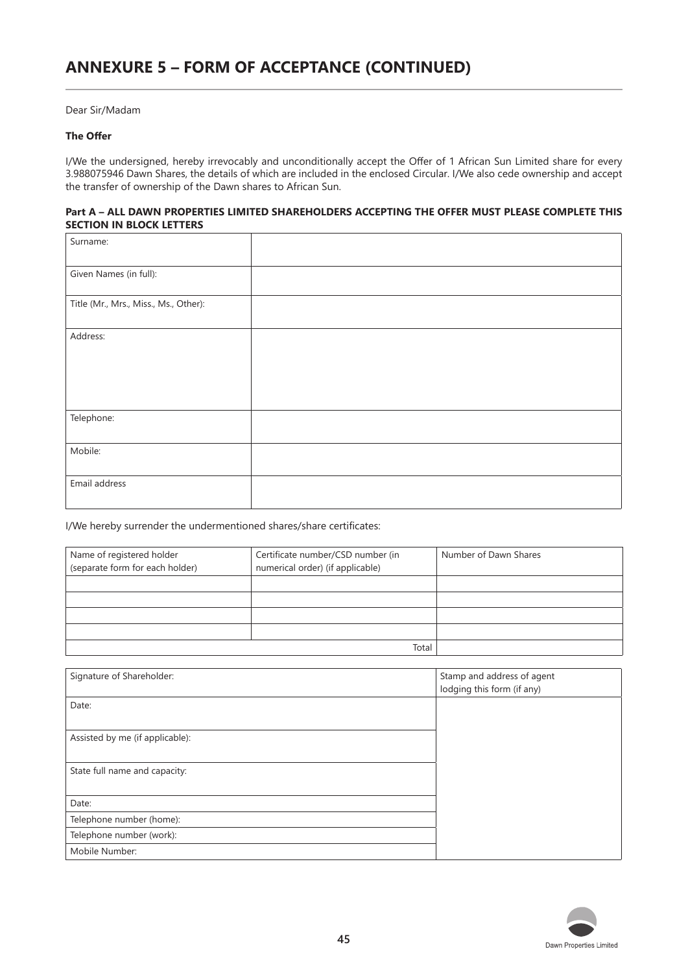Dear Sir/Madam

## **The Offer**

I/We the undersigned, hereby irrevocably and unconditionally accept the Offer of 1 African Sun Limited share for every 3.988075946 Dawn Shares, the details of which are included in the enclosed Circular. I/We also cede ownership and accept the transfer of ownership of the Dawn shares to African Sun.

#### **Part A – ALL DAWN PROPERTIES LIMITED SHAREHOLDERS ACCEPTING THE OFFER MUST PLEASE COMPLETE THIS SECTION IN BLOCK LETTERS**

| Surname:                              |  |
|---------------------------------------|--|
| Given Names (in full):                |  |
| Title (Mr., Mrs., Miss., Ms., Other): |  |
| Address:                              |  |
|                                       |  |
|                                       |  |
| Telephone:                            |  |
| Mobile:                               |  |
| Email address                         |  |

I/We hereby surrender the undermentioned shares/share certificates:

| Name of registered holder<br>(separate form for each holder) | Certificate number/CSD number (in<br>numerical order) (if applicable) | Number of Dawn Shares |
|--------------------------------------------------------------|-----------------------------------------------------------------------|-----------------------|
|                                                              |                                                                       |                       |
|                                                              |                                                                       |                       |
|                                                              |                                                                       |                       |
|                                                              |                                                                       |                       |
|                                                              | Total                                                                 |                       |

| Signature of Shareholder:       | Stamp and address of agent<br>lodging this form (if any) |
|---------------------------------|----------------------------------------------------------|
| Date:                           |                                                          |
|                                 |                                                          |
| Assisted by me (if applicable): |                                                          |
|                                 |                                                          |
| State full name and capacity:   |                                                          |
|                                 |                                                          |
| Date:                           |                                                          |
| Telephone number (home):        |                                                          |
| Telephone number (work):        |                                                          |
| Mobile Number:                  |                                                          |

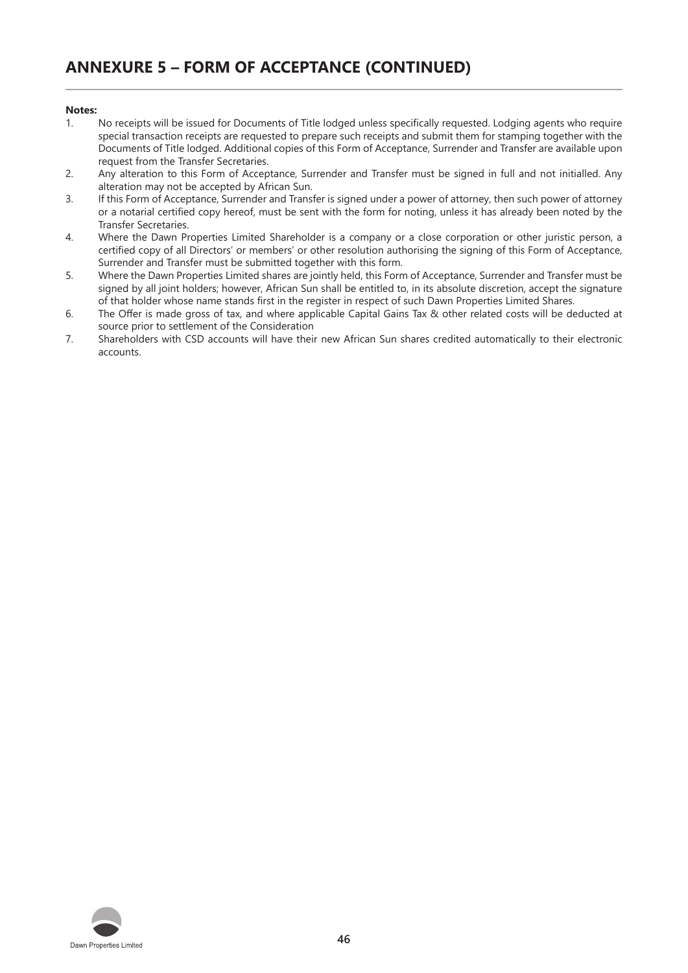#### **Notes:**

- 1. No receipts will be issued for Documents of Title lodged unless specifically requested. Lodging agents who require special transaction receipts are requested to prepare such receipts and submit them for stamping together with the Documents of Title lodged. Additional copies of this Form of Acceptance, Surrender and Transfer are available upon request from the Transfer Secretaries.
- 2. Any alteration to this Form of Acceptance, Surrender and Transfer must be signed in full and not initialled. Any alteration may not be accepted by African Sun.
- 3. If this Form of Acceptance, Surrender and Transfer is signed under a power of attorney, then such power of attorney or a notarial certified copy hereof, must be sent with the form for noting, unless it has already been noted by the Transfer Secretaries.
- 4. Where the Dawn Properties Limited Shareholder is a company or a close corporation or other juristic person, a certified copy of all Directors' or members' or other resolution authorising the signing of this Form of Acceptance, Surrender and Transfer must be submitted together with this form.
- 5. Where the Dawn Properties Limited shares are jointly held, this Form of Acceptance, Surrender and Transfer must be signed by all joint holders; however, African Sun shall be entitled to, in its absolute discretion, accept the signature of that holder whose name stands first in the register in respect of such Dawn Properties Limited Shares.
- 6. The Offer is made gross of tax, and where applicable Capital Gains Tax & other related costs will be deducted at source prior to settlement of the Consideration
- 7. Shareholders with CSD accounts will have their new African Sun shares credited automatically to their electronic accounts.